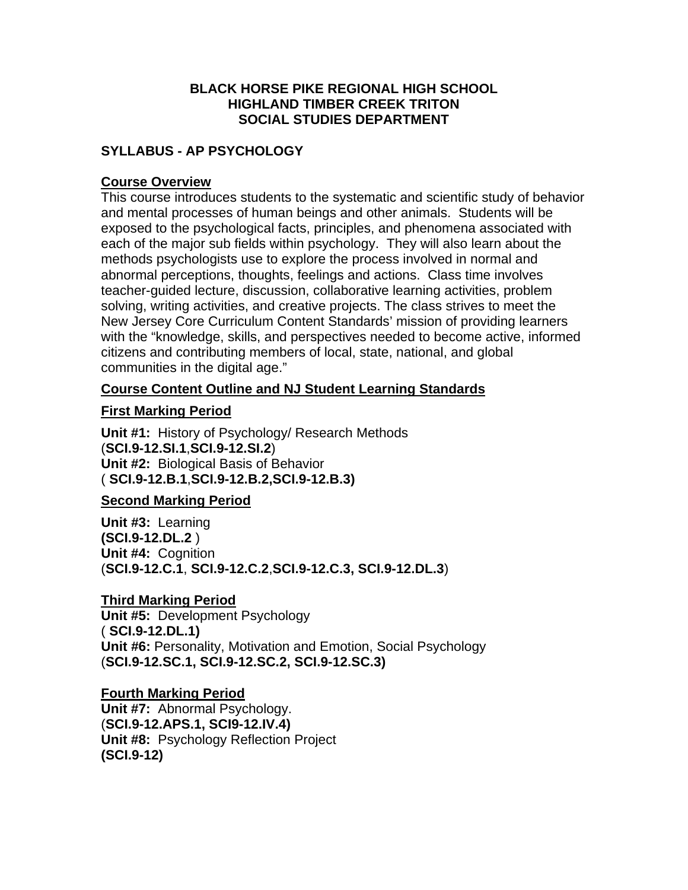### **BLACK HORSE PIKE REGIONAL HIGH SCHOOL HIGHLAND TIMBER CREEK TRITON SOCIAL STUDIES DEPARTMENT**

# **SYLLABUS - AP PSYCHOLOGY**

### **Course Overview**

This course introduces students to the systematic and scientific study of behavior and mental processes of human beings and other animals. Students will be exposed to the psychological facts, principles, and phenomena associated with each of the major sub fields within psychology. They will also learn about the methods psychologists use to explore the process involved in normal and abnormal perceptions, thoughts, feelings and actions. Class time involves teacher-guided lecture, discussion, collaborative learning activities, problem solving, writing activities, and creative projects. The class strives to meet the New Jersey Core Curriculum Content Standards' mission of providing learners with the "knowledge, skills, and perspectives needed to become active, informed citizens and contributing members of local, state, national, and global communities in the digital age."

# **Course Content Outline and NJ Student Learning Standards**

# **First Marking Period**

**Unit #1:** History of Psychology/ Research Methods (**SCI.9-12.SI.1**,**SCI.9-12.SI.2**) **Unit #2:** Biological Basis of Behavior ( **SCI.9-12.B.1**,**SCI.9-12.B.2,SCI.9-12.B.3)**

# **Second Marking Period**

**Unit #3:** Learning **(SCI.9-12.DL.2** ) **Unit #4:** Cognition (**SCI.9-12.C.1**, **SCI.9-12.C.2**,**SCI.9-12.C.3, SCI.9-12.DL.3**)

# **Third Marking Period**

**Unit #5:** Development Psychology ( **SCI.9-12.DL.1) Unit #6:** Personality, Motivation and Emotion, Social Psychology (**SCI.9-12.SC.1, SCI.9-12.SC.2, SCI.9-12.SC.3)**

# **Fourth Marking Period**

**Unit #7:** Abnormal Psychology. (**SCI.9-12.APS.1, SCI9-12.IV.4) Unit #8:** Psychology Reflection Project **(SCI.9-12)**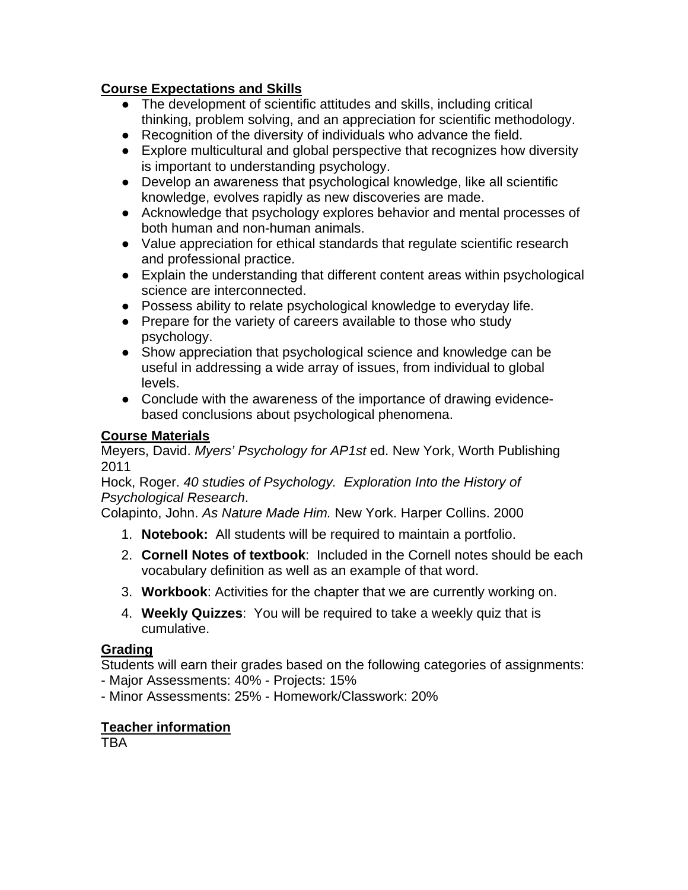# **Course Expectations and Skills**

- The development of scientific attitudes and skills, including critical thinking, problem solving, and an appreciation for scientific methodology.
- Recognition of the diversity of individuals who advance the field.
- Explore multicultural and global perspective that recognizes how diversity is important to understanding psychology.
- Develop an awareness that psychological knowledge, like all scientific knowledge, evolves rapidly as new discoveries are made.
- Acknowledge that psychology explores behavior and mental processes of both human and non-human animals.
- Value appreciation for ethical standards that regulate scientific research and professional practice.
- Explain the understanding that different content areas within psychological science are interconnected.
- Possess ability to relate psychological knowledge to everyday life.
- Prepare for the variety of careers available to those who study psychology.
- Show appreciation that psychological science and knowledge can be useful in addressing a wide array of issues, from individual to global levels.
- Conclude with the awareness of the importance of drawing evidencebased conclusions about psychological phenomena.

# **Course Materials**

Meyers, David. *Myers' Psychology for AP1st* ed. New York, Worth Publishing 2011

Hock, Roger. *40 studies of Psychology. Exploration Into the History of Psychological Research*.

Colapinto, John. *As Nature Made Him.* New York. Harper Collins. 2000

- 1. **Notebook:** All students will be required to maintain a portfolio.
- 2. **Cornell Notes of textbook**: Included in the Cornell notes should be each vocabulary definition as well as an example of that word.
- 3. **Workbook**: Activities for the chapter that we are currently working on.
- 4. **Weekly Quizzes**: You will be required to take a weekly quiz that is cumulative.

# **Grading**

Students will earn their grades based on the following categories of assignments:

- Major Assessments: 40% - Projects: 15%

- Minor Assessments: 25% - Homework/Classwork: 20%

# **Teacher information**

TBA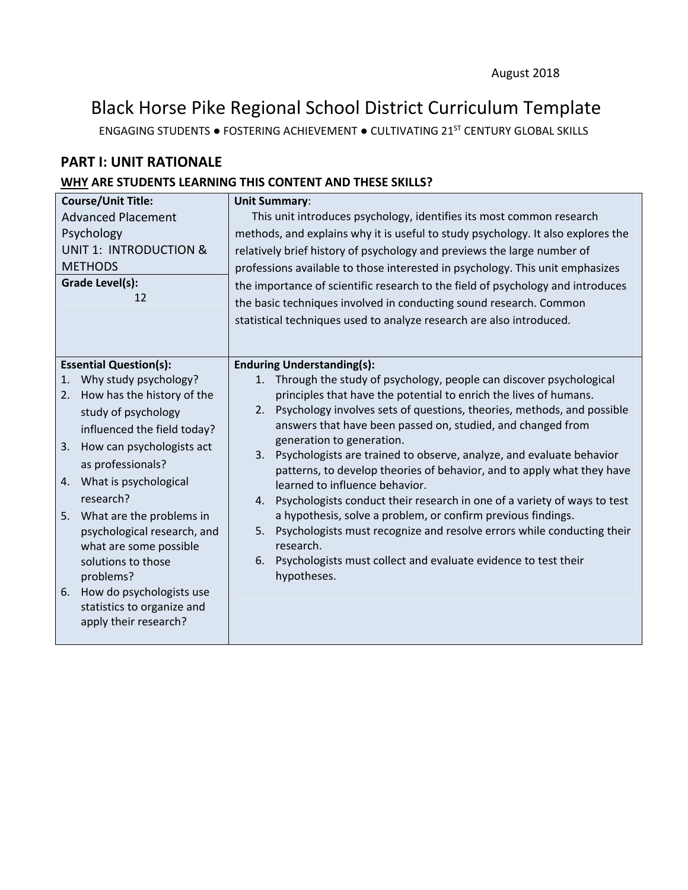# Black Horse Pike Regional School District Curriculum Template

ENGAGING STUDENTS ● FOSTERING ACHIEVEMENT ● CULTIVATING 21ST CENTURY GLOBAL SKILLS

# **PART I: UNIT RATIONALE**

### **WHY ARE STUDENTS LEARNING THIS CONTENT AND THESE SKILLS?**

| <b>Course/Unit Title:</b><br><b>Advanced Placement</b>                                                                                                                                                                                                                                                                                                                                                                                        | <b>Unit Summary:</b><br>This unit introduces psychology, identifies its most common research                                                                                                                                                                                                                                                                                                                                                                                                                                                                                                                                                                                                                                                                                                                                                           |  |  |
|-----------------------------------------------------------------------------------------------------------------------------------------------------------------------------------------------------------------------------------------------------------------------------------------------------------------------------------------------------------------------------------------------------------------------------------------------|--------------------------------------------------------------------------------------------------------------------------------------------------------------------------------------------------------------------------------------------------------------------------------------------------------------------------------------------------------------------------------------------------------------------------------------------------------------------------------------------------------------------------------------------------------------------------------------------------------------------------------------------------------------------------------------------------------------------------------------------------------------------------------------------------------------------------------------------------------|--|--|
| Psychology                                                                                                                                                                                                                                                                                                                                                                                                                                    | methods, and explains why it is useful to study psychology. It also explores the                                                                                                                                                                                                                                                                                                                                                                                                                                                                                                                                                                                                                                                                                                                                                                       |  |  |
| <b>UNIT 1: INTRODUCTION &amp;</b><br><b>METHODS</b>                                                                                                                                                                                                                                                                                                                                                                                           | relatively brief history of psychology and previews the large number of<br>professions available to those interested in psychology. This unit emphasizes                                                                                                                                                                                                                                                                                                                                                                                                                                                                                                                                                                                                                                                                                               |  |  |
| Grade Level(s):<br>12                                                                                                                                                                                                                                                                                                                                                                                                                         | the importance of scientific research to the field of psychology and introduces<br>the basic techniques involved in conducting sound research. Common<br>statistical techniques used to analyze research are also introduced.                                                                                                                                                                                                                                                                                                                                                                                                                                                                                                                                                                                                                          |  |  |
| <b>Essential Question(s):</b>                                                                                                                                                                                                                                                                                                                                                                                                                 | <b>Enduring Understanding(s):</b>                                                                                                                                                                                                                                                                                                                                                                                                                                                                                                                                                                                                                                                                                                                                                                                                                      |  |  |
| Why study psychology?<br>1.<br>How has the history of the<br>2.<br>study of psychology<br>influenced the field today?<br>How can psychologists act<br>3.<br>as professionals?<br>4. What is psychological<br>research?<br>What are the problems in<br>5.<br>psychological research, and<br>what are some possible<br>solutions to those<br>problems?<br>How do psychologists use<br>6.<br>statistics to organize and<br>apply their research? | 1. Through the study of psychology, people can discover psychological<br>principles that have the potential to enrich the lives of humans.<br>Psychology involves sets of questions, theories, methods, and possible<br>2.<br>answers that have been passed on, studied, and changed from<br>generation to generation.<br>Psychologists are trained to observe, analyze, and evaluate behavior<br>3.<br>patterns, to develop theories of behavior, and to apply what they have<br>learned to influence behavior.<br>Psychologists conduct their research in one of a variety of ways to test<br>4.<br>a hypothesis, solve a problem, or confirm previous findings.<br>Psychologists must recognize and resolve errors while conducting their<br>5.<br>research.<br>Psychologists must collect and evaluate evidence to test their<br>6.<br>hypotheses. |  |  |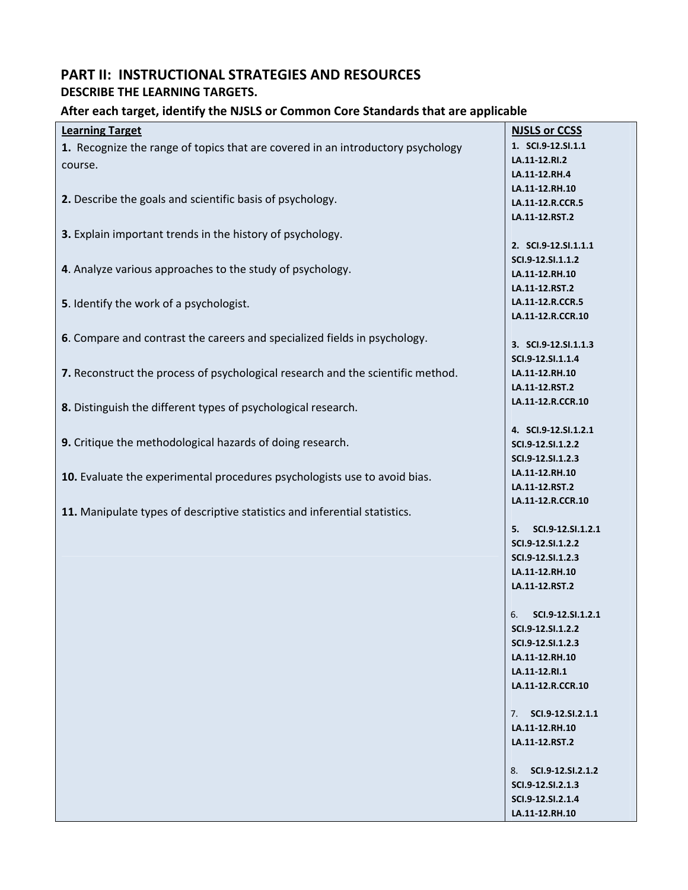# **PART II: INSTRUCTIONAL STRATEGIES AND RESOURCES DESCRIBE THE LEARNING TARGETS.**

#### **After each target, identify the NJSLS or Common Core Standards that are applicable**

| <b>Learning Target</b>                                                          | <b>NJSLS or CCSS</b>    |
|---------------------------------------------------------------------------------|-------------------------|
|                                                                                 |                         |
| 1. Recognize the range of topics that are covered in an introductory psychology | 1. SCI.9-12.SI.1.1      |
| course.                                                                         | LA.11-12.RI.2           |
|                                                                                 | LA.11-12.RH.4           |
| 2. Describe the goals and scientific basis of psychology.                       | LA.11-12.RH.10          |
|                                                                                 | LA.11-12.R.CCR.5        |
|                                                                                 | LA.11-12.RST.2          |
| 3. Explain important trends in the history of psychology.                       |                         |
|                                                                                 | 2. SCI.9-12.SI.1.1.1    |
|                                                                                 | SCI.9-12.SI.1.1.2       |
| 4. Analyze various approaches to the study of psychology.                       | LA.11-12.RH.10          |
|                                                                                 | LA.11-12.RST.2          |
| 5. Identify the work of a psychologist.                                         | LA.11-12.R.CCR.5        |
|                                                                                 | LA.11-12.R.CCR.10       |
|                                                                                 |                         |
| 6. Compare and contrast the careers and specialized fields in psychology.       | 3. SCI.9-12.SI.1.1.3    |
|                                                                                 | SCI.9-12.SI.1.1.4       |
| 7. Reconstruct the process of psychological research and the scientific method. | LA.11-12.RH.10          |
|                                                                                 | LA.11-12.RST.2          |
|                                                                                 | LA.11-12.R.CCR.10       |
| 8. Distinguish the different types of psychological research.                   |                         |
|                                                                                 | 4. SCI.9-12.SI.1.2.1    |
| 9. Critique the methodological hazards of doing research.                       | SCI.9-12.SI.1.2.2       |
|                                                                                 | SCI.9-12.SI.1.2.3       |
|                                                                                 | LA.11-12.RH.10          |
| 10. Evaluate the experimental procedures psychologists use to avoid bias.       | LA.11-12.RST.2          |
|                                                                                 | LA.11-12.R.CCR.10       |
| 11. Manipulate types of descriptive statistics and inferential statistics.      |                         |
|                                                                                 | SCI.9-12.SI.1.2.1<br>5. |
|                                                                                 | SCI.9-12.SI.1.2.2       |
|                                                                                 | SCI.9-12.SI.1.2.3       |
|                                                                                 | LA.11-12.RH.10          |
|                                                                                 |                         |
|                                                                                 | LA.11-12.RST.2          |
|                                                                                 | 6.<br>SCI.9-12.SI.1.2.1 |
|                                                                                 |                         |
|                                                                                 | SCI.9-12.SI.1.2.2       |
|                                                                                 | SCI.9-12.SI.1.2.3       |
|                                                                                 | LA.11-12.RH.10          |
|                                                                                 | LA.11-12.RI.1           |
|                                                                                 | LA.11-12.R.CCR.10       |
|                                                                                 |                         |
|                                                                                 | 7. SCI.9-12.SI.2.1.1    |
|                                                                                 | LA.11-12.RH.10          |
|                                                                                 | LA.11-12.RST.2          |
|                                                                                 |                         |
|                                                                                 | 8. SCI.9-12.SI.2.1.2    |
|                                                                                 | SCI.9-12.SI.2.1.3       |
|                                                                                 | SCI.9-12.SI.2.1.4       |
|                                                                                 | LA.11-12.RH.10          |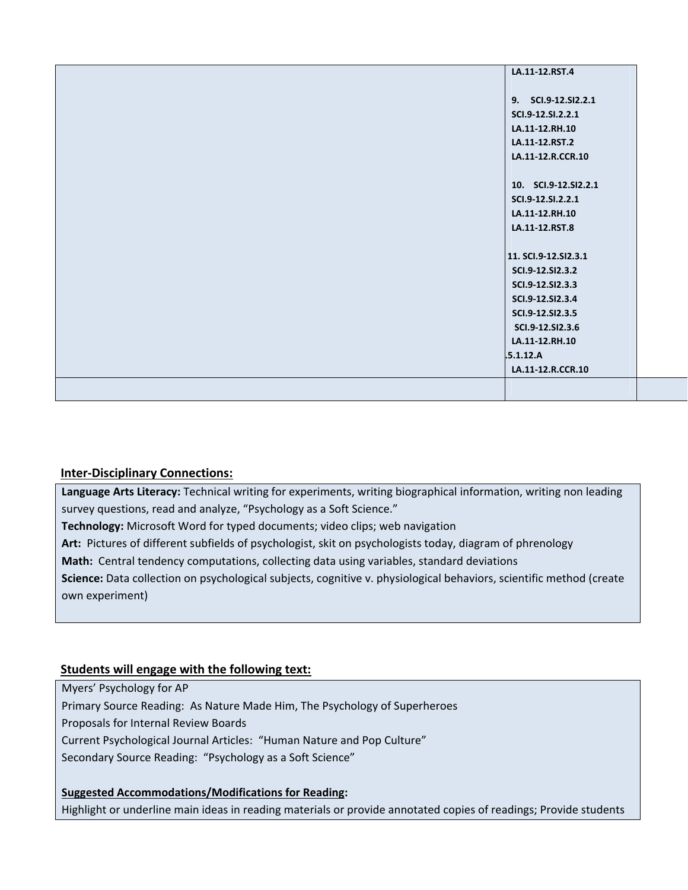| LA.11-12.RST.4       |
|----------------------|
|                      |
| 9. SCI.9-12.SI2.2.1  |
| SCI.9-12.SI.2.2.1    |
| LA.11-12.RH.10       |
| LA.11-12.RST.2       |
| LA.11-12.R.CCR.10    |
|                      |
| 10. SCI.9-12.SI2.2.1 |
| SCI.9-12.SI.2.2.1    |
| LA.11-12.RH.10       |
| LA.11-12.RST.8       |
|                      |
| 11. SCI.9-12.SI2.3.1 |
| SCI.9-12.SI2.3.2     |
| SCI.9-12.SI2.3.3     |
| SCI.9-12.SI2.3.4     |
| SCI.9-12.SI2.3.5     |
| SCI.9-12.SI2.3.6     |
| LA.11-12.RH.10       |
| .5.1.12.A            |
| LA.11-12.R.CCR.10    |
|                      |
|                      |

#### **Inter‐Disciplinary Connections:**

**Language Arts Literacy:** Technical writing for experiments, writing biographical information, writing non leading survey questions, read and analyze, "Psychology as a Soft Science."

**Technology:** Microsoft Word for typed documents; video clips; web navigation

Art: Pictures of different subfields of psychologist, skit on psychologists today, diagram of phrenology

**Math:** Central tendency computations, collecting data using variables, standard deviations

**Science:** Data collection on psychological subjects, cognitive v. physiological behaviors, scientific method (create own experiment)

### **Students will engage with the following text:**

Myers' Psychology for AP

Primary Source Reading: As Nature Made Him, The Psychology of Superheroes

Proposals for Internal Review Boards

Current Psychological Journal Articles: "Human Nature and Pop Culture"

Secondary Source Reading: "Psychology as a Soft Science"

**Suggested Accommodations/Modifications for Reading:** Highlight or underline main ideas in reading materials or provide annotated copies of readings; Provide students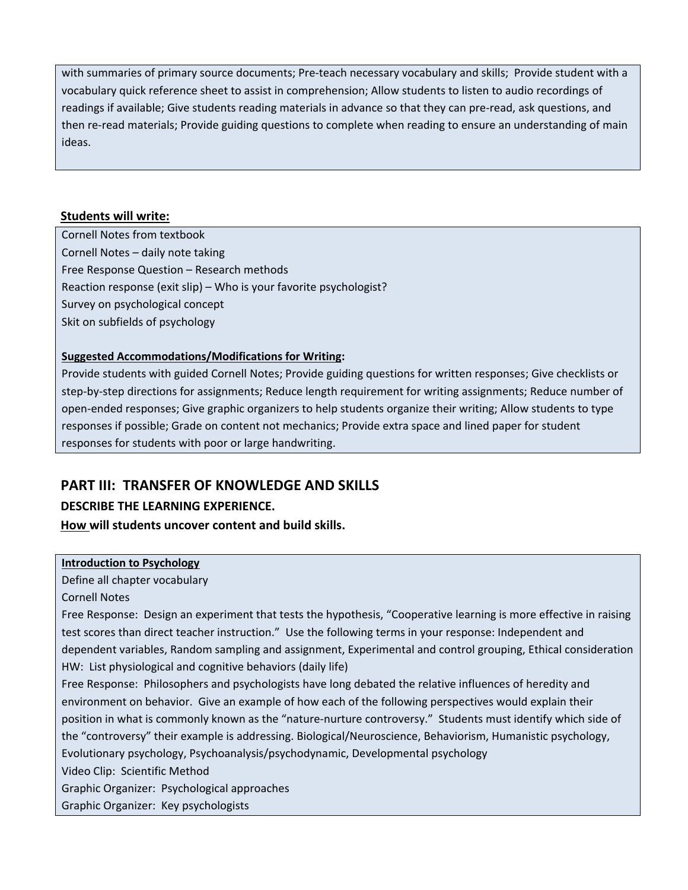with summaries of primary source documents; Pre-teach necessary vocabulary and skills; Provide student with a vocabulary quick reference sheet to assist in comprehension; Allow students to listen to audio recordings of readings if available; Give students reading materials in advance so that they can pre-read, ask questions, and then re-read materials; Provide guiding questions to complete when reading to ensure an understanding of main  $\sf{ld}$ eas.  $\sf{ld}$ 

#### **Students will write:**

Cornell Notes from textbook Cornell Notes – daily note taking Free Response Question – Research methods Reaction response (exit slip) – Who is your favorite psychologist? Survey on psychological concept Skit on subfields of psychology

#### **Suggested Accommodations/Modifications for Writing:**

Provide students with guided Cornell Notes; Provide guiding questions for written responses; Give checklists or step-by-step directions for assignments; Reduce length requirement for writing assignments; Reduce number of open‐ended responses; Give graphic organizers to help students organize their writing; Allow students to type responses if possible; Grade on content not mechanics; Provide extra space and lined paper for student responses for students with poor or large handwriting.

# **PART III: TRANSFER OF KNOWLEDGE AND SKILLS**

### **DESCRIBE THE LEARNING EXPERIENCE.**

#### **How will students uncover content and build skills.**

#### **Introduction to Psychology**

Define all chapter vocabulary

Cornell Notes

Free Response: Design an experiment that tests the hypothesis, "Cooperative learning is more effective in raising test scores than direct teacher instruction." Use the following terms in your response: Independent and dependent variables, Random sampling and assignment, Experimental and control grouping, Ethical consideration HW: List physiological and cognitive behaviors (daily life)

Free Response: Philosophers and psychologists have long debated the relative influences of heredity and environment on behavior. Give an example of how each of the following perspectives would explain their position in what is commonly known as the "nature‐nurture controversy." Students must identify which side of the "controversy" their example is addressing. Biological/Neuroscience, Behaviorism, Humanistic psychology, Evolutionary psychology, Psychoanalysis/psychodynamic, Developmental psychology

Video Clip: Scientific Method

Graphic Organizer: Psychological approaches

Graphic Organizer: Key psychologists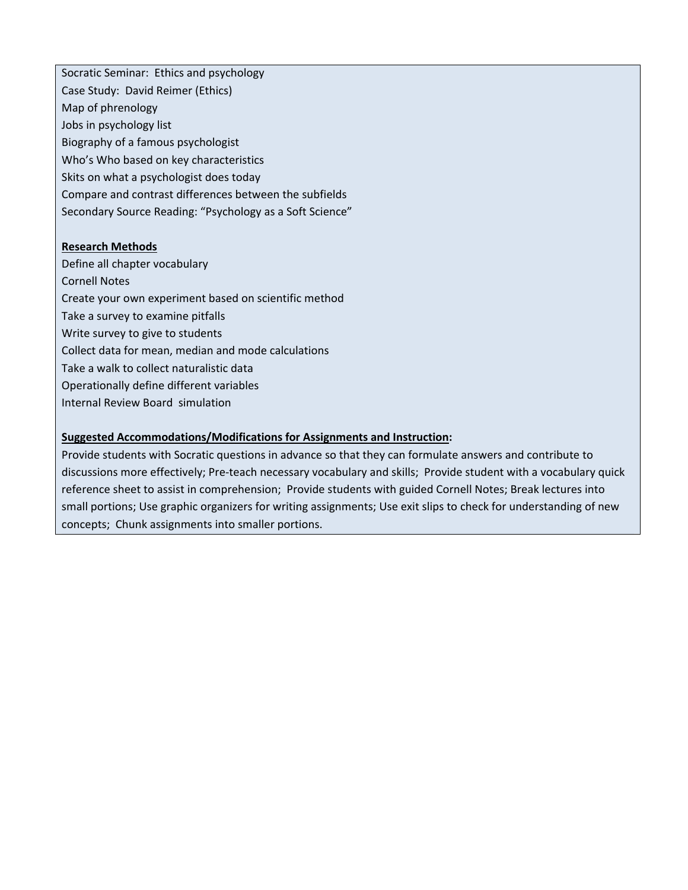Socratic Seminar: Ethics and psychology Case Study: David Reimer (Ethics) Map of phrenology Jobs in psychology list Biography of a famous psychologist Who's Who based on key characteristics Skits on what a psychologist does today Compare and contrast differences between the subfields Secondary Source Reading: "Psychology as a Soft Science"

#### **Research Methods**

Define all chapter vocabulary Cornell Notes Create your own experiment based on scientific method Take a survey to examine pitfalls Write survey to give to students Collect data for mean, median and mode calculations Take a walk to collect naturalistic data Operationally define different variables Internal Review Board simulation

#### **Suggested Accommodations/Modifications for Assignments and Instruction:**

Provide students with Socratic questions in advance so that they can formulate answers and contribute to discussions more effectively; Pre‐teach necessary vocabulary and skills; Provide student with a vocabulary quick reference sheet to assist in comprehension; Provide students with guided Cornell Notes; Break lectures into small portions; Use graphic organizers for writing assignments; Use exit slips to check for understanding of new concepts; Chunk assignments into smaller portions.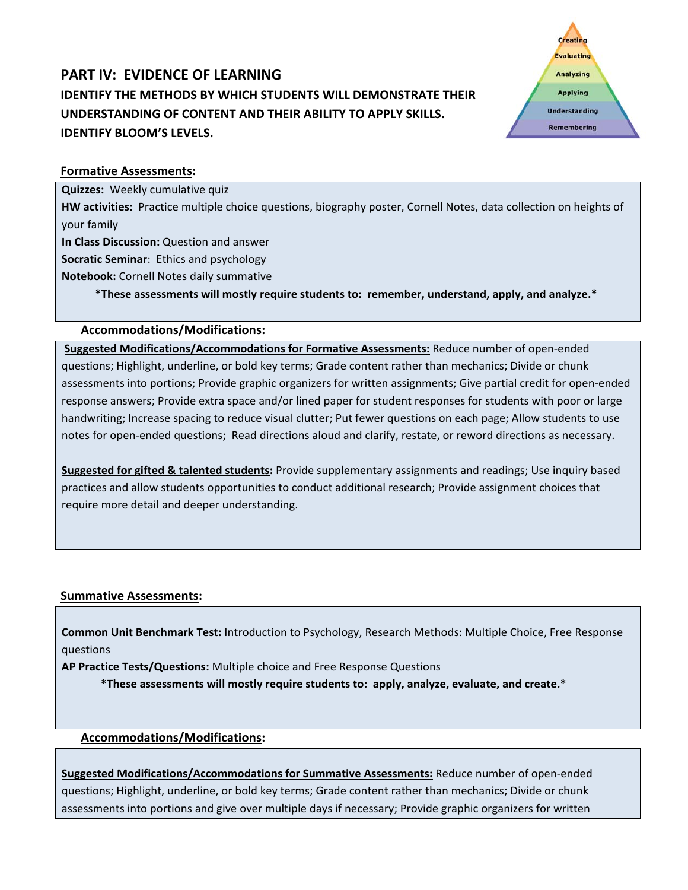# **PART IV: EVIDENCE OF LEARNING IDENTIFY THE METHODS BY WHICH STUDENTS WILL DEMONSTRATE THEIR UNDERSTANDING OF CONTENT AND THEIR ABILITY TO APPLY SKILLS. IDENTIFY BLOOM'S LEVELS.**



#### **Formative Assessments:**

**Quizzes:** Weekly cumulative quiz

**HW activities:** Practice multiple choice questions, biography poster, Cornell Notes, data collection on heights of your family

**In Class Discussion:** Question and answer

**Socratic Seminar**: Ethics and psychology

**Notebook:** Cornell Notes daily summative

\*These assessments will mostly require students to: remember, understand, apply, and analyze.\*

#### **Accommodations/Modifications:**

**Suggested Modifications/Accommodations for Formative Assessments:** Reduce number of open‐ended questions; Highlight, underline, or bold key terms; Grade content rather than mechanics; Divide or chunk assessments into portions; Provide graphic organizers for written assignments; Give partial credit for open‐ended response answers; Provide extra space and/or lined paper for student responses for students with poor or large handwriting; Increase spacing to reduce visual clutter; Put fewer questions on each page; Allow students to use notes for open‐ended questions; Read directions aloud and clarify, restate, or reword directions as necessary.

**Suggested for gifted & talented students:** Provide supplementary assignments and readings; Use inquiry based practices and allow students opportunities to conduct additional research; Provide assignment choices that require more detail and deeper understanding.

### **Summative Assessments:**

**Common Unit Benchmark Test:** Introduction to Psychology, Research Methods: Multiple Choice, Free Response questions

 $\mathcal{L}=\mathcal{L}^{\mathcal{L}}$  , where  $\mathcal{L}^{\mathcal{L}}$  , where  $\mathcal{L}^{\mathcal{L}}$  , where  $\mathcal{L}^{\mathcal{L}}$  , where  $\mathcal{L}^{\mathcal{L}}$ 

**AP Practice Tests/Questions:** Multiple choice and Free Response Questions

\*These assessments will mostly require students to: apply, analyze, evaluate, and create.\*

#### **Accommodations/Modifications:**

**Suggested Modifications/Accommodations for Summative Assessments:** Reduce number of open‐ended questions; Highlight, underline, or bold key terms; Grade content rather than mechanics; Divide or chunk assessments into portions and give over multiple days if necessary; Provide graphic organizers for written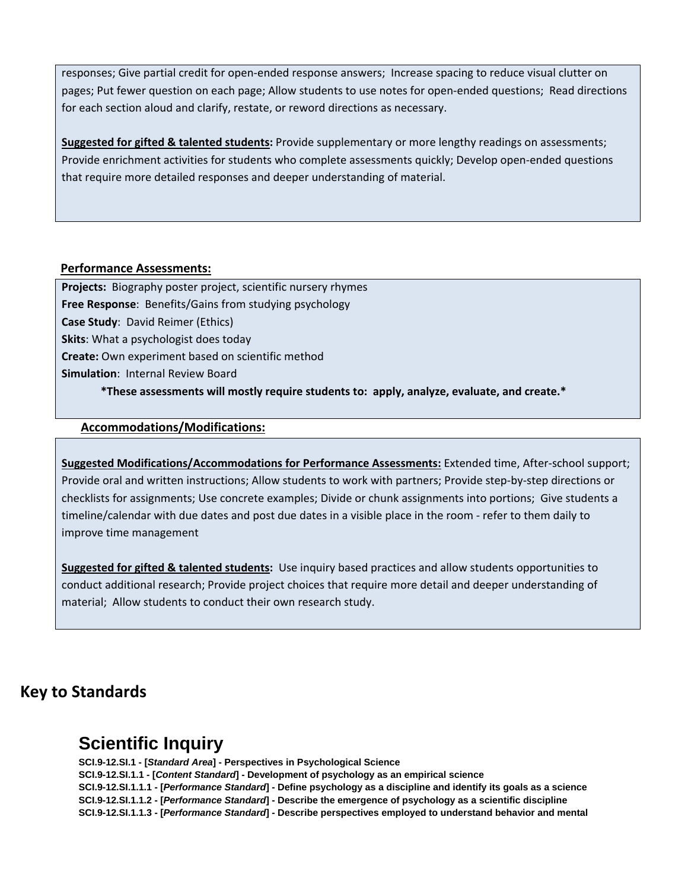responses; Give partial credit for open‐ended response answers; Increase spacing to reduce visual clutter on pages; Put fewer question on each page; Allow students to use notes for open‐ended questions; Read directions for each section aloud and clarify, restate, or reword directions as necessary.

**Suggested for gifted & talented students:** Provide supplementary or more lengthy readings on assessments; Provide enrichment activities for students who complete assessments quickly; Develop open‐ended questions that require more detailed responses and deeper understanding of material.

#### **Performance Assessments:**

**Projects:** Biography poster project, scientific nursery rhymes **Free Response**: Benefits/Gains from studying psychology **Case Study**: David Reimer (Ethics) **Skits**: What a psychologist does today **Create:** Own experiment based on scientific method **Simulation**: Internal Review Board 

# \*These assessments will mostly require students to: apply, analyze, evaluate, and create.\*

#### **Accommodations/Modifications:**

**Suggested Modifications/Accommodations for Performance Assessments:** Extended time, After‐school support; Provide oral and written instructions; Allow students to work with partners; Provide step‐by‐step directions or checklists for assignments; Use concrete examples; Divide or chunk assignments into portions; Give students a timeline/calendar with due dates and post due dates in a visible place in the room ‐ refer to them daily to improve time management

**Suggested for gifted & talented students:** Use inquiry based practices and allow students opportunities to conduct additional research; Provide project choices that require more detail and deeper understanding of material; Allow students to conduct their own research study.

# **Key to Standards**

# **Scientific Inquiry**

**SCI.9-12.SI.1 - [***Standard Area***] - Perspectives in Psychological Science SCI.9-12.SI.1.1 - [***Content Standard***] - Development of psychology as an empirical science SCI.9-12.SI.1.1.1 - [***Performance Standard***] - Define psychology as a discipline and identify its goals as a science SCI.9-12.SI.1.1.2 - [***Performance Standard***] - Describe the emergence of psychology as a scientific discipline SCI.9-12.SI.1.1.3 - [***Performance Standard***] - Describe perspectives employed to understand behavior and mental**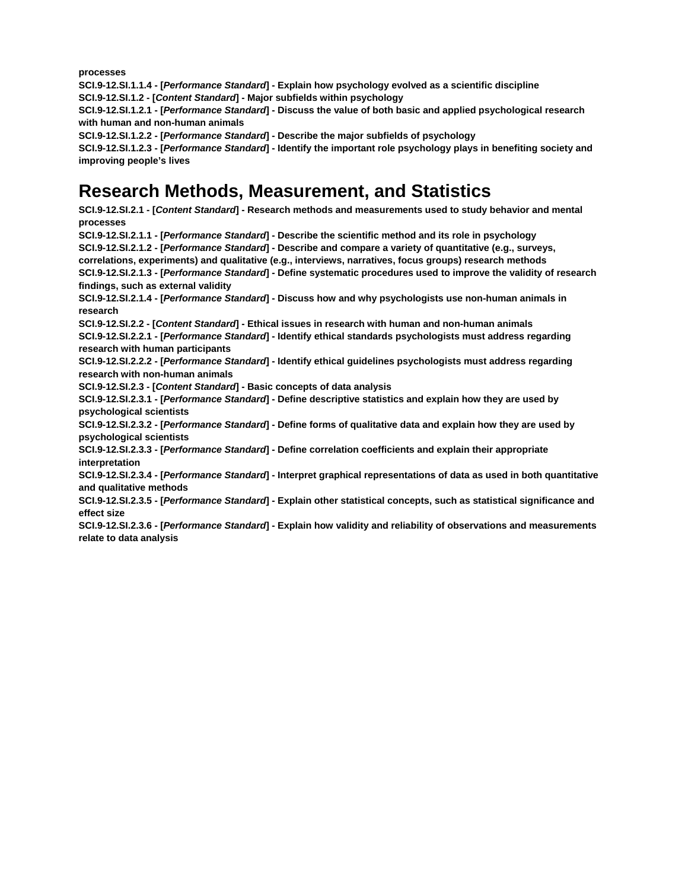**processes**

**SCI.9-12.SI.1.1.4 - [***Performance Standard***] - Explain how psychology evolved as a scientific discipline SCI.9-12.SI.1.2 - [***Content Standard***] - Major subfields within psychology**

**SCI.9-12.SI.1.2.1 - [***Performance Standard***] - Discuss the value of both basic and applied psychological research with human and non-human animals**

**SCI.9-12.SI.1.2.2 - [***Performance Standard***] - Describe the major subfields of psychology**

**SCI.9-12.SI.1.2.3 - [***Performance Standard***] - Identify the important role psychology plays in benefiting society and improving people's lives** 

# **Research Methods, Measurement, and Statistics**

**SCI.9-12.SI.2.1 - [***Content Standard***] - Research methods and measurements used to study behavior and mental processes**

**SCI.9-12.SI.2.1.1 - [***Performance Standard***] - Describe the scientific method and its role in psychology**

**SCI.9-12.SI.2.1.2 - [***Performance Standard***] - Describe and compare a variety of quantitative (e.g., surveys,** 

**correlations, experiments) and qualitative (e.g., interviews, narratives, focus groups) research methods**

**SCI.9-12.SI.2.1.3 - [***Performance Standard***] - Define systematic procedures used to improve the validity of research findings, such as external validity**

**SCI.9-12.SI.2.1.4 - [***Performance Standard***] - Discuss how and why psychologists use non-human animals in research**

**SCI.9-12.SI.2.2 - [***Content Standard***] - Ethical issues in research with human and non-human animals SCI.9-12.SI.2.2.1 - [***Performance Standard***] - Identify ethical standards psychologists must address regarding research with human participants**

**SCI.9-12.SI.2.2.2 - [***Performance Standard***] - Identify ethical guidelines psychologists must address regarding research with non-human animals**

**SCI.9-12.SI.2.3 - [***Content Standard***] - Basic concepts of data analysis**

**SCI.9-12.SI.2.3.1 - [***Performance Standard***] - Define descriptive statistics and explain how they are used by psychological scientists**

**SCI.9-12.SI.2.3.2 - [***Performance Standard***] - Define forms of qualitative data and explain how they are used by psychological scientists**

**SCI.9-12.SI.2.3.3 - [***Performance Standard***] - Define correlation coefficients and explain their appropriate interpretation**

**SCI.9-12.SI.2.3.4 - [***Performance Standard***] - Interpret graphical representations of data as used in both quantitative and qualitative methods**

**SCI.9-12.SI.2.3.5 - [***Performance Standard***] - Explain other statistical concepts, such as statistical significance and effect size**

**SCI.9-12.SI.2.3.6 - [***Performance Standard***] - Explain how validity and reliability of observations and measurements relate to data analysis**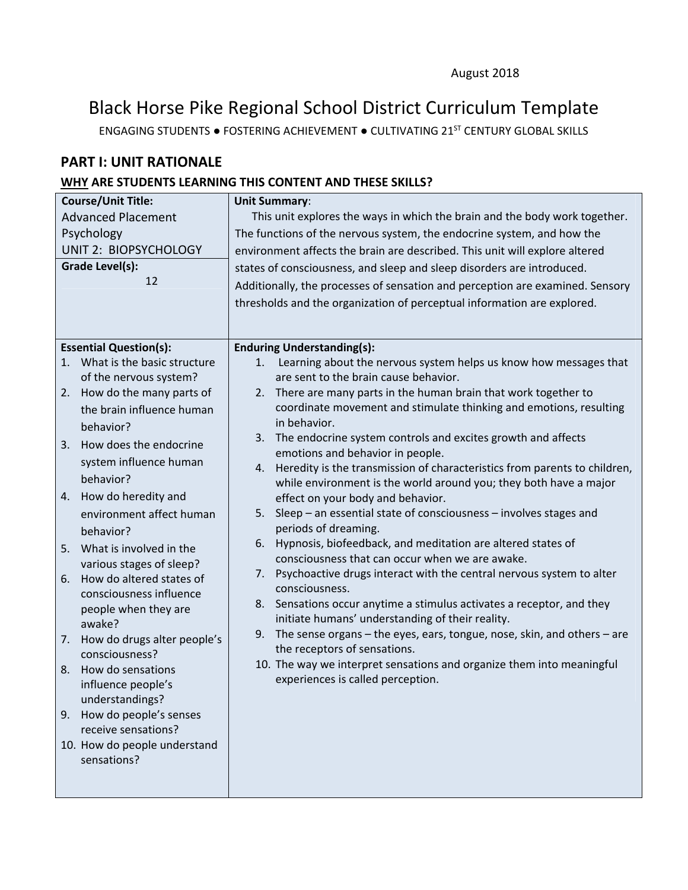# Black Horse Pike Regional School District Curriculum Template

ENGAGING STUDENTS ● FOSTERING ACHIEVEMENT ● CULTIVATING 21ST CENTURY GLOBAL SKILLS

# **PART I: UNIT RATIONALE**

# **WHY ARE STUDENTS LEARNING THIS CONTENT AND THESE SKILLS?**

| <b>Course/Unit Title:</b>                   | <b>Unit Summary:</b>                                                                                       |  |  |
|---------------------------------------------|------------------------------------------------------------------------------------------------------------|--|--|
| <b>Advanced Placement</b>                   | This unit explores the ways in which the brain and the body work together.                                 |  |  |
| Psychology                                  | The functions of the nervous system, the endocrine system, and how the                                     |  |  |
| <b>UNIT 2: BIOPSYCHOLOGY</b>                | environment affects the brain are described. This unit will explore altered                                |  |  |
| Grade Level(s):                             | states of consciousness, and sleep and sleep disorders are introduced.                                     |  |  |
| 12                                          | Additionally, the processes of sensation and perception are examined. Sensory                              |  |  |
|                                             | thresholds and the organization of perceptual information are explored.                                    |  |  |
|                                             |                                                                                                            |  |  |
|                                             |                                                                                                            |  |  |
| <b>Essential Question(s):</b>               | <b>Enduring Understanding(s):</b>                                                                          |  |  |
| 1. What is the basic structure              | Learning about the nervous system helps us know how messages that<br>1.                                    |  |  |
| of the nervous system?                      | are sent to the brain cause behavior.                                                                      |  |  |
| How do the many parts of<br>2.              | 2. There are many parts in the human brain that work together to                                           |  |  |
| the brain influence human                   | coordinate movement and stimulate thinking and emotions, resulting<br>in behavior.                         |  |  |
| behavior?                                   | 3. The endocrine system controls and excites growth and affects                                            |  |  |
| How does the endocrine<br>3.                | emotions and behavior in people.                                                                           |  |  |
| system influence human                      | Heredity is the transmission of characteristics from parents to children,<br>4.                            |  |  |
| behavior?                                   | while environment is the world around you; they both have a major                                          |  |  |
| How do heredity and<br>4.                   | effect on your body and behavior.                                                                          |  |  |
| environment affect human                    | Sleep - an essential state of consciousness - involves stages and<br>5.                                    |  |  |
| behavior?                                   | periods of dreaming.                                                                                       |  |  |
| What is involved in the<br>5.               | Hypnosis, biofeedback, and meditation are altered states of<br>6.                                          |  |  |
| various stages of sleep?                    | consciousness that can occur when we are awake.                                                            |  |  |
| How do altered states of<br>6.              | Psychoactive drugs interact with the central nervous system to alter<br>7.                                 |  |  |
| consciousness influence                     | consciousness.                                                                                             |  |  |
| people when they are                        | 8. Sensations occur anytime a stimulus activates a receptor, and they                                      |  |  |
| awake?                                      | initiate humans' understanding of their reality.                                                           |  |  |
| How do drugs alter people's<br>7.           | The sense organs - the eyes, ears, tongue, nose, skin, and others - are<br>9.                              |  |  |
| consciousness?                              | the receptors of sensations.                                                                               |  |  |
| How do sensations<br>8.                     | 10. The way we interpret sensations and organize them into meaningful<br>experiences is called perception. |  |  |
| influence people's                          |                                                                                                            |  |  |
| understandings?                             |                                                                                                            |  |  |
| How do people's senses<br>9.                |                                                                                                            |  |  |
| receive sensations?                         |                                                                                                            |  |  |
| 10. How do people understand<br>sensations? |                                                                                                            |  |  |
|                                             |                                                                                                            |  |  |
|                                             |                                                                                                            |  |  |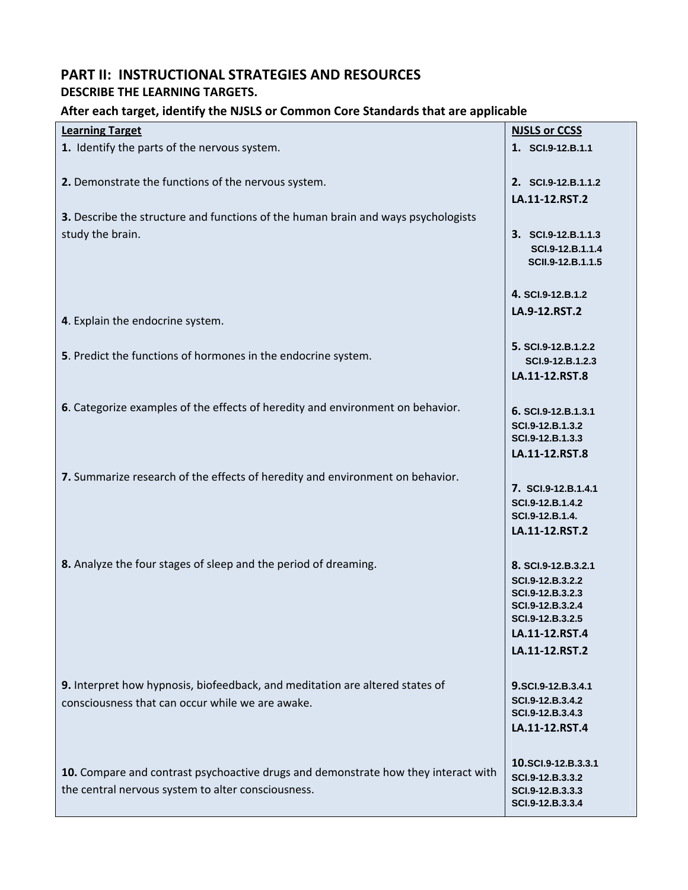# **PART II: INSTRUCTIONAL STRATEGIES AND RESOURCES DESCRIBE THE LEARNING TARGETS.**

#### **After each target, identify the NJSLS or Common Core Standards that are applicable**

| <b>Learning Target</b>                                                             | <b>NJSLS or CCSS</b>                 |
|------------------------------------------------------------------------------------|--------------------------------------|
| 1. Identify the parts of the nervous system.                                       | 1. SCI.9-12.B.1.1                    |
|                                                                                    |                                      |
|                                                                                    |                                      |
| 2. Demonstrate the functions of the nervous system.                                | 2. SCI.9-12.B.1.1.2                  |
|                                                                                    |                                      |
|                                                                                    | LA.11-12.RST.2                       |
| 3. Describe the structure and functions of the human brain and ways psychologists  |                                      |
| study the brain.                                                                   | 3. SCI.9-12.B.1.1.3                  |
|                                                                                    |                                      |
|                                                                                    | SCI.9-12.B.1.1.4                     |
|                                                                                    | SCII.9-12.B.1.1.5                    |
|                                                                                    |                                      |
|                                                                                    | 4. SCI.9-12.B.1.2                    |
|                                                                                    | LA.9-12.RST.2                        |
| 4. Explain the endocrine system.                                                   |                                      |
|                                                                                    |                                      |
|                                                                                    | 5. SCI.9-12.B.1.2.2                  |
| 5. Predict the functions of hormones in the endocrine system.                      | SCI.9-12.B.1.2.3                     |
|                                                                                    |                                      |
|                                                                                    | LA.11-12.RST.8                       |
|                                                                                    |                                      |
| 6. Categorize examples of the effects of heredity and environment on behavior.     | 6. SCI.9-12.B.1.3.1                  |
|                                                                                    |                                      |
|                                                                                    | SCI.9-12.B.1.3.2<br>SCI.9-12.B.1.3.3 |
|                                                                                    |                                      |
|                                                                                    | LA.11-12.RST.8                       |
|                                                                                    |                                      |
| 7. Summarize research of the effects of heredity and environment on behavior.      | 7. SCI.9-12.B.1.4.1                  |
|                                                                                    |                                      |
|                                                                                    | SCI.9-12.B.1.4.2<br>SCI.9-12.B.1.4.  |
|                                                                                    |                                      |
|                                                                                    | LA.11-12.RST.2                       |
|                                                                                    |                                      |
| 8. Analyze the four stages of sleep and the period of dreaming.                    | 8. SCI.9-12.B.3.2.1                  |
|                                                                                    |                                      |
|                                                                                    | SCI.9-12.B.3.2.2                     |
|                                                                                    | SCI.9-12.B.3.2.3                     |
|                                                                                    | SCI.9-12.B.3.2.4                     |
|                                                                                    | SCI.9-12.B.3.2.5                     |
|                                                                                    | LA.11-12.RST.4                       |
|                                                                                    | LA.11-12.RST.2                       |
|                                                                                    |                                      |
|                                                                                    |                                      |
| 9. Interpret how hypnosis, biofeedback, and meditation are altered states of       | 9.SCI.9-12.B.3.4.1                   |
| consciousness that can occur while we are awake.                                   | SCI.9-12.B.3.4.2                     |
|                                                                                    | SCI.9-12.B.3.4.3                     |
|                                                                                    | LA.11-12.RST.4                       |
|                                                                                    |                                      |
|                                                                                    |                                      |
| 10. Compare and contrast psychoactive drugs and demonstrate how they interact with | 10.SCI.9-12.B.3.3.1                  |
|                                                                                    | SCI.9-12.B.3.3.2                     |
| the central nervous system to alter consciousness.                                 | SCI.9-12.B.3.3.3                     |
|                                                                                    | SCI.9-12.B.3.3.4                     |
|                                                                                    |                                      |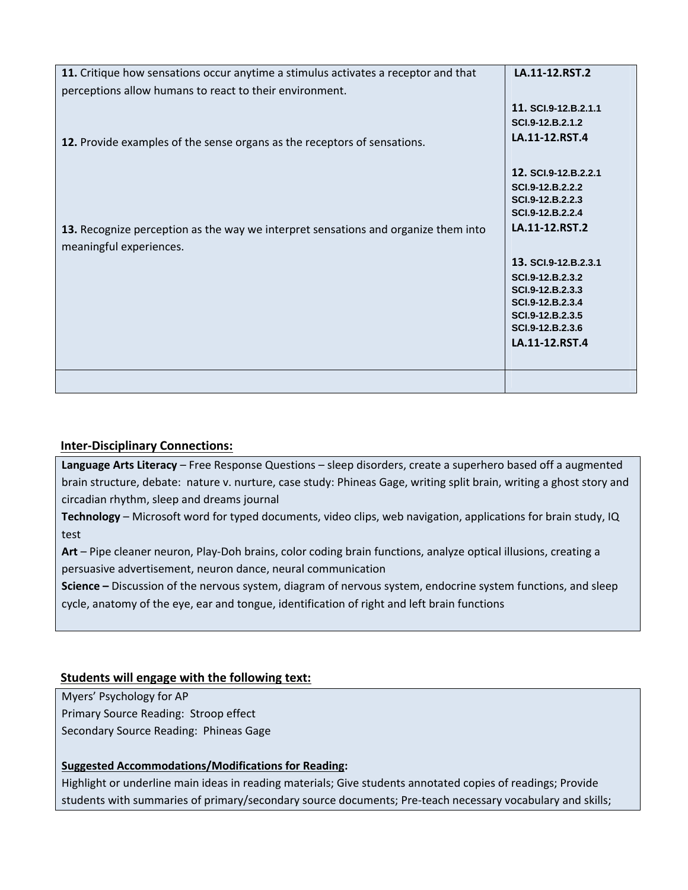| 11. Critique how sensations occur anytime a stimulus activates a receptor and that | LA.11-12.RST.2                       |
|------------------------------------------------------------------------------------|--------------------------------------|
| perceptions allow humans to react to their environment.                            |                                      |
|                                                                                    | 11. SCI.9-12.B.2.1.1                 |
|                                                                                    | SCI.9-12.B.2.1.2                     |
| 12. Provide examples of the sense organs as the receptors of sensations.           | LA.11-12.RST.4                       |
|                                                                                    |                                      |
|                                                                                    | 12. SCI.9-12.B.2.2.1                 |
|                                                                                    | SCI.9-12.B.2.2.2                     |
|                                                                                    | SCI.9-12.B.2.2.3<br>SCI.9-12.B.2.2.4 |
|                                                                                    | LA.11-12.RST.2                       |
| 13. Recognize perception as the way we interpret sensations and organize them into |                                      |
| meaningful experiences.                                                            |                                      |
|                                                                                    | 13. SCI.9-12.B.2.3.1                 |
|                                                                                    | SCI.9-12.B.2.3.2                     |
|                                                                                    | SCI.9-12.B.2.3.3<br>SCI.9-12.B.2.3.4 |
|                                                                                    | SCI.9-12.B.2.3.5                     |
|                                                                                    | SCI.9-12.B.2.3.6                     |
|                                                                                    | LA.11-12.RST.4                       |
|                                                                                    |                                      |
|                                                                                    |                                      |
|                                                                                    |                                      |

#### **Inter‐Disciplinary Connections:**

**Language Arts Literacy** – Free Response Questions – sleep disorders, create a superhero based off a augmented brain structure, debate: nature v. nurture, case study: Phineas Gage, writing split brain, writing a ghost story and circadian rhythm, sleep and dreams journal

**Technology** – Microsoft word for typed documents, video clips, web navigation, applications for brain study, IQ test

**Art** – Pipe cleaner neuron, Play‐Doh brains, color coding brain functions, analyze optical illusions, creating a persuasive advertisement, neuron dance, neural communication

**Science –** Discussion of the nervous system, diagram of nervous system, endocrine system functions, and sleep cycle, anatomy of the eye, ear and tongue, identification of right and left brain functions

#### **Students will engage with the following text:**

Myers' Psychology for AP Primary Source Reading: Stroop effect Secondary Source Reading: Phineas Gage

#### **Suggested Accommodations/Modifications for Reading:**

Highlight or underline main ideas in reading materials; Give students annotated copies of readings; Provide students with summaries of primary/secondary source documents; Pre‐teach necessary vocabulary and skills;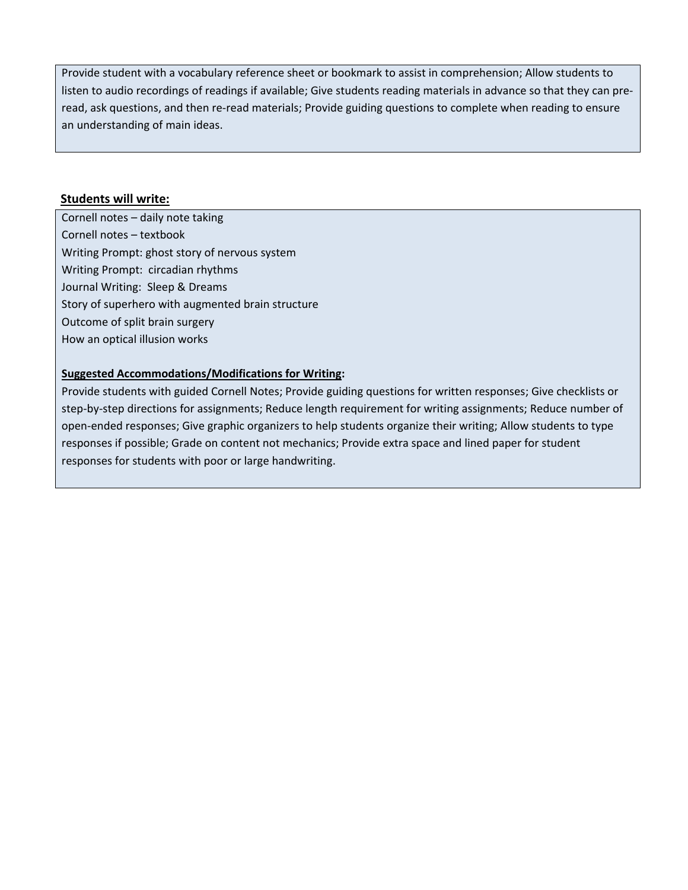Provide student with a vocabulary reference sheet or bookmark to assist in comprehension; Allow students to listen to audio recordings of readings if available; Give students reading materials in advance so that they can pre‐ read, ask questions, and then re‐read materials; Provide guiding questions to complete when reading to ensure an understanding of main ideas.

#### **Students will write:**

Cornell notes – daily note taking Cornell notes – textbook Writing Prompt: ghost story of nervous system Writing Prompt: circadian rhythms Journal Writing: Sleep & Dreams Story of superhero with augmented brain structure Outcome of split brain surgery How an optical illusion works

#### **Suggested Accommodations/Modifications for Writing:**

Provide students with guided Cornell Notes; Provide guiding questions for written responses; Give checklists or step-by-step directions for assignments; Reduce length requirement for writing assignments; Reduce number of open‐ended responses; Give graphic organizers to help students organize their writing; Allow students to type responses if possible; Grade on content not mechanics; Provide extra space and lined paper for student responses for students with poor or large handwriting.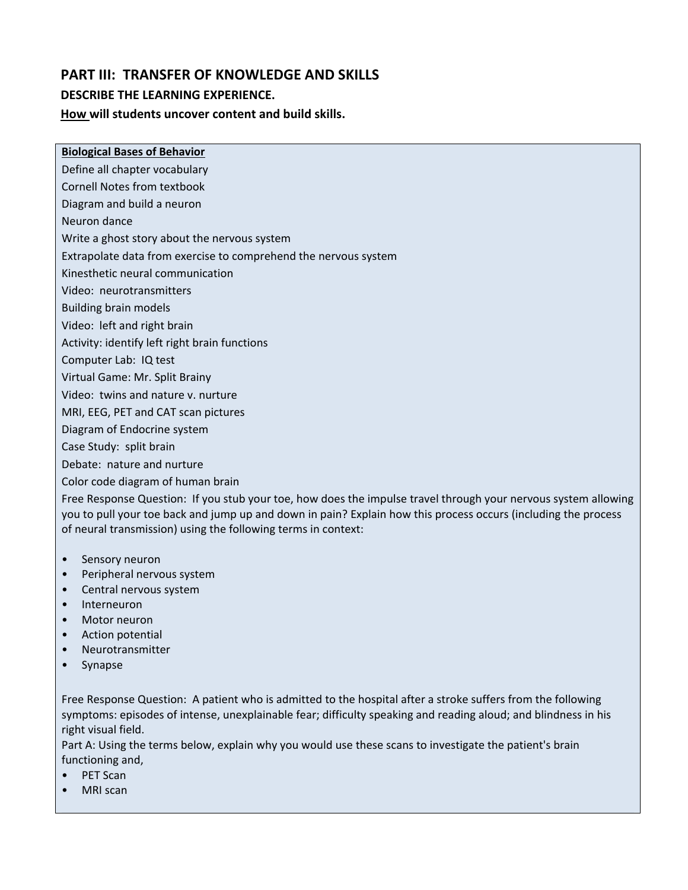# **PART III: TRANSFER OF KNOWLEDGE AND SKILLS**

#### **DESCRIBE THE LEARNING EXPERIENCE.**

#### **How will students uncover content and build skills.**

#### **Biological Bases of Behavior**

Define all chapter vocabulary

Cornell Notes from textbook

Diagram and build a neuron

Neuron dance

Write a ghost story about the nervous system

Extrapolate data from exercise to comprehend the nervous system

Kinesthetic neural communication

Video: neurotransmitters

Building brain models

Video: left and right brain

Activity: identify left right brain functions

Computer Lab: IQ test

Virtual Game: Mr. Split Brainy

Video: twins and nature v. nurture

MRI, EEG, PET and CAT scan pictures

Diagram of Endocrine system

Case Study: split brain

Debate: nature and nurture

Color code diagram of human brain

Free Response Question: If you stub your toe, how does the impulse travel through your nervous system allowing you to pull your toe back and jump up and down in pain? Explain how this process occurs (including the process of neural transmission) using the following terms in context:

- Sensory neuron
- Peripheral nervous system
- Central nervous system
- Interneuron
- Motor neuron
- Action potential
- Neurotransmitter
- Synapse

Free Response Question: A patient who is admitted to the hospital after a stroke suffers from the following symptoms: episodes of intense, unexplainable fear; difficulty speaking and reading aloud; and blindness in his right visual field.

Part A: Using the terms below, explain why you would use these scans to investigate the patient's brain functioning and,

- PET Scan
- MRI scan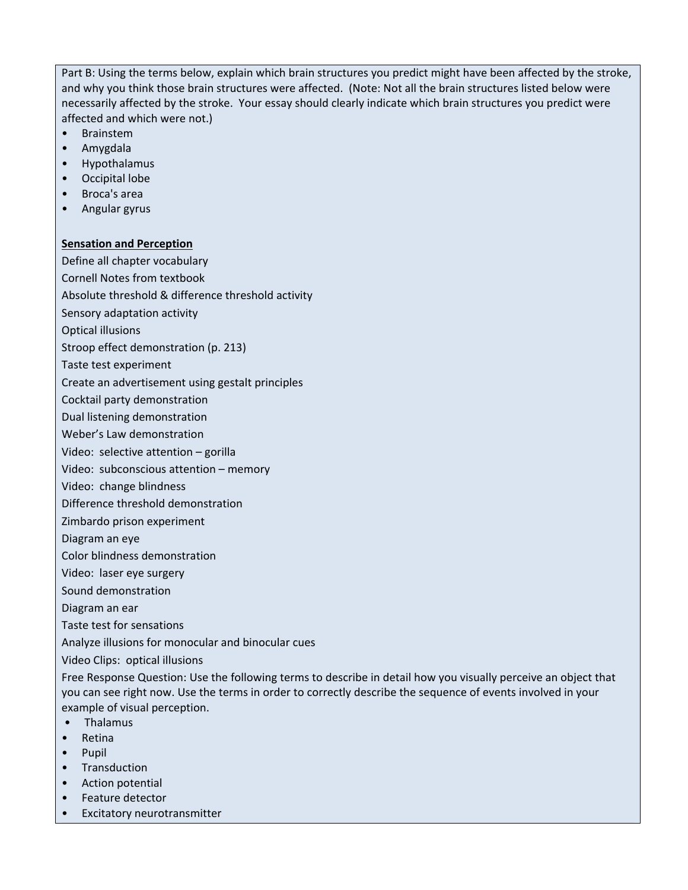Part B: Using the terms below, explain which brain structures you predict might have been affected by the stroke, and why you think those brain structures were affected. (Note: Not all the brain structures listed below were necessarily affected by the stroke. Your essay should clearly indicate which brain structures you predict were affected and which were not.)

- Brainstem
- Amygdala
- Hypothalamus
- Occipital lobe
- Broca's area
- Angular gyrus

#### **Sensation and Perception**

Define all chapter vocabulary

Cornell Notes from textbook

Absolute threshold & difference threshold activity

- Sensory adaptation activity
- Optical illusions
- Stroop effect demonstration (p. 213)
- Taste test experiment
- Create an advertisement using gestalt principles
- Cocktail party demonstration
- Dual listening demonstration
- Weber's Law demonstration
- Video: selective attention gorilla
- Video: subconscious attention memory
- Video: change blindness
- Difference threshold demonstration
- Zimbardo prison experiment
- Diagram an eye
- Color blindness demonstration
- Video: laser eye surgery
- Sound demonstration
- Diagram an ear
- Taste test for sensations
- Analyze illusions for monocular and binocular cues

Video Clips: optical illusions

Free Response Question: Use the following terms to describe in detail how you visually perceive an object that you can see right now. Use the terms in order to correctly describe the sequence of events involved in your example of visual perception.

- Thalamus
- Retina
- Pupil
- Transduction
- Action potential
- Feature detector
- Excitatory neurotransmitter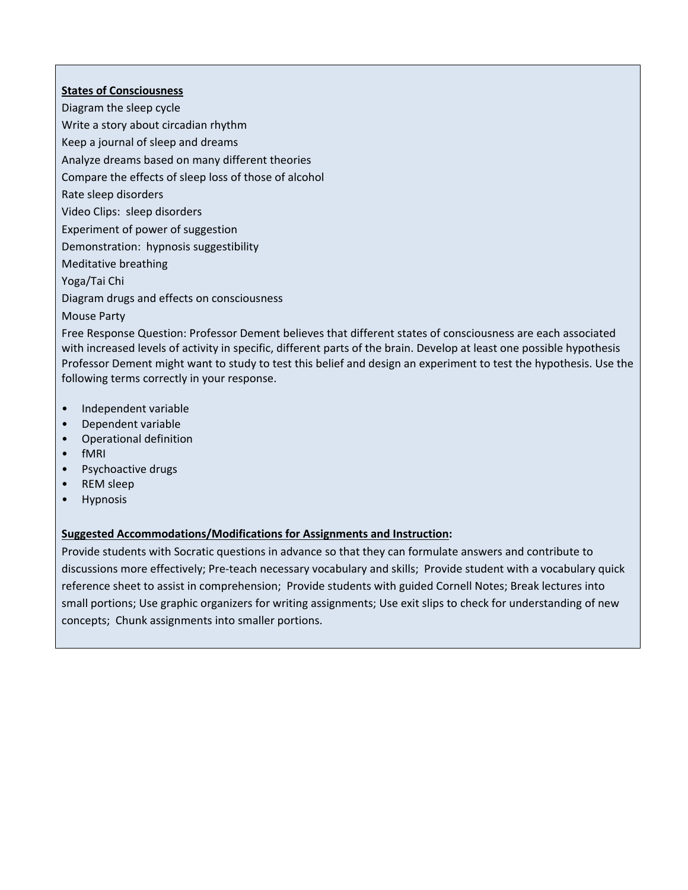#### **States of Consciousness**

Diagram the sleep cycle

Write a story about circadian rhythm

Keep a journal of sleep and dreams

Analyze dreams based on many different theories

Compare the effects of sleep loss of those of alcohol

Rate sleep disorders

Video Clips: sleep disorders

Experiment of power of suggestion

Demonstration: hypnosis suggestibility

Meditative breathing

Yoga/Tai Chi

Diagram drugs and effects on consciousness

#### Mouse Party

Free Response Question: Professor Dement believes that different states of consciousness are each associated with increased levels of activity in specific, different parts of the brain. Develop at least one possible hypothesis Professor Dement might want to study to test this belief and design an experiment to test the hypothesis. Use the following terms correctly in your response.

- Independent variable
- Dependent variable
- Operational definition
- fMRI
- **Psychoactive drugs**
- REM sleep
- Hypnosis

#### **Suggested Accommodations/Modifications for Assignments and Instruction:**

Provide students with Socratic questions in advance so that they can formulate answers and contribute to discussions more effectively; Pre‐teach necessary vocabulary and skills; Provide student with a vocabulary quick reference sheet to assist in comprehension; Provide students with guided Cornell Notes; Break lectures into small portions; Use graphic organizers for writing assignments; Use exit slips to check for understanding of new concepts; Chunk assignments into smaller portions.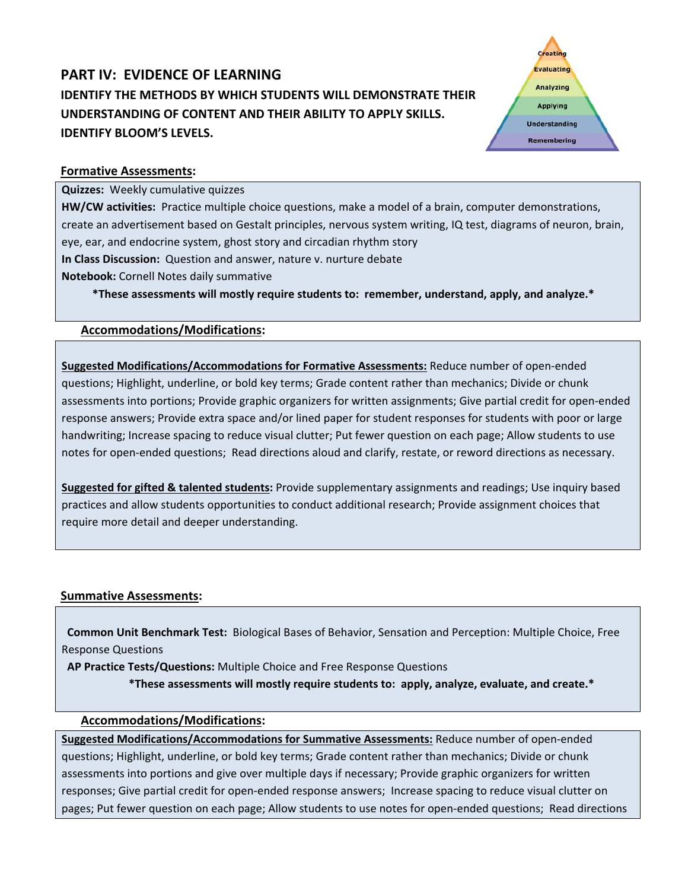# **PART IV: EVIDENCE OF LEARNING IDENTIFY THE METHODS BY WHICH STUDENTS WILL DEMONSTRATE THEIR UNDERSTANDING OF CONTENT AND THEIR ABILITY TO APPLY SKILLS. IDENTIFY BLOOM'S LEVELS.**



#### **Formative Assessments:**

**Quizzes:** Weekly cumulative quizzes

**HW/CW activities:** Practice multiple choice questions, make a model of a brain, computer demonstrations, create an advertisement based on Gestalt principles, nervous system writing, IQ test, diagrams of neuron, brain, eye, ear, and endocrine system, ghost story and circadian rhythm story **In Class Discussion:** Question and answer, nature v. nurture debate

**Notebook:** Cornell Notes daily summative

 **\*These assessments will mostly require students to: remember, understand, apply, and analyze.\*** 

#### **Accommodations/Modifications:**

**Suggested Modifications/Accommodations for Formative Assessments:** Reduce number of open‐ended questions; Highlight, underline, or bold key terms; Grade content rather than mechanics; Divide or chunk assessments into portions; Provide graphic organizers for written assignments; Give partial credit for open‐ended response answers; Provide extra space and/or lined paper for student responses for students with poor or large handwriting; Increase spacing to reduce visual clutter; Put fewer question on each page; Allow students to use notes for open‐ended questions; Read directions aloud and clarify, restate, or reword directions as necessary.

**Suggested for gifted & talented students:** Provide supplementary assignments and readings; Use inquiry based practices and allow students opportunities to conduct additional research; Provide assignment choices that require more detail and deeper understanding.

#### **Summative Assessments:**

 **Common Unit Benchmark Test:** Biological Bases of Behavior, Sensation and Perception: Multiple Choice, Free Response Questions

 **AP Practice Tests/Questions:** Multiple Choice and Free Response Questions

\*These assessments will mostly require students to: apply, analyze, evaluate, and create.\*

#### **Accommodations/Modifications:**

**Suggested Modifications/Accommodations for Summative Assessments:** Reduce number of open‐ended questions; Highlight, underline, or bold key terms; Grade content rather than mechanics; Divide or chunk assessments into portions and give over multiple days if necessary; Provide graphic organizers for written responses; Give partial credit for open‐ended response answers; Increase spacing to reduce visual clutter on pages; Put fewer question on each page; Allow students to use notes for open-ended questions; Read directions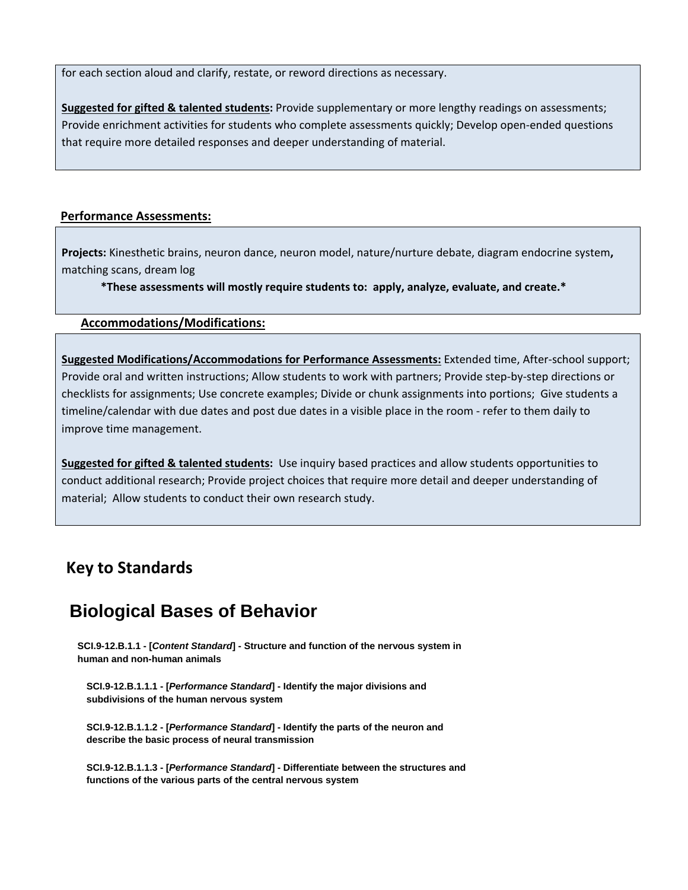for each section aloud and clarify, restate, or reword directions as necessary.

**Suggested for gifted & talented students:** Provide supplementary or more lengthy readings on assessments; Provide enrichment activities for students who complete assessments quickly; Develop open‐ended questions that require more detailed responses and deeper understanding of material.

#### **Performance Assessments:**

**Projects:** Kinesthetic brains, neuron dance, neuron model, nature/nurture debate, diagram endocrine system**,** matching scans, dream log

\*These assessments will mostly require students to: apply, analyze, evaluate, and create.\*

#### **Accommodations/Modifications:**

**Suggested Modifications/Accommodations for Performance Assessments:** Extended time, After‐school support; Provide oral and written instructions; Allow students to work with partners; Provide step‐by‐step directions or checklists for assignments; Use concrete examples; Divide or chunk assignments into portions; Give students a timeline/calendar with due dates and post due dates in a visible place in the room ‐ refer to them daily to improve time management.

**Suggested for gifted & talented students:** Use inquiry based practices and allow students opportunities to conduct additional research; Provide project choices that require more detail and deeper understanding of material; Allow students to conduct their own research study.

# **Key to Standards**

# **Biological Bases of Behavior**

**SCI.9-12.B.1.1 - [***Content Standard***] - Structure and function of the nervous system in human and non-human animals**

**SCI.9-12.B.1.1.1 - [***Performance Standard***] - Identify the major divisions and subdivisions of the human nervous system**

**SCI.9-12.B.1.1.2 - [***Performance Standard***] - Identify the parts of the neuron and describe the basic process of neural transmission**

**SCI.9-12.B.1.1.3 - [***Performance Standard***] - Differentiate between the structures and functions of the various parts of the central nervous system**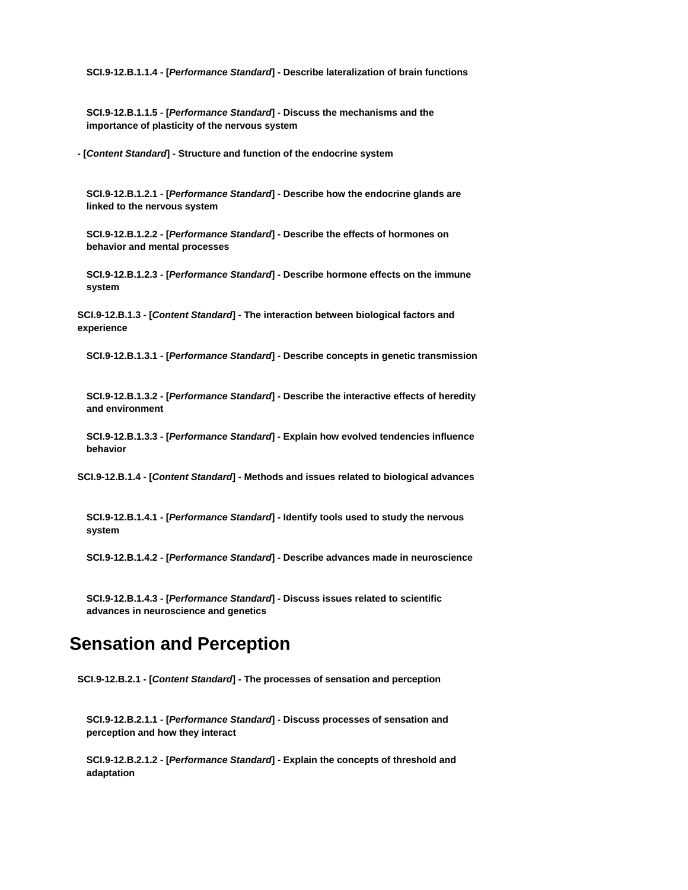**SCI.9-12.B.1.1.4 - [***Performance Standard***] - Describe lateralization of brain functions**

**SCI.9-12.B.1.1.5 - [***Performance Standard***] - Discuss the mechanisms and the importance of plasticity of the nervous system**

**- [***Content Standard***] - Structure and function of the endocrine system**

**SCI.9-12.B.1.2.1 - [***Performance Standard***] - Describe how the endocrine glands are linked to the nervous system**

**SCI.9-12.B.1.2.2 - [***Performance Standard***] - Describe the effects of hormones on behavior and mental processes**

**SCI.9-12.B.1.2.3 - [***Performance Standard***] - Describe hormone effects on the immune system**

**SCI.9-12.B.1.3 - [***Content Standard***] - The interaction between biological factors and experience**

**SCI.9-12.B.1.3.1 - [***Performance Standard***] - Describe concepts in genetic transmission**

**SCI.9-12.B.1.3.2 - [***Performance Standard***] - Describe the interactive effects of heredity and environment**

**SCI.9-12.B.1.3.3 - [***Performance Standard***] - Explain how evolved tendencies influence behavior**

**SCI.9-12.B.1.4 - [***Content Standard***] - Methods and issues related to biological advances**

**SCI.9-12.B.1.4.1 - [***Performance Standard***] - Identify tools used to study the nervous system**

**SCI.9-12.B.1.4.2 - [***Performance Standard***] - Describe advances made in neuroscience**

**SCI.9-12.B.1.4.3 - [***Performance Standard***] - Discuss issues related to scientific advances in neuroscience and genetics**

# **Sensation and Perception**

**SCI.9-12.B.2.1 - [***Content Standard***] - The processes of sensation and perception**

**SCI.9-12.B.2.1.1 - [***Performance Standard***] - Discuss processes of sensation and perception and how they interact**

**SCI.9-12.B.2.1.2 - [***Performance Standard***] - Explain the concepts of threshold and adaptation**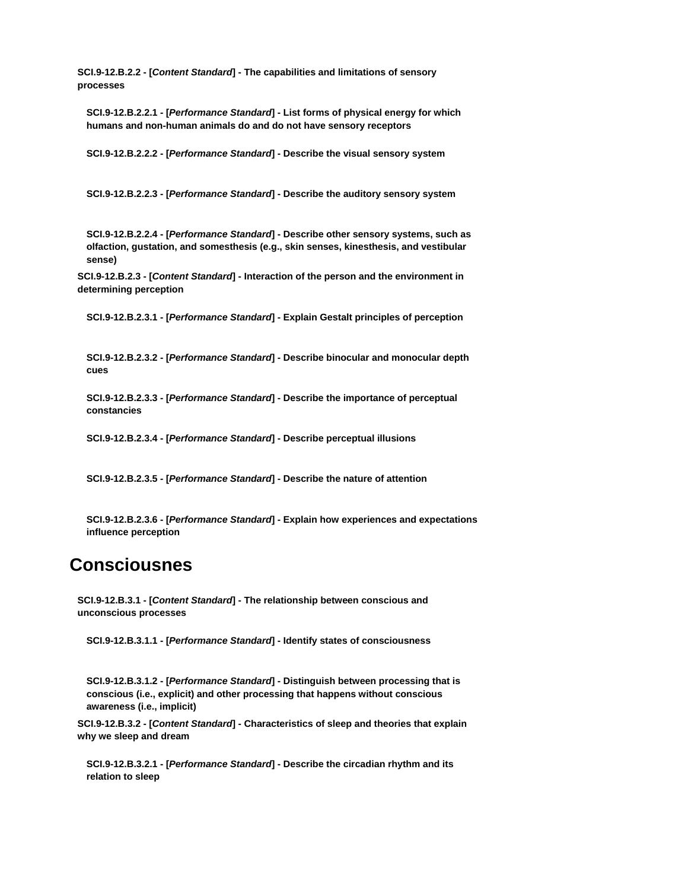**SCI.9-12.B.2.2 - [***Content Standard***] - The capabilities and limitations of sensory processes**

**SCI.9-12.B.2.2.1 - [***Performance Standard***] - List forms of physical energy for which humans and non-human animals do and do not have sensory receptors**

**SCI.9-12.B.2.2.2 - [***Performance Standard***] - Describe the visual sensory system**

**SCI.9-12.B.2.2.3 - [***Performance Standard***] - Describe the auditory sensory system**

**SCI.9-12.B.2.2.4 - [***Performance Standard***] - Describe other sensory systems, such as olfaction, gustation, and somesthesis (e.g., skin senses, kinesthesis, and vestibular sense)**

**SCI.9-12.B.2.3 - [***Content Standard***] - Interaction of the person and the environment in determining perception**

**SCI.9-12.B.2.3.1 - [***Performance Standard***] - Explain Gestalt principles of perception**

**SCI.9-12.B.2.3.2 - [***Performance Standard***] - Describe binocular and monocular depth cues**

**SCI.9-12.B.2.3.3 - [***Performance Standard***] - Describe the importance of perceptual constancies**

**SCI.9-12.B.2.3.4 - [***Performance Standard***] - Describe perceptual illusions**

**SCI.9-12.B.2.3.5 - [***Performance Standard***] - Describe the nature of attention**

**SCI.9-12.B.2.3.6 - [***Performance Standard***] - Explain how experiences and expectations influence perception**

# **Consciousnes**

**SCI.9-12.B.3.1 - [***Content Standard***] - The relationship between conscious and unconscious processes**

**SCI.9-12.B.3.1.1 - [***Performance Standard***] - Identify states of consciousness**

**SCI.9-12.B.3.1.2 - [***Performance Standard***] - Distinguish between processing that is conscious (i.e., explicit) and other processing that happens without conscious awareness (i.e., implicit)**

**SCI.9-12.B.3.2 - [***Content Standard***] - Characteristics of sleep and theories that explain why we sleep and dream**

**SCI.9-12.B.3.2.1 - [***Performance Standard***] - Describe the circadian rhythm and its relation to sleep**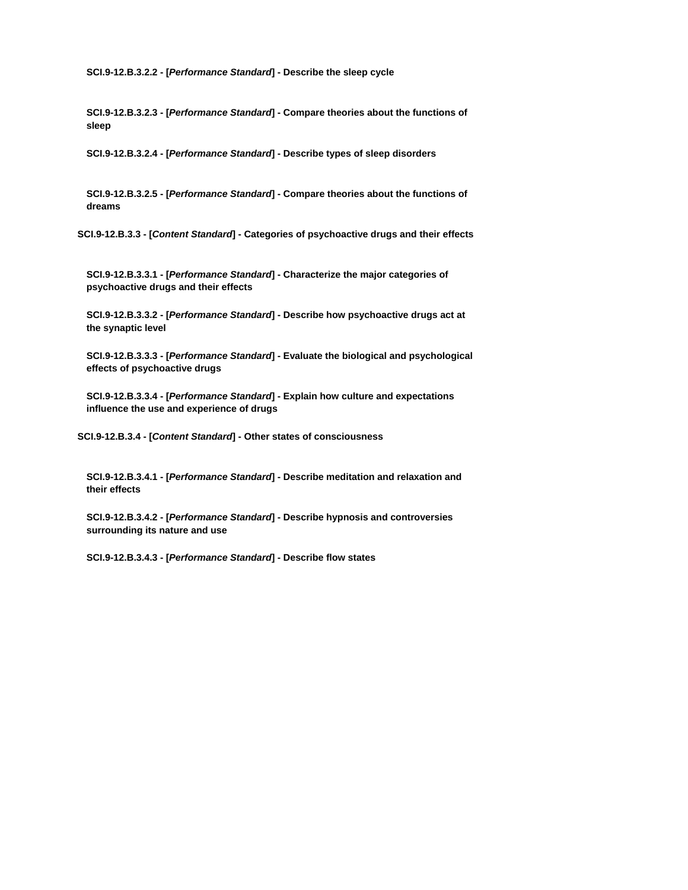**SCI.9-12.B.3.2.2 - [***Performance Standard***] - Describe the sleep cycle**

**SCI.9-12.B.3.2.3 - [***Performance Standard***] - Compare theories about the functions of sleep**

**SCI.9-12.B.3.2.4 - [***Performance Standard***] - Describe types of sleep disorders**

**SCI.9-12.B.3.2.5 - [***Performance Standard***] - Compare theories about the functions of dreams**

**SCI.9-12.B.3.3 - [***Content Standard***] - Categories of psychoactive drugs and their effects**

**SCI.9-12.B.3.3.1 - [***Performance Standard***] - Characterize the major categories of psychoactive drugs and their effects**

**SCI.9-12.B.3.3.2 - [***Performance Standard***] - Describe how psychoactive drugs act at the synaptic level**

**SCI.9-12.B.3.3.3 - [***Performance Standard***] - Evaluate the biological and psychological effects of psychoactive drugs**

**SCI.9-12.B.3.3.4 - [***Performance Standard***] - Explain how culture and expectations influence the use and experience of drugs**

**SCI.9-12.B.3.4 - [***Content Standard***] - Other states of consciousness**

**SCI.9-12.B.3.4.1 - [***Performance Standard***] - Describe meditation and relaxation and their effects**

**SCI.9-12.B.3.4.2 - [***Performance Standard***] - Describe hypnosis and controversies surrounding its nature and use**

**SCI.9-12.B.3.4.3 - [***Performance Standard***] - Describe flow states**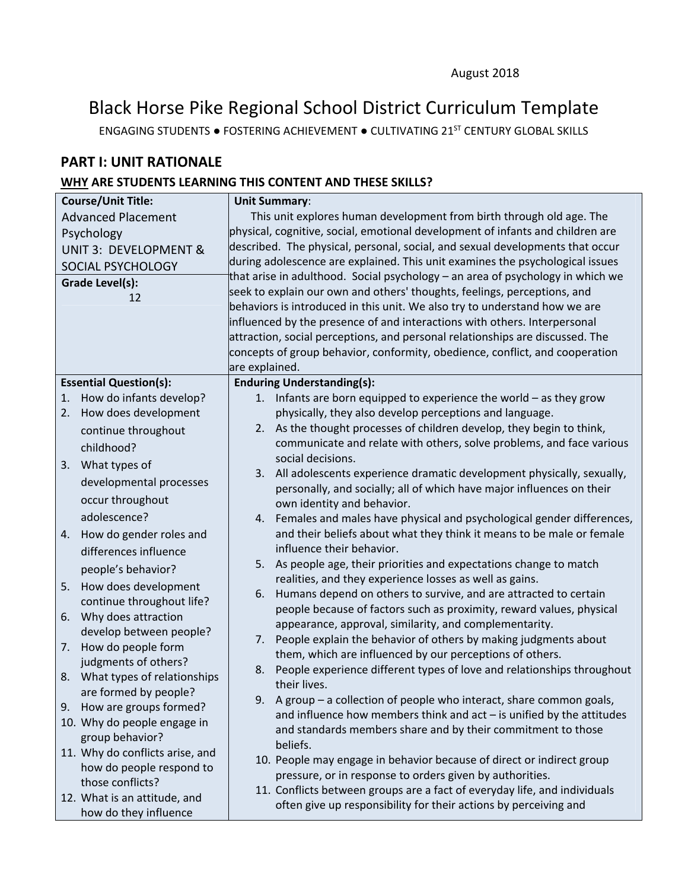# Black Horse Pike Regional School District Curriculum Template

ENGAGING STUDENTS ● FOSTERING ACHIEVEMENT ● CULTIVATING 21ST CENTURY GLOBAL SKILLS

# **PART I: UNIT RATIONALE**

# **WHY ARE STUDENTS LEARNING THIS CONTENT AND THESE SKILLS?**

| <b>Course/Unit Title:</b>                      | <b>Unit Summary:</b>                                                                                                                          |
|------------------------------------------------|-----------------------------------------------------------------------------------------------------------------------------------------------|
| <b>Advanced Placement</b>                      | This unit explores human development from birth through old age. The                                                                          |
| Psychology                                     | physical, cognitive, social, emotional development of infants and children are                                                                |
| <b>UNIT 3: DEVELOPMENT &amp;</b>               | described. The physical, personal, social, and sexual developments that occur                                                                 |
| SOCIAL PSYCHOLOGY                              | during adolescence are explained. This unit examines the psychological issues                                                                 |
| Grade Level(s):                                | that arise in adulthood. Social psychology – an area of psychology in which we                                                                |
| 12                                             | seek to explain our own and others' thoughts, feelings, perceptions, and                                                                      |
|                                                | behaviors is introduced in this unit. We also try to understand how we are                                                                    |
|                                                | influenced by the presence of and interactions with others. Interpersonal                                                                     |
|                                                | attraction, social perceptions, and personal relationships are discussed. The                                                                 |
|                                                | concepts of group behavior, conformity, obedience, conflict, and cooperation                                                                  |
|                                                | are explained.                                                                                                                                |
| <b>Essential Question(s):</b>                  | <b>Enduring Understanding(s):</b>                                                                                                             |
| How do infants develop?<br>1.                  | 1. Infants are born equipped to experience the world $-$ as they grow                                                                         |
| How does development<br>2.                     | physically, they also develop perceptions and language.                                                                                       |
| continue throughout                            | 2. As the thought processes of children develop, they begin to think,<br>communicate and relate with others, solve problems, and face various |
| childhood?                                     | social decisions.                                                                                                                             |
| 3. What types of                               | 3. All adolescents experience dramatic development physically, sexually,                                                                      |
| developmental processes                        | personally, and socially; all of which have major influences on their                                                                         |
| occur throughout                               | own identity and behavior.                                                                                                                    |
| adolescence?                                   | 4. Females and males have physical and psychological gender differences,                                                                      |
| How do gender roles and<br>4.                  | and their beliefs about what they think it means to be male or female                                                                         |
| differences influence                          | influence their behavior.                                                                                                                     |
| people's behavior?                             | As people age, their priorities and expectations change to match<br>5.                                                                        |
| How does development<br>5.                     | realities, and they experience losses as well as gains.                                                                                       |
| continue throughout life?                      | Humans depend on others to survive, and are attracted to certain<br>6.                                                                        |
| Why does attraction<br>6.                      | people because of factors such as proximity, reward values, physical                                                                          |
| develop between people?                        | appearance, approval, similarity, and complementarity.                                                                                        |
| How do people form<br>7.                       | People explain the behavior of others by making judgments about<br>7.<br>them, which are influenced by our perceptions of others.             |
| judgments of others?                           | People experience different types of love and relationships throughout<br>8.                                                                  |
| 8. What types of relationships                 | their lives.                                                                                                                                  |
| are formed by people?                          | 9. A group $-$ a collection of people who interact, share common goals,                                                                       |
| How are groups formed?<br>9.                   | and influence how members think and $act - is$ unified by the attitudes                                                                       |
| 10. Why do people engage in<br>group behavior? | and standards members share and by their commitment to those                                                                                  |
| 11. Why do conflicts arise, and                | beliefs.                                                                                                                                      |
| how do people respond to                       | 10. People may engage in behavior because of direct or indirect group                                                                         |
| those conflicts?                               | pressure, or in response to orders given by authorities.                                                                                      |
| 12. What is an attitude, and                   | 11. Conflicts between groups are a fact of everyday life, and individuals                                                                     |
| how do they influence                          | often give up responsibility for their actions by perceiving and                                                                              |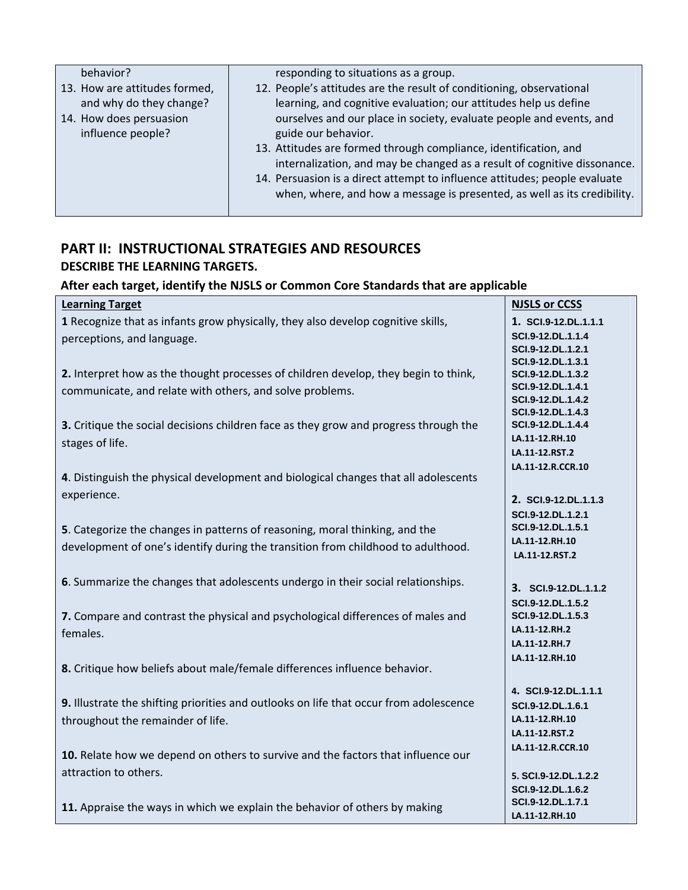| behavior?                     | responding to situations as a group.                                       |
|-------------------------------|----------------------------------------------------------------------------|
| 13. How are attitudes formed, | 12. People's attitudes are the result of conditioning, observational       |
| and why do they change?       | learning, and cognitive evaluation; our attitudes help us define           |
| 14. How does persuasion       | ourselves and our place in society, evaluate people and events, and        |
| influence people?             | guide our behavior.                                                        |
|                               | 13. Attitudes are formed through compliance, identification, and           |
|                               | internalization, and may be changed as a result of cognitive dissonance.   |
|                               | 14. Persuasion is a direct attempt to influence attitudes; people evaluate |
|                               | when, where, and how a message is presented, as well as its credibility.   |
|                               |                                                                            |

# **PART II: INSTRUCTIONAL STRATEGIES AND RESOURCES DESCRIBE THE LEARNING TARGETS.**

# **After each target, identify the NJSLS or Common Core Standards that are applicable**

| <b>Learning Target</b>                                                                 | <b>NJSLS or CCSS</b>                   |
|----------------------------------------------------------------------------------------|----------------------------------------|
| 1 Recognize that as infants grow physically, they also develop cognitive skills,       | 1. SCI.9-12.DL.1.1.1                   |
| perceptions, and language.                                                             | SCI.9-12.DL.1.1.4                      |
|                                                                                        | SCI.9-12.DL.1.2.1                      |
|                                                                                        | SCI.9-12.DL.1.3.1                      |
| 2. Interpret how as the thought processes of children develop, they begin to think,    | SCI.9-12.DL.1.3.2                      |
| communicate, and relate with others, and solve problems.                               | SCI.9-12.DL.1.4.1                      |
|                                                                                        | SCI.9-12.DL.1.4.2<br>SCI.9-12.DL.1.4.3 |
| 3. Critique the social decisions children face as they grow and progress through the   | SCI.9-12.DL.1.4.4                      |
|                                                                                        | LA.11-12.RH.10                         |
| stages of life.                                                                        | LA.11-12.RST.2                         |
|                                                                                        | LA.11-12.R.CCR.10                      |
| 4. Distinguish the physical development and biological changes that all adolescents    |                                        |
| experience.                                                                            | 2. SCI.9-12.DL.1.1.3                   |
|                                                                                        | SCI.9-12.DL.1.2.1                      |
| 5. Categorize the changes in patterns of reasoning, moral thinking, and the            | SCI.9-12.DL.1.5.1                      |
| development of one's identify during the transition from childhood to adulthood.       | LA.11-12.RH.10                         |
|                                                                                        | LA.11-12.RST.2                         |
|                                                                                        |                                        |
| 6. Summarize the changes that adolescents undergo in their social relationships.       | 3. SCI.9-12.DL.1.1.2                   |
|                                                                                        | SCI.9-12.DL.1.5.2                      |
| 7. Compare and contrast the physical and psychological differences of males and        | SCI.9-12.DL.1.5.3                      |
| females.                                                                               | LA.11-12.RH.2                          |
|                                                                                        | LA.11-12.RH.7                          |
|                                                                                        | LA.11-12.RH.10                         |
| 8. Critique how beliefs about male/female differences influence behavior.              |                                        |
|                                                                                        | 4. SCI.9-12.DL.1.1.1                   |
| 9. Illustrate the shifting priorities and outlooks on life that occur from adolescence | SCI.9-12.DL.1.6.1                      |
| throughout the remainder of life.                                                      | LA.11-12.RH.10                         |
|                                                                                        | LA.11-12.RST.2                         |
|                                                                                        | LA.11-12.R.CCR.10                      |
| 10. Relate how we depend on others to survive and the factors that influence our       |                                        |
| attraction to others.                                                                  | 5. SCI.9-12.DL.1.2.2                   |
|                                                                                        | SCI.9-12.DL.1.6.2                      |
| 11. Appraise the ways in which we explain the behavior of others by making             | SCI.9-12.DL.1.7.1                      |
|                                                                                        | LA.11-12.RH.10                         |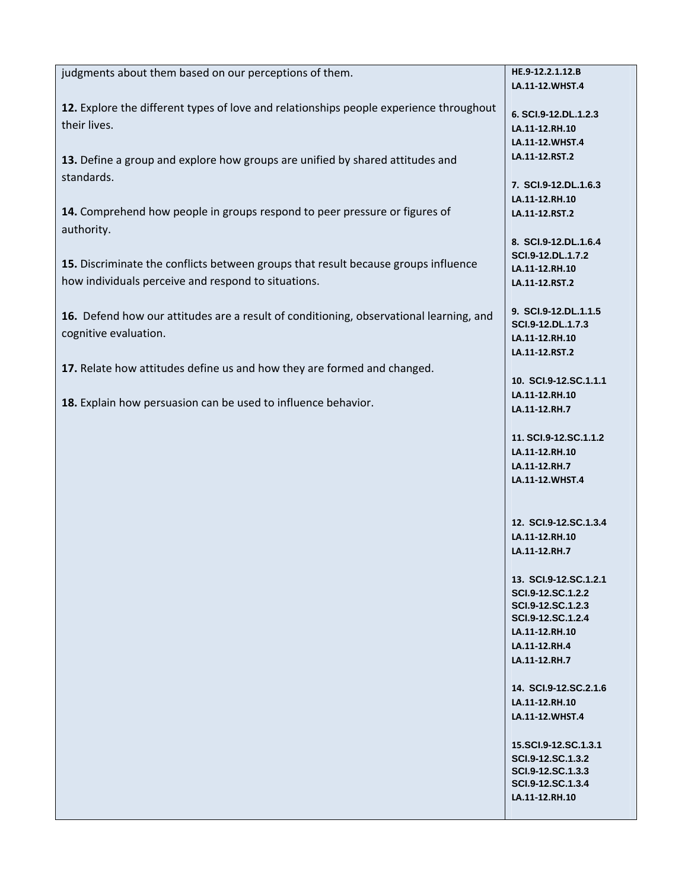| judgments about them based on our perceptions of them.                                 | HE.9-12.2.1.12.B      |
|----------------------------------------------------------------------------------------|-----------------------|
|                                                                                        | LA.11-12.WHST.4       |
|                                                                                        |                       |
| 12. Explore the different types of love and relationships people experience throughout | 6. SCI.9-12.DL.1.2.3  |
| their lives.                                                                           | LA.11-12.RH.10        |
|                                                                                        | LA.11-12.WHST.4       |
|                                                                                        |                       |
| 13. Define a group and explore how groups are unified by shared attitudes and          | LA.11-12.RST.2        |
| standards.                                                                             |                       |
|                                                                                        | 7. SCI.9-12.DL.1.6.3  |
|                                                                                        | LA.11-12.RH.10        |
| 14. Comprehend how people in groups respond to peer pressure or figures of             | LA.11-12.RST.2        |
| authority.                                                                             |                       |
|                                                                                        | 8. SCI.9-12.DL.1.6.4  |
|                                                                                        | SCI.9-12.DL.1.7.2     |
| 15. Discriminate the conflicts between groups that result because groups influence     | LA.11-12.RH.10        |
| how individuals perceive and respond to situations.                                    | LA.11-12.RST.2        |
|                                                                                        |                       |
|                                                                                        | 9. SCI.9-12.DL.1.1.5  |
| 16. Defend how our attitudes are a result of conditioning, observational learning, and | SCI.9-12.DL.1.7.3     |
| cognitive evaluation.                                                                  | LA.11-12.RH.10        |
|                                                                                        |                       |
|                                                                                        | LA.11-12.RST.2        |
| 17. Relate how attitudes define us and how they are formed and changed.                |                       |
|                                                                                        | 10. SCI.9-12.SC.1.1.1 |
|                                                                                        | LA.11-12.RH.10        |
| 18. Explain how persuasion can be used to influence behavior.                          | LA.11-12.RH.7         |
|                                                                                        |                       |
|                                                                                        | 11. SCI.9-12.SC.1.1.2 |
|                                                                                        | LA.11-12.RH.10        |
|                                                                                        |                       |
|                                                                                        | LA.11-12.RH.7         |
|                                                                                        | LA.11-12.WHST.4       |
|                                                                                        |                       |
|                                                                                        |                       |
|                                                                                        | 12. SCI.9-12.SC.1.3.4 |
|                                                                                        | LA.11-12.RH.10        |
|                                                                                        | LA.11-12.RH.7         |
|                                                                                        |                       |
|                                                                                        | 13. SCI.9-12.SC.1.2.1 |
|                                                                                        | SCI.9-12.SC.1.2.2     |
|                                                                                        | SCI.9-12.SC.1.2.3     |
|                                                                                        | SCI.9-12.SC.1.2.4     |
|                                                                                        | LA.11-12.RH.10        |
|                                                                                        | LA.11-12.RH.4         |
|                                                                                        | LA.11-12.RH.7         |
|                                                                                        |                       |
|                                                                                        |                       |
|                                                                                        | 14. SCI.9-12.SC.2.1.6 |
|                                                                                        | LA.11-12.RH.10        |
|                                                                                        | LA.11-12.WHST.4       |
|                                                                                        |                       |
|                                                                                        | 15.SCI.9-12.SC.1.3.1  |
|                                                                                        | SCI.9-12.SC.1.3.2     |
|                                                                                        | SCI.9-12.SC.1.3.3     |
|                                                                                        | SCI.9-12.SC.1.3.4     |
|                                                                                        | LA.11-12.RH.10        |
|                                                                                        |                       |
|                                                                                        |                       |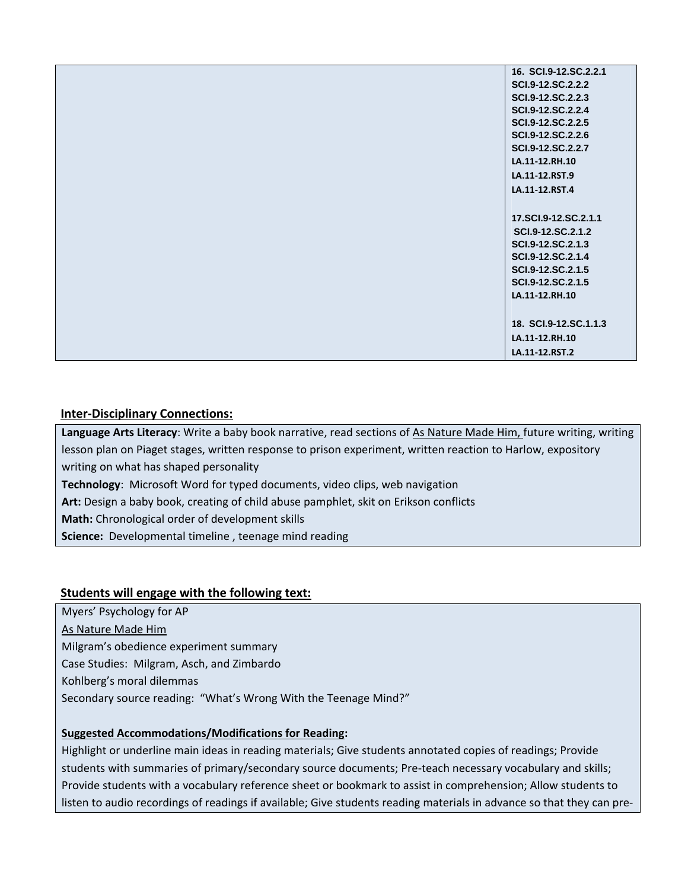| 16. SCI.9-12.SC.2.2.1 |
|-----------------------|
| SCI.9-12.SC.2.2.2     |
| SCI.9-12.SC.2.2.3     |
| SCI.9-12.SC.2.2.4     |
| SCI.9-12.SC.2.2.5     |
| SCI.9-12.SC.2.2.6     |
| SCI.9-12.SC.2.2.7     |
| LA.11-12.RH.10        |
| LA.11-12.RST.9        |
| LA.11-12.RST.4        |
|                       |
| 17.SCI.9-12.SC.2.1.1  |
| SCI.9-12.SC.2.1.2     |
| SCI.9-12.SC.2.1.3     |
| SCI.9-12.SC.2.1.4     |
| SCI.9-12.SC.2.1.5     |
| SCI.9-12.SC.2.1.5     |
| LA.11-12.RH.10        |
|                       |
| 18. SCI.9-12.SC.1.1.3 |
| LA.11-12.RH.10        |
| LA.11-12.RST.2        |

#### **Inter‐Disciplinary Connections:**

**Language Arts Literacy**: Write a baby book narrative, read sections of As Nature Made Him, future writing, writing lesson plan on Piaget stages, written response to prison experiment, written reaction to Harlow, expository writing on what has shaped personality **Technology**: Microsoft Word for typed documents, video clips, web navigation **Art:** Design a baby book, creating of child abuse pamphlet, skit on Erikson conflicts **Math:** Chronological order of development skills Science: Developmental timeline, teenage mind reading

#### **Students will engage with the following text:**

Myers' Psychology for AP As Nature Made Him Milgram's obedience experiment summary Case Studies: Milgram, Asch, and Zimbardo Kohlberg's moral dilemmas Secondary source reading: "What's Wrong With the Teenage Mind?"

#### **Suggested Accommodations/Modifications for Reading:**

Highlight or underline main ideas in reading materials; Give students annotated copies of readings; Provide students with summaries of primary/secondary source documents; Pre‐teach necessary vocabulary and skills; Provide students with a vocabulary reference sheet or bookmark to assist in comprehension; Allow students to listen to audio recordings of readings if available; Give students reading materials in advance so that they can pre‐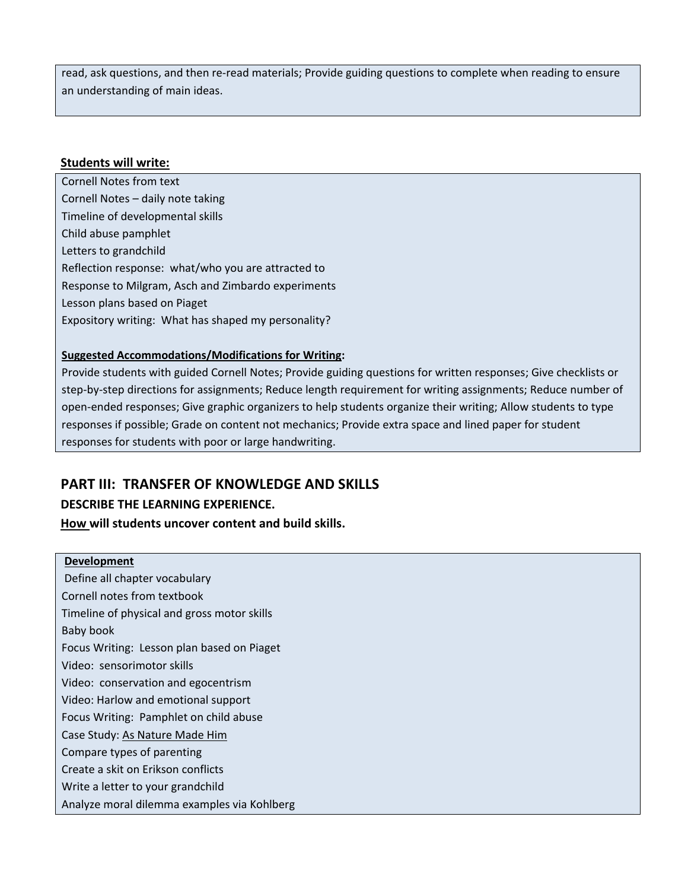read, ask questions, and then re‐read materials; Provide guiding questions to complete when reading to ensure an understanding of main ideas.

#### **Students will write:**

Cornell Notes from text Cornell Notes – daily note taking Timeline of developmental skills Child abuse pamphlet Letters to grandchild Reflection response: what/who you are attracted to Response to Milgram, Asch and Zimbardo experiments Lesson plans based on Piaget Expository writing: What has shaped my personality?

#### **Suggested Accommodations/Modifications for Writing:**

Provide students with guided Cornell Notes; Provide guiding questions for written responses; Give checklists or step-by-step directions for assignments; Reduce length requirement for writing assignments; Reduce number of open‐ended responses; Give graphic organizers to help students organize their writing; Allow students to type responses if possible; Grade on content not mechanics; Provide extra space and lined paper for student responses for students with poor or large handwriting.

### **PART III: TRANSFER OF KNOWLEDGE AND SKILLS**

#### **DESCRIBE THE LEARNING EXPERIENCE.**

**How will students uncover content and build skills.** 

#### **Development**

Define all chapter vocabulary Cornell notes from textbook Timeline of physical and gross motor skills Baby book Focus Writing: Lesson plan based on Piaget Video: sensorimotor skills Video: conservation and egocentrism Video: Harlow and emotional support Focus Writing: Pamphlet on child abuse Case Study: As Nature Made Him Compare types of parenting Create a skit on Erikson conflicts Write a letter to your grandchild Analyze moral dilemma examples via Kohlberg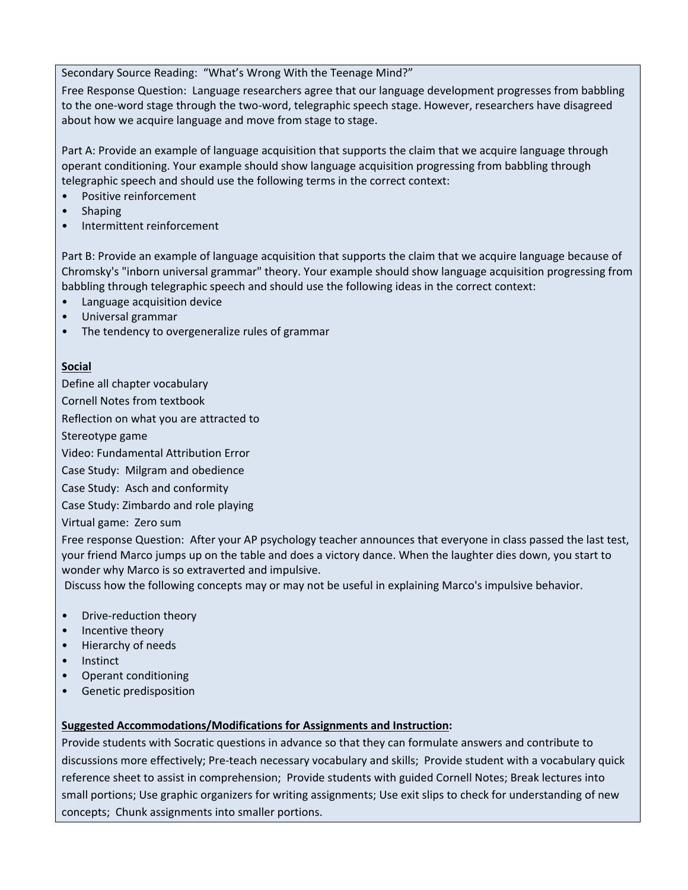#### Secondary Source Reading: "What's Wrong With the Teenage Mind?"

Free Response Question: Language researchers agree that our language development progresses from babbling to the one‐word stage through the two‐word, telegraphic speech stage. However, researchers have disagreed about how we acquire language and move from stage to stage.

Part A: Provide an example of language acquisition that supports the claim that we acquire language through operant conditioning. Your example should show language acquisition progressing from babbling through telegraphic speech and should use the following terms in the correct context:

- Positive reinforcement
- **Shaping**
- Intermittent reinforcement

Part B: Provide an example of language acquisition that supports the claim that we acquire language because of Chromsky's "inborn universal grammar" theory. Your example should show language acquisition progressing from babbling through telegraphic speech and should use the following ideas in the correct context:

- Language acquisition device
- Universal grammar
- The tendency to overgeneralize rules of grammar

#### **Social**

Define all chapter vocabulary

Cornell Notes from textbook

Reflection on what you are attracted to

Stereotype game

Video: Fundamental Attribution Error

Case Study: Milgram and obedience

Case Study: Asch and conformity

Case Study: Zimbardo and role playing

Virtual game: Zero sum

Free response Question: After your AP psychology teacher announces that everyone in class passed the last test, your friend Marco jumps up on the table and does a victory dance. When the laughter dies down, you start to wonder why Marco is so extraverted and impulsive.

Discuss how the following concepts may or may not be useful in explaining Marco's impulsive behavior.

- Drive-reduction theory
- Incentive theory
- Hierarchy of needs
- Instinct
- Operant conditioning
- Genetic predisposition

#### **Suggested Accommodations/Modifications for Assignments and Instruction:**

Provide students with Socratic questions in advance so that they can formulate answers and contribute to discussions more effectively; Pre‐teach necessary vocabulary and skills; Provide student with a vocabulary quick reference sheet to assist in comprehension; Provide students with guided Cornell Notes; Break lectures into small portions; Use graphic organizers for writing assignments; Use exit slips to check for understanding of new concepts; Chunk assignments into smaller portions.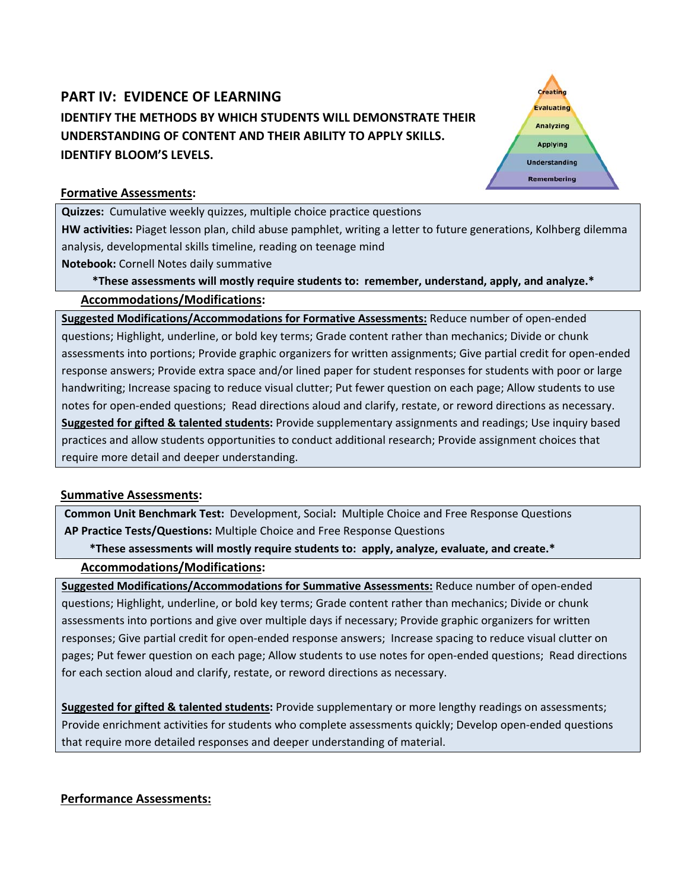# **PART IV: EVIDENCE OF LEARNING IDENTIFY THE METHODS BY WHICH STUDENTS WILL DEMONSTRATE THEIR UNDERSTANDING OF CONTENT AND THEIR ABILITY TO APPLY SKILLS. IDENTIFY BLOOM'S LEVELS.**

Creating **Evaluating** Analyzing **Applying Understanding** Remembering

#### **Formative Assessments:**

**Quizzes:** Cumulative weekly quizzes, multiple choice practice questions **HW activities:** Piaget lesson plan, child abuse pamphlet, writing a letter to future generations, Kolhberg dilemma analysis, developmental skills timeline, reading on teenage mind

**Notebook:** Cornell Notes daily summative

\*These assessments will mostly require students to: remember, understand, apply, and analyze.\* **Accommodations/Modifications:**

**Suggested Modifications/Accommodations for Formative Assessments:** Reduce number of open‐ended questions; Highlight, underline, or bold key terms; Grade content rather than mechanics; Divide or chunk assessments into portions; Provide graphic organizers for written assignments; Give partial credit for open‐ended response answers; Provide extra space and/or lined paper for student responses for students with poor or large handwriting; Increase spacing to reduce visual clutter; Put fewer question on each page; Allow students to use notes for open‐ended questions; Read directions aloud and clarify, restate, or reword directions as necessary. **Suggested for gifted & talented students:** Provide supplementary assignments and readings; Use inquiry based practices and allow students opportunities to conduct additional research; Provide assignment choices that require more detail and deeper understanding.

#### **Summative Assessments:**

**Common Unit Benchmark Test:** Development, Social**:** Multiple Choice and Free Response Questions **AP Practice Tests/Questions:** Multiple Choice and Free Response Questions

\*These assessments will mostly require students to: apply, analyze, evaluate, and create.\*

#### **Accommodations/Modifications:**

**Suggested Modifications/Accommodations for Summative Assessments:** Reduce number of open‐ended questions; Highlight, underline, or bold key terms; Grade content rather than mechanics; Divide or chunk assessments into portions and give over multiple days if necessary; Provide graphic organizers for written responses; Give partial credit for open‐ended response answers; Increase spacing to reduce visual clutter on pages; Put fewer question on each page; Allow students to use notes for open‐ended questions; Read directions for each section aloud and clarify, restate, or reword directions as necessary.

**Suggested for gifted & talented students:** Provide supplementary or more lengthy readings on assessments; Provide enrichment activities for students who complete assessments quickly; Develop open‐ended questions that require more detailed responses and deeper understanding of material.

#### **Performance Assessments:**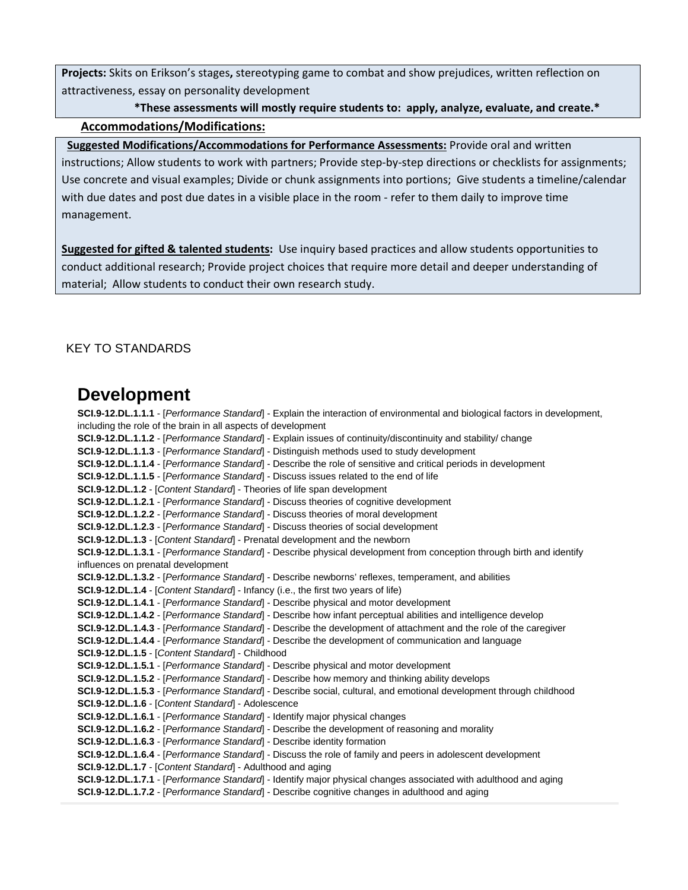**Projects:** Skits on Erikson's stages**,** stereotyping game to combat and show prejudices, written reflection on attractiveness, essay on personality development

### \*These assessments will mostly require students to: apply, analyze, evaluate, and create.\* **Accommodations/Modifications:**

#### **Suggested Modifications/Accommodations for Performance Assessments:** Provide oral and written

instructions; Allow students to work with partners; Provide step-by-step directions or checklists for assignments; Use concrete and visual examples; Divide or chunk assignments into portions; Give students a timeline/calendar with due dates and post due dates in a visible place in the room ‐ refer to them daily to improve time management.

**Suggested for gifted & talented students:** Use inquiry based practices and allow students opportunities to conduct additional research; Provide project choices that require more detail and deeper understanding of material; Allow students to conduct their own research study.

#### KEY TO STANDARDS

# **Development**

**SCI.9-12.DL.1.1.1** - [*Performance Standard*] - Explain the interaction of environmental and biological factors in development, including the role of the brain in all aspects of development **SCI.9-12.DL.1.1.2** - [*Performance Standard*] - Explain issues of continuity/discontinuity and stability/ change **SCI.9-12.DL.1.1.3** - [*Performance Standard*] - Distinguish methods used to study development **SCI.9-12.DL.1.1.4** - [*Performance Standard*] - Describe the role of sensitive and critical periods in development **SCI.9-12.DL.1.1.5** - [*Performance Standard*] - Discuss issues related to the end of life **SCI.9-12.DL.1.2** - [*Content Standard*] - Theories of life span development **SCI.9-12.DL.1.2.1** - [*Performance Standard*] - Discuss theories of cognitive development **SCI.9-12.DL.1.2.2** - [*Performance Standard*] - Discuss theories of moral development **SCI.9-12.DL.1.2.3** - [*Performance Standard*] - Discuss theories of social development **SCI.9-12.DL.1.3** - [*Content Standard*] - Prenatal development and the newborn **SCI.9-12.DL.1.3.1** - [*Performance Standard*] - Describe physical development from conception through birth and identify influences on prenatal development **SCI.9-12.DL.1.3.2** - [*Performance Standard*] - Describe newborns' reflexes, temperament, and abilities **SCI.9-12.DL.1.4** - [*Content Standard*] - Infancy (i.e., the first two years of life) **SCI.9-12.DL.1.4.1** - [*Performance Standard*] - Describe physical and motor development **SCI.9-12.DL.1.4.2** - [*Performance Standard*] - Describe how infant perceptual abilities and intelligence develop **SCI.9-12.DL.1.4.3** - [*Performance Standard*] - Describe the development of attachment and the role of the caregiver **SCI.9-12.DL.1.4.4** - [*Performance Standard*] - Describe the development of communication and language **SCI.9-12.DL.1.5** - [*Content Standard*] - Childhood **SCI.9-12.DL.1.5.1** - [*Performance Standard*] - Describe physical and motor development **SCI.9-12.DL.1.5.2** - [*Performance Standard*] - Describe how memory and thinking ability develops **SCI.9-12.DL.1.5.3** - [*Performance Standard*] - Describe social, cultural, and emotional development through childhood **SCI.9-12.DL.1.6** - [*Content Standard*] - Adolescence **SCI.9-12.DL.1.6.1** - [*Performance Standard*] - Identify major physical changes **SCI.9-12.DL.1.6.2** - [*Performance Standard*] - Describe the development of reasoning and morality **SCI.9-12.DL.1.6.3** - [*Performance Standard*] - Describe identity formation **SCI.9-12.DL.1.6.4** - [*Performance Standard*] - Discuss the role of family and peers in adolescent development **SCI.9-12.DL.1.7** - [*Content Standard*] - Adulthood and aging **SCI.9-12.DL.1.7.1** - [*Performance Standard*] - Identify major physical changes associated with adulthood and aging **SCI.9-12.DL.1.7.2** - [*Performance Standard*] - Describe cognitive changes in adulthood and aging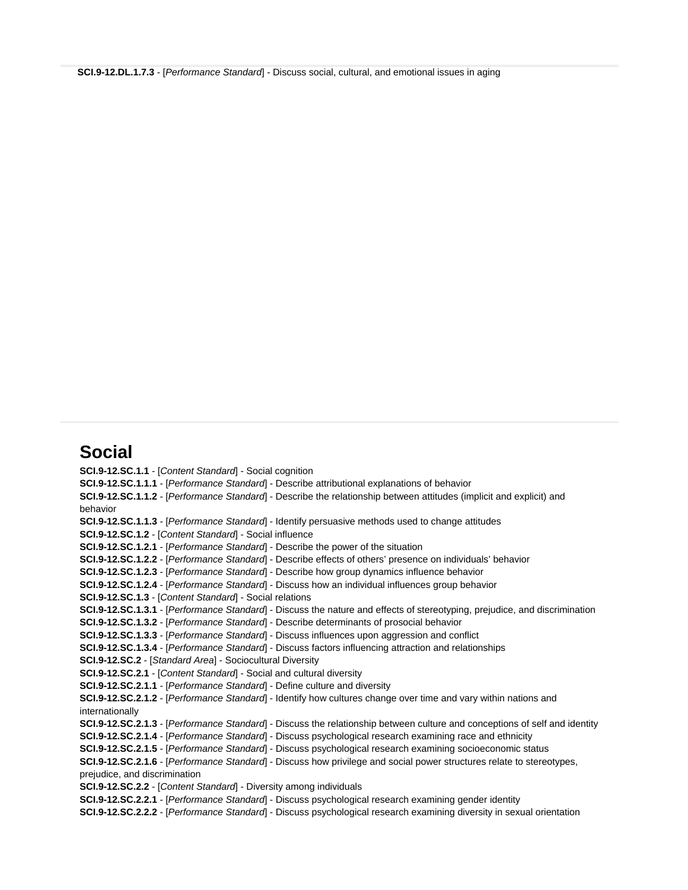**SCI.9-12.DL.1.7.3** - [*Performance Standard*] - Discuss social, cultural, and emotional issues in aging

# **Social**

**SCI.9-12.SC.1.1** - [*Content Standard*] - Social cognition **SCI.9-12.SC.1.1.1** - [*Performance Standard*] - Describe attributional explanations of behavior **SCI.9-12.SC.1.1.2** - [*Performance Standard*] - Describe the relationship between attitudes (implicit and explicit) and behavior **SCI.9-12.SC.1.1.3** - [*Performance Standard*] - Identify persuasive methods used to change attitudes **SCI.9-12.SC.1.2** - [*Content Standard*] - Social influence **SCI.9-12.SC.1.2.1** - [*Performance Standard*] - Describe the power of the situation **SCI.9-12.SC.1.2.2** - [*Performance Standard*] - Describe effects of others' presence on individuals' behavior **SCI.9-12.SC.1.2.3** - [*Performance Standard*] - Describe how group dynamics influence behavior **SCI.9-12.SC.1.2.4** - [*Performance Standard*] - Discuss how an individual influences group behavior **SCI.9-12.SC.1.3** - [*Content Standard*] - Social relations **SCI.9-12.SC.1.3.1** - [*Performance Standard*] - Discuss the nature and effects of stereotyping, prejudice, and discrimination **SCI.9-12.SC.1.3.2** - [*Performance Standard*] - Describe determinants of prosocial behavior **SCI.9-12.SC.1.3.3** - [*Performance Standard*] - Discuss influences upon aggression and conflict **SCI.9-12.SC.1.3.4** - [*Performance Standard*] - Discuss factors influencing attraction and relationships **SCI.9-12.SC.2** - [*Standard Area*] - Sociocultural Diversity **SCI.9-12.SC.2.1** - [*Content Standard*] - Social and cultural diversity **SCI.9-12.SC.2.1.1** - [*Performance Standard*] - Define culture and diversity **SCI.9-12.SC.2.1.2** - [*Performance Standard*] - Identify how cultures change over time and vary within nations and internationally **SCI.9-12.SC.2.1.3** - [*Performance Standard*] - Discuss the relationship between culture and conceptions of self and identity **SCI.9-12.SC.2.1.4** - [*Performance Standard*] - Discuss psychological research examining race and ethnicity **SCI.9-12.SC.2.1.5** - [*Performance Standard*] - Discuss psychological research examining socioeconomic status **SCI.9-12.SC.2.1.6** - [*Performance Standard*] - Discuss how privilege and social power structures relate to stereotypes, prejudice, and discrimination **SCI.9-12.SC.2.2** - [*Content Standard*] - Diversity among individuals **SCI.9-12.SC.2.2.1** - [*Performance Standard*] - Discuss psychological research examining gender identity **SCI.9-12.SC.2.2.2** - [*Performance Standard*] - Discuss psychological research examining diversity in sexual orientation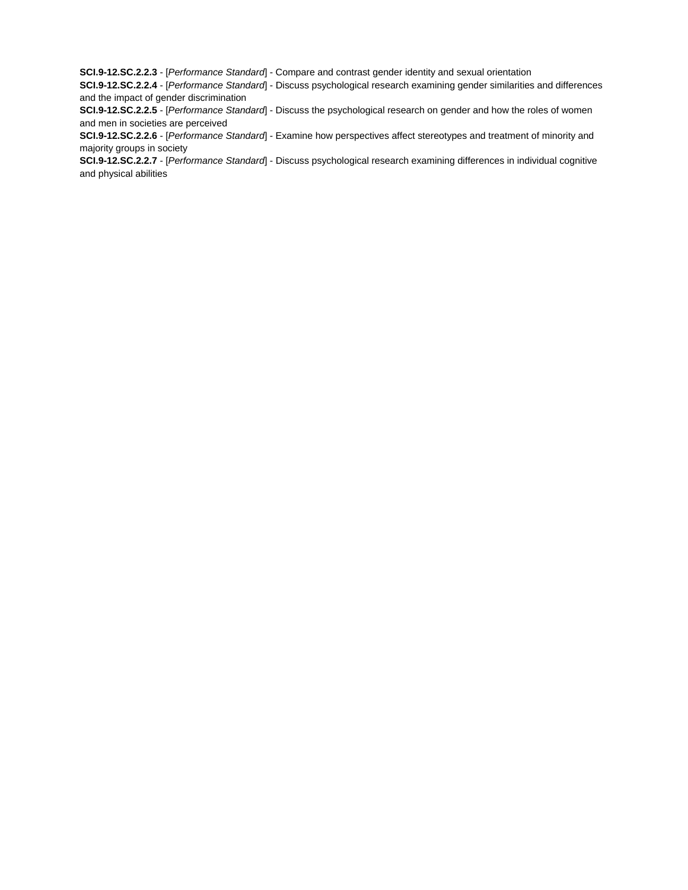**SCI.9-12.SC.2.2.3** - [*Performance Standard*] - Compare and contrast gender identity and sexual orientation

**SCI.9-12.SC.2.2.4** - [*Performance Standard*] - Discuss psychological research examining gender similarities and differences and the impact of gender discrimination

**SCI.9-12.SC.2.2.5** - [*Performance Standard*] - Discuss the psychological research on gender and how the roles of women and men in societies are perceived

**SCI.9-12.SC.2.2.6** - [*Performance Standard*] - Examine how perspectives affect stereotypes and treatment of minority and majority groups in society

**SCI.9-12.SC.2.2.7** - [*Performance Standard*] - Discuss psychological research examining differences in individual cognitive and physical abilities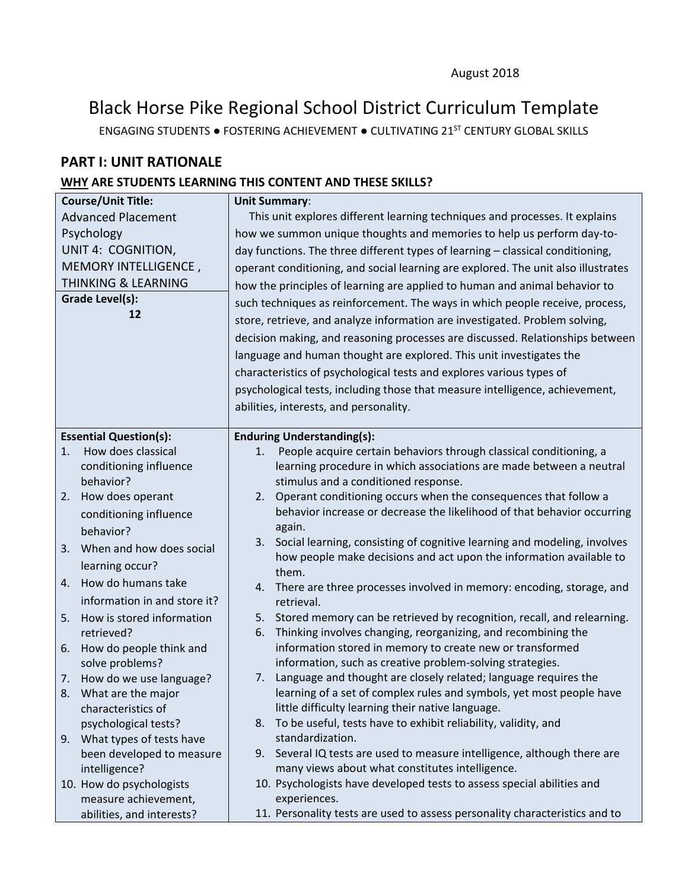# Black Horse Pike Regional School District Curriculum Template

ENGAGING STUDENTS ● FOSTERING ACHIEVEMENT ● CULTIVATING 21ST CENTURY GLOBAL SKILLS

# **PART I: UNIT RATIONALE**

### **WHY ARE STUDENTS LEARNING THIS CONTENT AND THESE SKILLS?**

|                           | <b>Course/Unit Title:</b>      | <b>Unit Summary:</b>                                                              |                                                                                    |  |
|---------------------------|--------------------------------|-----------------------------------------------------------------------------------|------------------------------------------------------------------------------------|--|
| <b>Advanced Placement</b> |                                | This unit explores different learning techniques and processes. It explains       |                                                                                    |  |
| Psychology                |                                | how we summon unique thoughts and memories to help us perform day-to-             |                                                                                    |  |
|                           | UNIT 4: COGNITION,             |                                                                                   | day functions. The three different types of learning - classical conditioning,     |  |
|                           | MEMORY INTELLIGENCE,           | operant conditioning, and social learning are explored. The unit also illustrates |                                                                                    |  |
|                           | <b>THINKING &amp; LEARNING</b> |                                                                                   | how the principles of learning are applied to human and animal behavior to         |  |
|                           | Grade Level(s):                | such techniques as reinforcement. The ways in which people receive, process,      |                                                                                    |  |
|                           | 12                             |                                                                                   | store, retrieve, and analyze information are investigated. Problem solving,        |  |
|                           |                                |                                                                                   | decision making, and reasoning processes are discussed. Relationships between      |  |
|                           |                                |                                                                                   |                                                                                    |  |
|                           |                                |                                                                                   | language and human thought are explored. This unit investigates the                |  |
|                           |                                |                                                                                   | characteristics of psychological tests and explores various types of               |  |
|                           |                                |                                                                                   | psychological tests, including those that measure intelligence, achievement,       |  |
|                           |                                |                                                                                   | abilities, interests, and personality.                                             |  |
|                           | <b>Essential Question(s):</b>  |                                                                                   | <b>Enduring Understanding(s):</b>                                                  |  |
| 1.                        | How does classical             | 1.                                                                                | People acquire certain behaviors through classical conditioning, a                 |  |
|                           | conditioning influence         |                                                                                   | learning procedure in which associations are made between a neutral                |  |
|                           | behavior?                      |                                                                                   | stimulus and a conditioned response.                                               |  |
| 2.                        | How does operant               |                                                                                   | 2. Operant conditioning occurs when the consequences that follow a                 |  |
|                           | conditioning influence         |                                                                                   | behavior increase or decrease the likelihood of that behavior occurring            |  |
|                           | behavior?                      |                                                                                   | again.                                                                             |  |
| 3.                        | When and how does social       |                                                                                   | 3. Social learning, consisting of cognitive learning and modeling, involves        |  |
|                           | learning occur?                |                                                                                   | how people make decisions and act upon the information available to                |  |
| 4.                        | How do humans take             |                                                                                   | them.                                                                              |  |
|                           | information in and store it?   | 4.                                                                                | There are three processes involved in memory: encoding, storage, and<br>retrieval. |  |
| 5.                        | How is stored information      | 5.                                                                                | Stored memory can be retrieved by recognition, recall, and relearning.             |  |
|                           | retrieved?                     | 6.                                                                                | Thinking involves changing, reorganizing, and recombining the                      |  |
| 6.                        | How do people think and        |                                                                                   | information stored in memory to create new or transformed                          |  |
|                           | solve problems?                |                                                                                   | information, such as creative problem-solving strategies.                          |  |
| 7.                        | How do we use language?        | 7.                                                                                | Language and thought are closely related; language requires the                    |  |
|                           | 8. What are the major          |                                                                                   | learning of a set of complex rules and symbols, yet most people have               |  |
|                           | characteristics of             |                                                                                   | little difficulty learning their native language.                                  |  |
|                           | psychological tests?           | 8.                                                                                | To be useful, tests have to exhibit reliability, validity, and                     |  |
| 9.                        | What types of tests have       |                                                                                   | standardization.                                                                   |  |
|                           | been developed to measure      |                                                                                   | 9. Several IQ tests are used to measure intelligence, although there are           |  |
|                           | intelligence?                  |                                                                                   | many views about what constitutes intelligence.                                    |  |
|                           | 10. How do psychologists       |                                                                                   | 10. Psychologists have developed tests to assess special abilities and             |  |
|                           | measure achievement,           |                                                                                   | experiences.                                                                       |  |
|                           | abilities, and interests?      |                                                                                   | 11. Personality tests are used to assess personality characteristics and to        |  |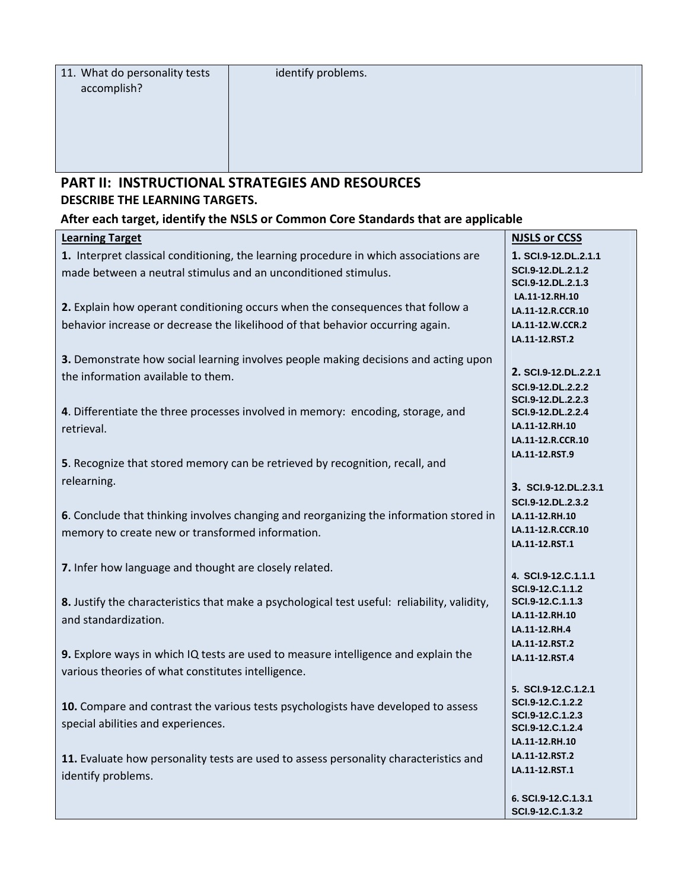# **PART II: INSTRUCTIONAL STRATEGIES AND RESOURCES DESCRIBE THE LEARNING TARGETS.**

### **After each target, identify the NSLS or Common Core Standards that are applicable**

| <b>Learning Target</b>                                                                       | <b>NJSLS or CCSS</b>                    |
|----------------------------------------------------------------------------------------------|-----------------------------------------|
| 1. Interpret classical conditioning, the learning procedure in which associations are        | 1. SCI.9-12.DL.2.1.1                    |
| made between a neutral stimulus and an unconditioned stimulus.                               | SCI.9-12.DL.2.1.2                       |
|                                                                                              | SCI.9-12.DL.2.1.3                       |
|                                                                                              | LA.11-12.RH.10                          |
| 2. Explain how operant conditioning occurs when the consequences that follow a               | LA.11-12.R.CCR.10                       |
| behavior increase or decrease the likelihood of that behavior occurring again.               | LA.11-12.W.CCR.2                        |
|                                                                                              | LA.11-12.RST.2                          |
| 3. Demonstrate how social learning involves people making decisions and acting upon          |                                         |
| the information available to them.                                                           | 2. SCI.9-12.DL.2.2.1                    |
|                                                                                              | SCI.9-12.DL.2.2.2                       |
|                                                                                              | SCI.9-12.DL.2.2.3                       |
| 4. Differentiate the three processes involved in memory: encoding, storage, and              | SCI.9-12.DL.2.2.4                       |
| retrieval.                                                                                   | LA.11-12.RH.10                          |
|                                                                                              | LA.11-12.R.CCR.10                       |
| 5. Recognize that stored memory can be retrieved by recognition, recall, and                 | LA.11-12.RST.9                          |
|                                                                                              |                                         |
| relearning.                                                                                  | 3. SCI.9-12.DL.2.3.1                    |
|                                                                                              | SCI.9-12.DL.2.3.2                       |
| 6. Conclude that thinking involves changing and reorganizing the information stored in       | LA.11-12.RH.10                          |
| memory to create new or transformed information.                                             | LA.11-12.R.CCR.10                       |
|                                                                                              | LA.11-12.RST.1                          |
|                                                                                              |                                         |
| 7. Infer how language and thought are closely related.                                       | 4. SCI.9-12.C.1.1.1                     |
|                                                                                              | SCI.9-12.C.1.1.2                        |
| 8. Justify the characteristics that make a psychological test useful: reliability, validity, | SCI.9-12.C.1.1.3                        |
| and standardization.                                                                         | LA.11-12.RH.10                          |
|                                                                                              | LA.11-12.RH.4                           |
|                                                                                              | LA.11-12.RST.2                          |
| 9. Explore ways in which IQ tests are used to measure intelligence and explain the           | LA.11-12.RST.4                          |
| various theories of what constitutes intelligence.                                           |                                         |
|                                                                                              | 5. SCI.9-12.C.1.2.1                     |
| 10. Compare and contrast the various tests psychologists have developed to assess            | SCI.9-12.C.1.2.2                        |
| special abilities and experiences.                                                           | SCI.9-12.C.1.2.3                        |
|                                                                                              | SCI.9-12.C.1.2.4                        |
|                                                                                              | LA.11-12.RH.10                          |
| 11. Evaluate how personality tests are used to assess personality characteristics and        | LA.11-12.RST.2                          |
| identify problems.                                                                           | LA.11-12.RST.1                          |
|                                                                                              |                                         |
|                                                                                              | 6. SCI.9-12.C.1.3.1<br>SCI.9-12.C.1.3.2 |
|                                                                                              |                                         |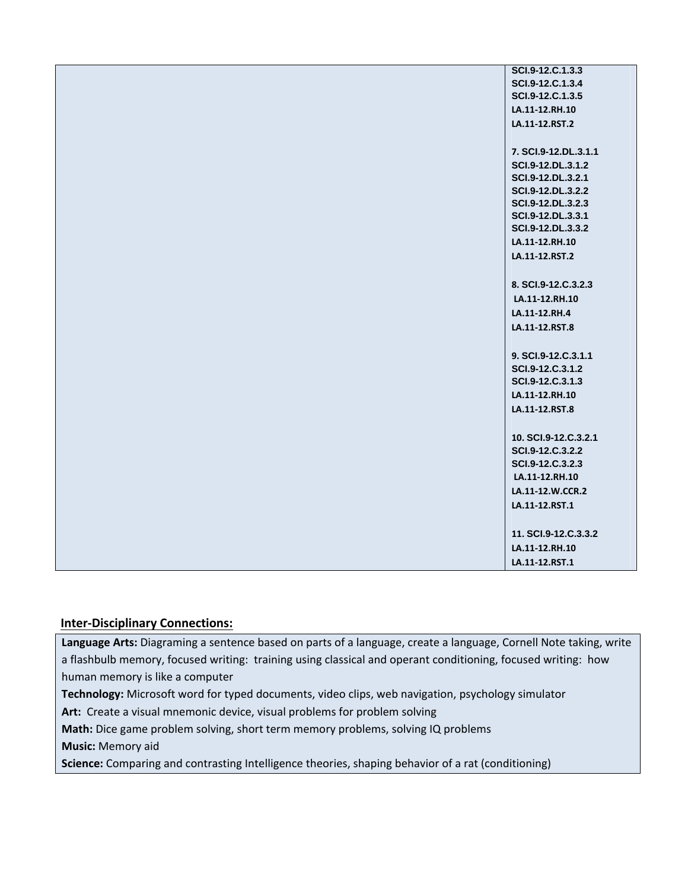| SCI.9-12.C.1.3.3     |
|----------------------|
| SCI.9-12.C.1.3.4     |
| SCI.9-12.C.1.3.5     |
| LA.11-12.RH.10       |
| LA.11-12.RST.2       |
|                      |
| 7. SCI.9-12.DL.3.1.1 |
| SCI.9-12.DL.3.1.2    |
| SCI.9-12.DL.3.2.1    |
| SCI.9-12.DL.3.2.2    |
| SCI.9-12.DL.3.2.3    |
| SCI.9-12.DL.3.3.1    |
| SCI.9-12.DL.3.3.2    |
| LA.11-12.RH.10       |
| LA.11-12.RST.2       |
|                      |
| 8. SCI.9-12.C.3.2.3  |
| LA.11-12.RH.10       |
| LA.11-12.RH.4        |
| LA.11-12.RST.8       |
|                      |
| 9. SCI.9-12.C.3.1.1  |
| SCI.9-12.C.3.1.2     |
| SCI.9-12.C.3.1.3     |
| LA.11-12.RH.10       |
| LA.11-12.RST.8       |
|                      |
| 10. SCI.9-12.C.3.2.1 |
| SCI.9-12.C.3.2.2     |
| SCI.9-12.C.3.2.3     |
| LA.11-12.RH.10       |
| LA.11-12.W.CCR.2     |
| LA.11-12.RST.1       |
|                      |
| 11. SCI.9-12.C.3.3.2 |
| LA.11-12.RH.10       |
| LA.11-12.RST.1       |
|                      |

#### **Inter‐Disciplinary Connections:**

**Language Arts:** Diagraming a sentence based on parts of a language, create a language, Cornell Note taking, write a flashbulb memory, focused writing: training using classical and operant conditioning, focused writing: how human memory is like a computer

**Technology:** Microsoft word for typed documents, video clips, web navigation, psychology simulator

Art: Create a visual mnemonic device, visual problems for problem solving

**Math:** Dice game problem solving, short term memory problems, solving IQ problems

**Music:** Memory aid

Science: Comparing and contrasting Intelligence theories, shaping behavior of a rat (conditioning)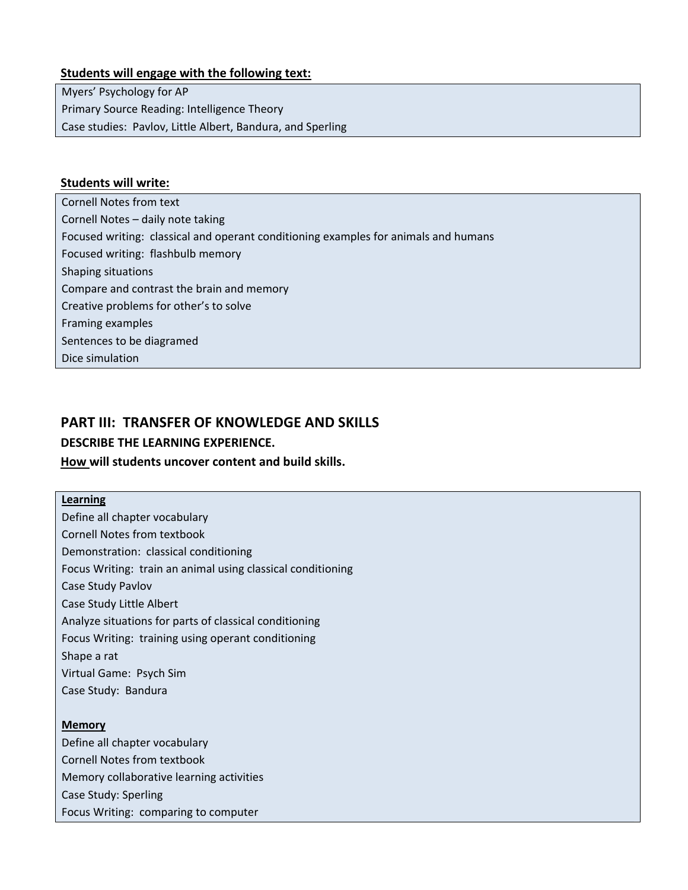#### **Students will engage with the following text:**

Myers' Psychology for AP Primary Source Reading: Intelligence Theory Case studies: Pavlov, Little Albert, Bandura, and Sperling

#### **Students will write:**

Cornell Notes from text Cornell Notes – daily note taking Focused writing: classical and operant conditioning examples for animals and humans Focused writing: flashbulb memory Shaping situations Compare and contrast the brain and memory Creative problems for other's to solve Framing examples Sentences to be diagramed Dice simulation

# **PART III: TRANSFER OF KNOWLEDGE AND SKILLS**

#### **DESCRIBE THE LEARNING EXPERIENCE.**

#### **How will students uncover content and build skills.**

**Learning** Define all chapter vocabulary Cornell Notes from textbook Demonstration: classical conditioning Focus Writing: train an animal using classical conditioning Case Study Pavlov Case Study Little Albert Analyze situations for parts of classical conditioning Focus Writing: training using operant conditioning Shape a rat Virtual Game: Psych Sim Case Study: Bandura

#### **Memory**

Define all chapter vocabulary Cornell Notes from textbook Memory collaborative learning activities Case Study: Sperling Focus Writing: comparing to computer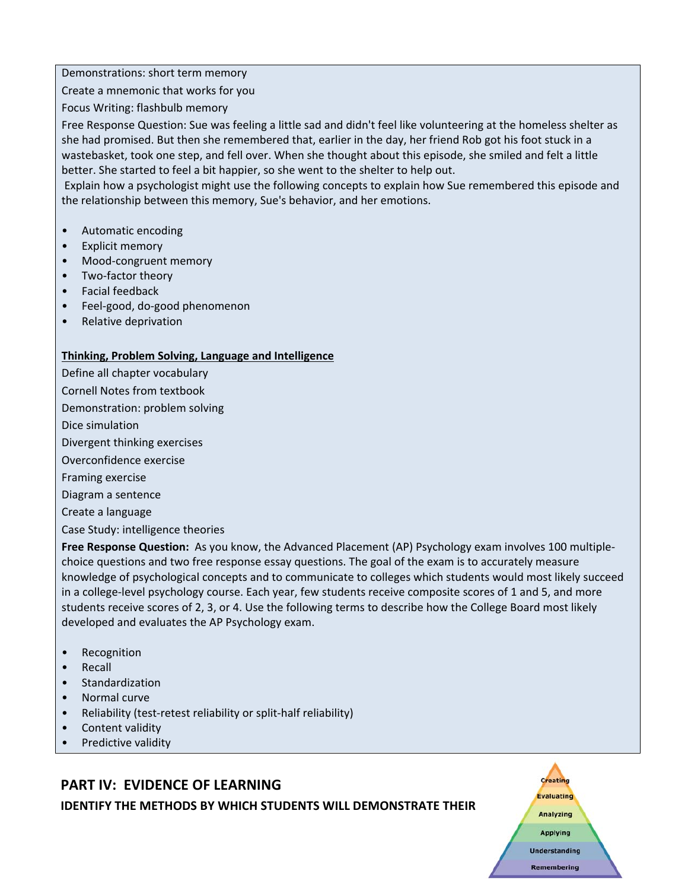Demonstrations: short term memory

Create a mnemonic that works for you

Focus Writing: flashbulb memory

Free Response Question: Sue was feeling a little sad and didn't feel like volunteering at the homeless shelter as she had promised. But then she remembered that, earlier in the day, her friend Rob got his foot stuck in a wastebasket, took one step, and fell over. When she thought about this episode, she smiled and felt a little better. She started to feel a bit happier, so she went to the shelter to help out.

Explain how a psychologist might use the following concepts to explain how Sue remembered this episode and the relationship between this memory, Sue's behavior, and her emotions.

- Automatic encoding
- Explicit memory
- Mood-congruent memory
- Two‐factor theory
- Facial feedback
- Feel‐good, do‐good phenomenon
- Relative deprivation

#### **Thinking, Problem Solving, Language and Intelligence**

Define all chapter vocabulary

Cornell Notes from textbook

Demonstration: problem solving

Dice simulation

Divergent thinking exercises

Overconfidence exercise

Framing exercise

Diagram a sentence

Create a language

Case Study: intelligence theories

**Free Response Question:** As you know, the Advanced Placement (AP) Psychology exam involves 100 multiple‐ choice questions and two free response essay questions. The goal of the exam is to accurately measure knowledge of psychological concepts and to communicate to colleges which students would most likely succeed in a college-level psychology course. Each year, few students receive composite scores of 1 and 5, and more students receive scores of 2, 3, or 4. Use the following terms to describe how the College Board most likely developed and evaluates the AP Psychology exam.

> Creating Evaluating Analyzing **Applying** Understanding **Remembering**

- **Recognition**
- Recall
- Standardization
- Normal curve
- Reliability (test‐retest reliability or split‐half reliability)
- Content validity
- Predictive validity

# **PART IV: EVIDENCE OF LEARNING**

**IDENTIFY THE METHODS BY WHICH STUDENTS WILL DEMONSTRATE THEIR**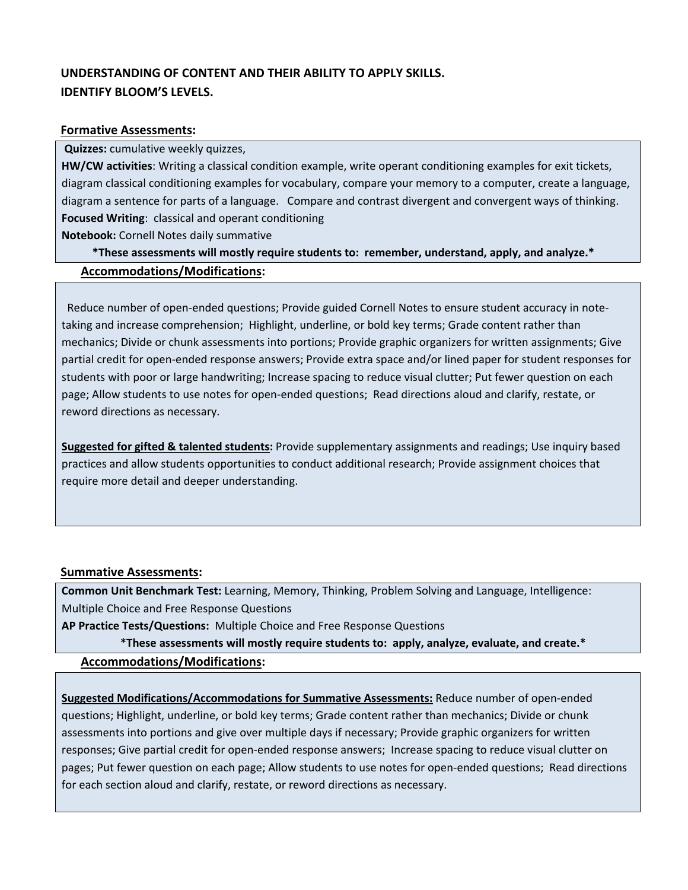# **UNDERSTANDING OF CONTENT AND THEIR ABILITY TO APPLY SKILLS. IDENTIFY BLOOM'S LEVELS.**

#### **Formative Assessments:**

**Quizzes:** cumulative weekly quizzes,

**HW/CW activities**: Writing a classical condition example, write operant conditioning examples for exit tickets, diagram classical conditioning examples for vocabulary, compare your memory to a computer, create a language, diagram a sentence for parts of a language.Compare and contrast divergent and convergent ways of thinking. **Focused Writing**: classical and operant conditioning

**Notebook:** Cornell Notes daily summative

\*These assessments will mostly require students to: remember, understand, apply, and analyze.\* **Accommodations/Modifications:**

Reduce number of open-ended questions; Provide guided Cornell Notes to ensure student accuracy in notetaking and increase comprehension; Highlight, underline, or bold key terms; Grade content rather than mechanics; Divide or chunk assessments into portions; Provide graphic organizers for written assignments; Give partial credit for open‐ended response answers; Provide extra space and/or lined paper for student responses for students with poor or large handwriting; Increase spacing to reduce visual clutter; Put fewer question on each page; Allow students to use notes for open‐ended questions; Read directions aloud and clarify, restate, or reword directions as necessary.

**Suggested for gifted & talented students:** Provide supplementary assignments and readings; Use inquiry based practices and allow students opportunities to conduct additional research; Provide assignment choices that require more detail and deeper understanding.

#### **Summative Assessments:**

**Common Unit Benchmark Test:** Learning, Memory, Thinking, Problem Solving and Language, Intelligence: Multiple Choice and Free Response Questions

**AP Practice Tests/Questions:** Multiple Choice and Free Response Questions

\*These assessments will mostly require students to: apply, analyze, evaluate, and create.\*

**Accommodations/Modifications:**

**Suggested Modifications/Accommodations for Summative Assessments:** Reduce number of open‐ended questions; Highlight, underline, or bold key terms; Grade content rather than mechanics; Divide or chunk assessments into portions and give over multiple days if necessary; Provide graphic organizers for written responses; Give partial credit for open‐ended response answers; Increase spacing to reduce visual clutter on pages; Put fewer question on each page; Allow students to use notes for open‐ended questions; Read directions for each section aloud and clarify, restate, or reword directions as necessary.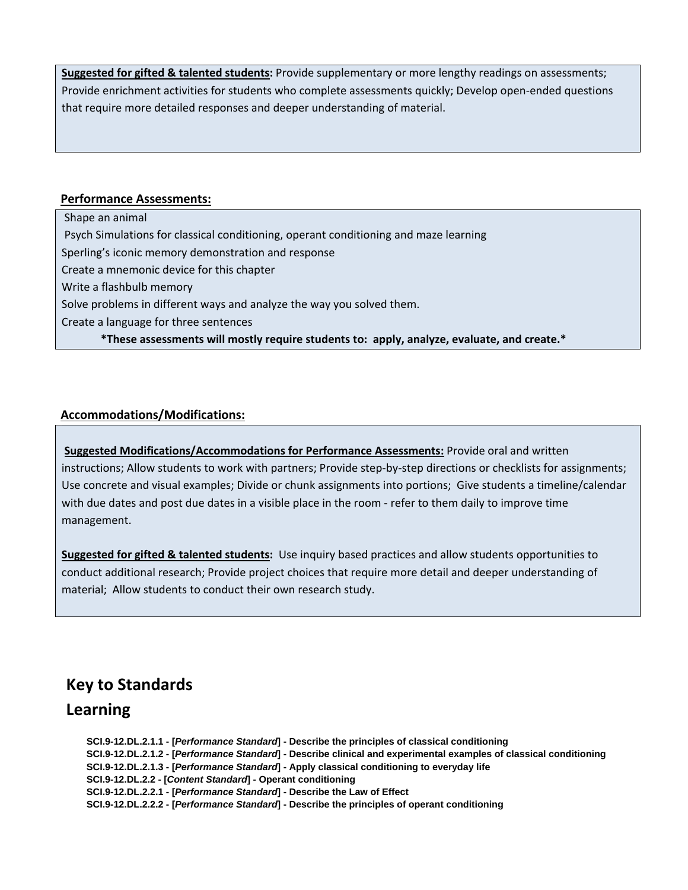**Suggested for gifted & talented students:** Provide supplementary or more lengthy readings on assessments; Provide enrichment activities for students who complete assessments quickly; Develop open‐ended questions that require more detailed responses and deeper understanding of material.

#### **Performance Assessments:**

Shape an animal Psych Simulations for classical conditioning, operant conditioning and maze learning Sperling's iconic memory demonstration and response Create a mnemonic device for this chapter Write a flashbulb memory Solve problems in different ways and analyze the way you solved them. Create a language for three sentences \*These assessments will mostly require students to: apply, analyze, evaluate, and create.\*

**Accommodations/Modifications:**

**Suggested Modifications/Accommodations for Performance Assessments:** Provide oral and written instructions; Allow students to work with partners; Provide step-by-step directions or checklists for assignments; Use concrete and visual examples; Divide or chunk assignments into portions; Give students a timeline/calendar with due dates and post due dates in a visible place in the room - refer to them daily to improve time management.

**Suggested for gifted & talented students:** Use inquiry based practices and allow students opportunities to conduct additional research; Provide project choices that require more detail and deeper understanding of material; Allow students to conduct their own research study.

# **Key to Standards**

# **Learning**

**SCI.9-12.DL.2.1.1 - [***Performance Standard***] - Describe the principles of classical conditioning SCI.9-12.DL.2.1.2 - [***Performance Standard***] - Describe clinical and experimental examples of classical conditioning SCI.9-12.DL.2.1.3 - [***Performance Standard***] - Apply classical conditioning to everyday life SCI.9-12.DL.2.2 - [***Content Standard***] - Operant conditioning SCI.9-12.DL.2.2.1 - [***Performance Standard***] - Describe the Law of Effect SCI.9-12.DL.2.2.2 - [***Performance Standard***] - Describe the principles of operant conditioning**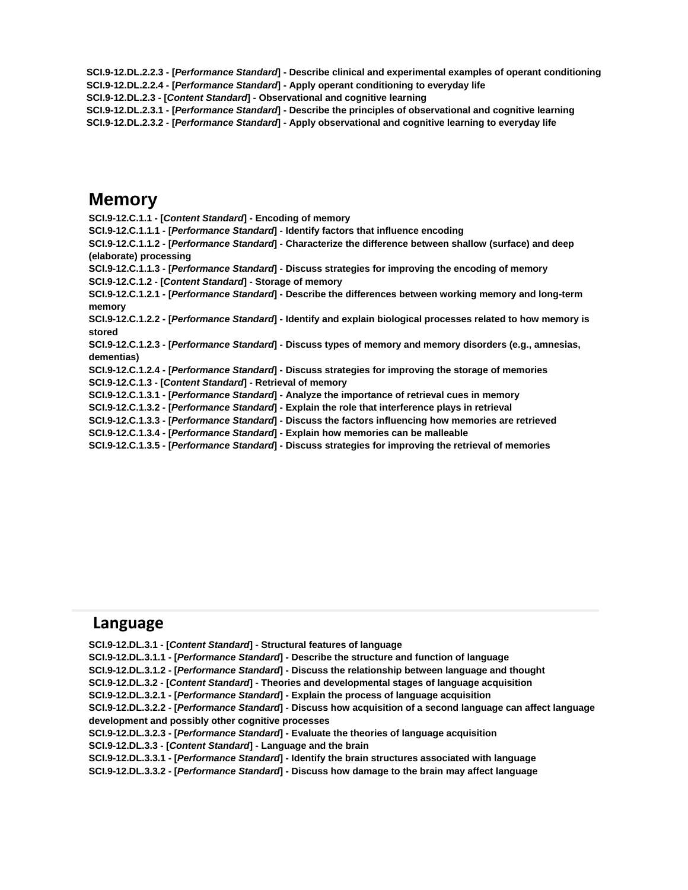**SCI.9-12.DL.2.2.3 - [***Performance Standard***] - Describe clinical and experimental examples of operant conditioning SCI.9-12.DL.2.2.4 - [***Performance Standard***] - Apply operant conditioning to everyday life**

**SCI.9-12.DL.2.3 - [***Content Standard***] - Observational and cognitive learning**

**SCI.9-12.DL.2.3.1 - [***Performance Standard***] - Describe the principles of observational and cognitive learning SCI.9-12.DL.2.3.2 - [***Performance Standard***] - Apply observational and cognitive learning to everyday life**

# **Memory**

**SCI.9-12.C.1.1 - [***Content Standard***] - Encoding of memory SCI.9-12.C.1.1.1 - [***Performance Standard***] - Identify factors that influence encoding SCI.9-12.C.1.1.2 - [***Performance Standard***] - Characterize the difference between shallow (surface) and deep (elaborate) processing SCI.9-12.C.1.1.3 - [***Performance Standard***] - Discuss strategies for improving the encoding of memory SCI.9-12.C.1.2 - [***Content Standard***] - Storage of memory SCI.9-12.C.1.2.1 - [***Performance Standard***] - Describe the differences between working memory and long-term memory SCI.9-12.C.1.2.2 - [***Performance Standard***] - Identify and explain biological processes related to how memory is stored SCI.9-12.C.1.2.3 - [***Performance Standard***] - Discuss types of memory and memory disorders (e.g., amnesias, dementias) SCI.9-12.C.1.2.4 - [***Performance Standard***] - Discuss strategies for improving the storage of memories SCI.9-12.C.1.3 - [***Content Standard***] - Retrieval of memory SCI.9-12.C.1.3.1 - [***Performance Standard***] - Analyze the importance of retrieval cues in memory SCI.9-12.C.1.3.2 - [***Performance Standard***] - Explain the role that interference plays in retrieval SCI.9-12.C.1.3.3 - [***Performance Standard***] - Discuss the factors influencing how memories are retrieved SCI.9-12.C.1.3.4 - [***Performance Standard***] - Explain how memories can be malleable SCI.9-12.C.1.3.5 - [***Performance Standard***] - Discuss strategies for improving the retrieval of memories**

# **Language**

**SCI.9-12.DL.3.1 - [***Content Standard***] - Structural features of language SCI.9-12.DL.3.1.1 - [***Performance Standard***] - Describe the structure and function of language SCI.9-12.DL.3.1.2 - [***Performance Standard***] - Discuss the relationship between language and thought SCI.9-12.DL.3.2 - [***Content Standard***] - Theories and developmental stages of language acquisition SCI.9-12.DL.3.2.1 - [***Performance Standard***] - Explain the process of language acquisition SCI.9-12.DL.3.2.2 - [***Performance Standard***] - Discuss how acquisition of a second language can affect language development and possibly other cognitive processes SCI.9-12.DL.3.2.3 - [***Performance Standard***] - Evaluate the theories of language acquisition SCI.9-12.DL.3.3 - [***Content Standard***] - Language and the brain SCI.9-12.DL.3.3.1 - [***Performance Standard***] - Identify the brain structures associated with language SCI.9-12.DL.3.3.2 - [***Performance Standard***] - Discuss how damage to the brain may affect language**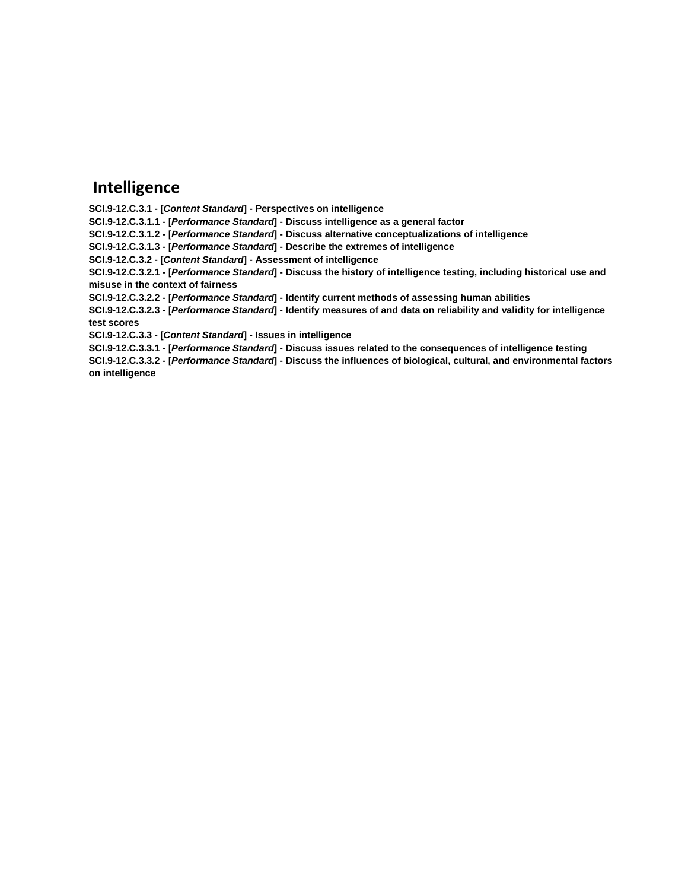# **Intelligence**

**SCI.9-12.C.3.1 - [***Content Standard***] - Perspectives on intelligence**

**SCI.9-12.C.3.1.1 - [***Performance Standard***] - Discuss intelligence as a general factor**

**SCI.9-12.C.3.1.2 - [***Performance Standard***] - Discuss alternative conceptualizations of intelligence**

**SCI.9-12.C.3.1.3 - [***Performance Standard***] - Describe the extremes of intelligence**

**SCI.9-12.C.3.2 - [***Content Standard***] - Assessment of intelligence**

**SCI.9-12.C.3.2.1 - [***Performance Standard***] - Discuss the history of intelligence testing, including historical use and misuse in the context of fairness**

**SCI.9-12.C.3.2.2 - [***Performance Standard***] - Identify current methods of assessing human abilities**

**SCI.9-12.C.3.2.3 - [***Performance Standard***] - Identify measures of and data on reliability and validity for intelligence test scores**

**SCI.9-12.C.3.3 - [***Content Standard***] - Issues in intelligence**

**SCI.9-12.C.3.3.1 - [***Performance Standard***] - Discuss issues related to the consequences of intelligence testing**

**SCI.9-12.C.3.3.2 - [***Performance Standard***] - Discuss the influences of biological, cultural, and environmental factors on intelligence**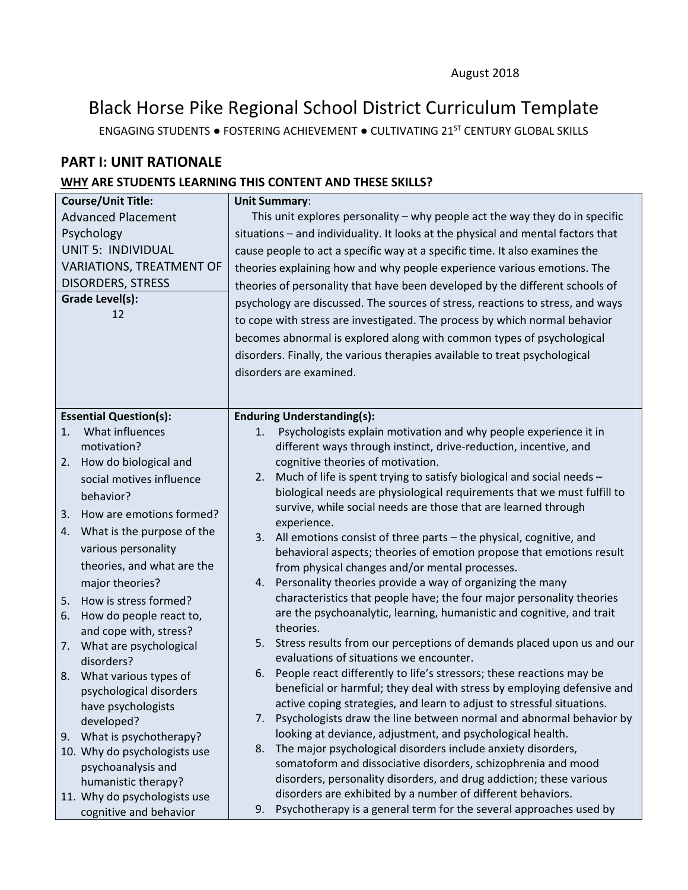# Black Horse Pike Regional School District Curriculum Template

ENGAGING STUDENTS ● FOSTERING ACHIEVEMENT ● CULTIVATING 21ST CENTURY GLOBAL SKILLS

# **PART I: UNIT RATIONALE**

### **WHY ARE STUDENTS LEARNING THIS CONTENT AND THESE SKILLS?**

| <b>Course/Unit Title:</b>       | <b>Unit Summary:</b>                                                                                                                 |  |  |
|---------------------------------|--------------------------------------------------------------------------------------------------------------------------------------|--|--|
| <b>Advanced Placement</b>       | This unit explores personality $-$ why people act the way they do in specific                                                        |  |  |
| Psychology                      | situations - and individuality. It looks at the physical and mental factors that                                                     |  |  |
| <b>UNIT 5: INDIVIDUAL</b>       | cause people to act a specific way at a specific time. It also examines the                                                          |  |  |
| <b>VARIATIONS, TREATMENT OF</b> | theories explaining how and why people experience various emotions. The                                                              |  |  |
| <b>DISORDERS, STRESS</b>        | theories of personality that have been developed by the different schools of                                                         |  |  |
| Grade Level(s):                 | psychology are discussed. The sources of stress, reactions to stress, and ways                                                       |  |  |
| 12                              | to cope with stress are investigated. The process by which normal behavior                                                           |  |  |
|                                 |                                                                                                                                      |  |  |
|                                 | becomes abnormal is explored along with common types of psychological                                                                |  |  |
|                                 | disorders. Finally, the various therapies available to treat psychological                                                           |  |  |
|                                 | disorders are examined.                                                                                                              |  |  |
|                                 |                                                                                                                                      |  |  |
| <b>Essential Question(s):</b>   | <b>Enduring Understanding(s):</b>                                                                                                    |  |  |
| What influences<br>1.           | Psychologists explain motivation and why people experience it in<br>1.                                                               |  |  |
| motivation?                     | different ways through instinct, drive-reduction, incentive, and                                                                     |  |  |
| How do biological and<br>2.     | cognitive theories of motivation.                                                                                                    |  |  |
| social motives influence        | Much of life is spent trying to satisfy biological and social needs -<br>2.                                                          |  |  |
| behavior?                       | biological needs are physiological requirements that we must fulfill to                                                              |  |  |
| How are emotions formed?<br>3.  | survive, while social needs are those that are learned through                                                                       |  |  |
| 4. What is the purpose of the   | experience.                                                                                                                          |  |  |
| various personality             | 3. All emotions consist of three parts - the physical, cognitive, and                                                                |  |  |
| theories, and what are the      | behavioral aspects; theories of emotion propose that emotions result<br>from physical changes and/or mental processes.               |  |  |
| major theories?                 | 4. Personality theories provide a way of organizing the many                                                                         |  |  |
| How is stress formed?<br>5.     | characteristics that people have; the four major personality theories                                                                |  |  |
| How do people react to,<br>6.   | are the psychoanalytic, learning, humanistic and cognitive, and trait                                                                |  |  |
| and cope with, stress?          | theories.                                                                                                                            |  |  |
| What are psychological<br>7.    | 5. Stress results from our perceptions of demands placed upon us and our                                                             |  |  |
| disorders?                      | evaluations of situations we encounter.                                                                                              |  |  |
| What various types of<br>8.     | 6. People react differently to life's stressors; these reactions may be                                                              |  |  |
| psychological disorders         | beneficial or harmful; they deal with stress by employing defensive and                                                              |  |  |
| have psychologists              | active coping strategies, and learn to adjust to stressful situations.                                                               |  |  |
| developed?                      | Psychologists draw the line between normal and abnormal behavior by<br>7.                                                            |  |  |
| What is psychotherapy?<br>9.    | looking at deviance, adjustment, and psychological health.                                                                           |  |  |
| 10. Why do psychologists use    | The major psychological disorders include anxiety disorders,<br>8.                                                                   |  |  |
| psychoanalysis and              | somatoform and dissociative disorders, schizophrenia and mood<br>disorders, personality disorders, and drug addiction; these various |  |  |
| humanistic therapy?             | disorders are exhibited by a number of different behaviors.                                                                          |  |  |
| 11. Why do psychologists use    | Psychotherapy is a general term for the several approaches used by<br>9.                                                             |  |  |
| cognitive and behavior          |                                                                                                                                      |  |  |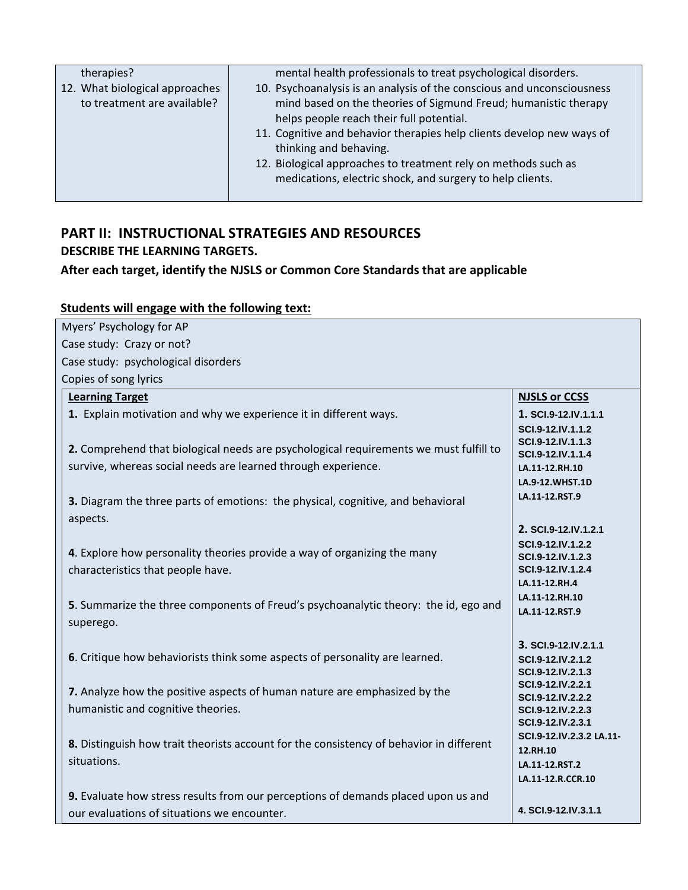| therapies?                                                    | mental health professionals to treat psychological disorders.                                                                                                                                                                                                                                                                                                                                                           |
|---------------------------------------------------------------|-------------------------------------------------------------------------------------------------------------------------------------------------------------------------------------------------------------------------------------------------------------------------------------------------------------------------------------------------------------------------------------------------------------------------|
| 12. What biological approaches<br>to treatment are available? | 10. Psychoanalysis is an analysis of the conscious and unconsciousness<br>mind based on the theories of Sigmund Freud; humanistic therapy<br>helps people reach their full potential.<br>11. Cognitive and behavior therapies help clients develop new ways of<br>thinking and behaving.<br>12. Biological approaches to treatment rely on methods such as<br>medications, electric shock, and surgery to help clients. |
|                                                               |                                                                                                                                                                                                                                                                                                                                                                                                                         |

# **PART II: INSTRUCTIONAL STRATEGIES AND RESOURCES DESCRIBE THE LEARNING TARGETS.**

# **After each target, identify the NJSLS or Common Core Standards that are applicable**

# **Students will engage with the following text:**

| Myers' Psychology for AP                                                                                                         |                                                                                  |
|----------------------------------------------------------------------------------------------------------------------------------|----------------------------------------------------------------------------------|
| Case study: Crazy or not?                                                                                                        |                                                                                  |
| Case study: psychological disorders                                                                                              |                                                                                  |
| Copies of song lyrics                                                                                                            |                                                                                  |
| <b>Learning Target</b>                                                                                                           | <b>NJSLS or CCSS</b>                                                             |
| 1. Explain motivation and why we experience it in different ways.                                                                | 1. SCI.9-12.IV.1.1.1<br>SCI.9-12.IV.1.1.2                                        |
| 2. Comprehend that biological needs are psychological requirements we must fulfill to                                            | SCI.9-12.IV.1.1.3<br>SCI.9-12.IV.1.1.4                                           |
| survive, whereas social needs are learned through experience.                                                                    | LA.11-12.RH.10                                                                   |
|                                                                                                                                  | LA.9-12.WHST.1D                                                                  |
| 3. Diagram the three parts of emotions: the physical, cognitive, and behavioral                                                  | LA.11-12.RST.9                                                                   |
| aspects.                                                                                                                         | 2. SCI.9-12.IV.1.2.1                                                             |
| 4. Explore how personality theories provide a way of organizing the many                                                         | SCI.9-12.IV.1.2.2<br>SCI.9-12.IV.1.2.3<br>SCI.9-12.IV.1.2.4                      |
| characteristics that people have.                                                                                                | LA.11-12.RH.4                                                                    |
| 5. Summarize the three components of Freud's psychoanalytic theory: the id, ego and<br>superego.                                 | LA.11-12.RH.10<br>LA.11-12.RST.9                                                 |
| 6. Critique how behaviorists think some aspects of personality are learned.                                                      | 3. SCI.9-12.IV.2.1.1<br>SCI.9-12.IV.2.1.2<br>SCI.9-12.IV.2.1.3                   |
| 7. Analyze how the positive aspects of human nature are emphasized by the<br>humanistic and cognitive theories.                  | SCI.9-12.IV.2.2.1<br>SCI.9-12.IV.2.2.2<br>SCI.9-12.IV.2.2.3<br>SCI.9-12.IV.2.3.1 |
| 8. Distinguish how trait theorists account for the consistency of behavior in different<br>situations.                           | SCI.9-12.IV.2.3.2 LA.11-<br>12.RH.10<br>LA.11-12.RST.2<br>LA.11-12.R.CCR.10      |
| 9. Evaluate how stress results from our perceptions of demands placed upon us and<br>our evaluations of situations we encounter. | 4. SCI.9-12.IV.3.1.1                                                             |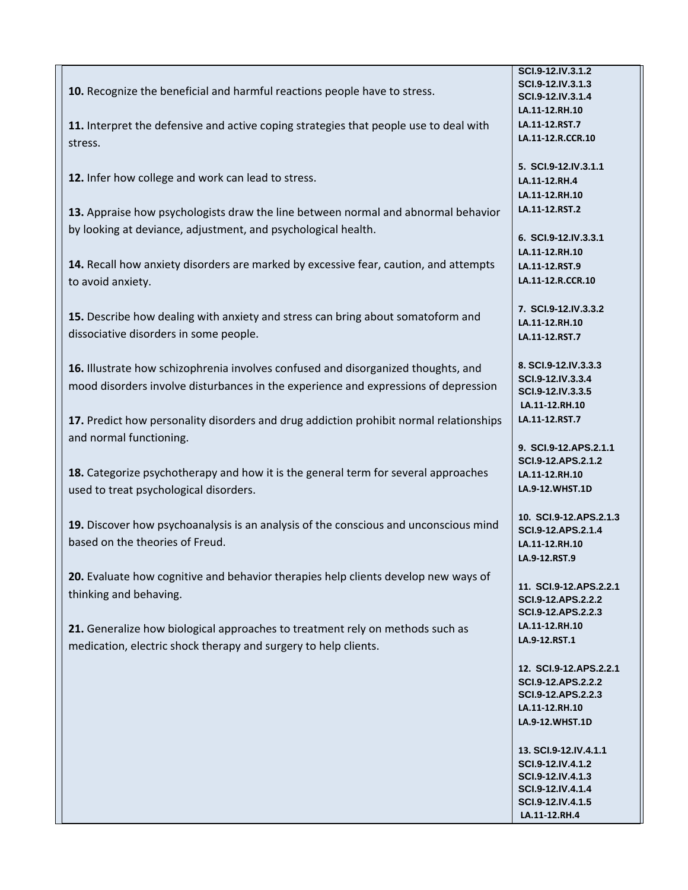|                                                                                        | SCI.9-12.IV.3.1.2                      |
|----------------------------------------------------------------------------------------|----------------------------------------|
| 10. Recognize the beneficial and harmful reactions people have to stress.              | SCI.9-12.IV.3.1.3                      |
|                                                                                        | SCI.9-12.IV.3.1.4                      |
|                                                                                        | LA.11-12.RH.10                         |
| 11. Interpret the defensive and active coping strategies that people use to deal with  | LA.11-12.RST.7                         |
| stress.                                                                                | LA.11-12.R.CCR.10                      |
|                                                                                        | 5. SCI.9-12.IV.3.1.1                   |
| 12. Infer how college and work can lead to stress.                                     | LA.11-12.RH.4                          |
|                                                                                        | LA.11-12.RH.10                         |
|                                                                                        | LA.11-12.RST.2                         |
| 13. Appraise how psychologists draw the line between normal and abnormal behavior      |                                        |
| by looking at deviance, adjustment, and psychological health.                          | 6. SCI.9-12.IV.3.3.1                   |
|                                                                                        | LA.11-12.RH.10                         |
| 14. Recall how anxiety disorders are marked by excessive fear, caution, and attempts   | LA.11-12.RST.9                         |
| to avoid anxiety.                                                                      | LA.11-12.R.CCR.10                      |
|                                                                                        |                                        |
|                                                                                        | 7. SCI.9-12.IV.3.3.2                   |
| 15. Describe how dealing with anxiety and stress can bring about somatoform and        | LA.11-12.RH.10                         |
| dissociative disorders in some people.                                                 | LA.11-12.RST.7                         |
|                                                                                        |                                        |
| 16. Illustrate how schizophrenia involves confused and disorganized thoughts, and      | 8. SCI.9-12.IV.3.3.3                   |
| mood disorders involve disturbances in the experience and expressions of depression    | SCI.9-12.IV.3.3.4                      |
|                                                                                        | SCI.9-12.IV.3.3.5                      |
|                                                                                        | LA.11-12.RH.10                         |
| 17. Predict how personality disorders and drug addiction prohibit normal relationships | LA.11-12.RST.7                         |
| and normal functioning.                                                                |                                        |
|                                                                                        | 9. SCI.9-12.APS.2.1.1                  |
| 18. Categorize psychotherapy and how it is the general term for several approaches     | SCI.9-12.APS.2.1.2                     |
|                                                                                        | LA.11-12.RH.10<br>LA.9-12.WHST.1D      |
| used to treat psychological disorders.                                                 |                                        |
|                                                                                        | 10. SCI.9-12.APS.2.1.3                 |
| 19. Discover how psychoanalysis is an analysis of the conscious and unconscious mind   | SCI.9-12.APS.2.1.4                     |
| based on the theories of Freud.                                                        | LA.11-12.RH.10                         |
|                                                                                        | LA.9-12.RST.9                          |
| 20. Evaluate how cognitive and behavior therapies help clients develop new ways of     |                                        |
|                                                                                        | 11. SCI.9-12.APS.2.2.1                 |
| thinking and behaving.                                                                 | SCI.9-12.APS.2.2.2                     |
|                                                                                        | SCI.9-12.APS.2.2.3                     |
| 21. Generalize how biological approaches to treatment rely on methods such as          | LA.11-12.RH.10                         |
| medication, electric shock therapy and surgery to help clients.                        | LA.9-12.RST.1                          |
|                                                                                        | 12. SCI.9-12.APS.2.2.1                 |
|                                                                                        | SCI.9-12.APS.2.2.2                     |
|                                                                                        | SCI.9-12.APS.2.2.3                     |
|                                                                                        | LA.11-12.RH.10                         |
|                                                                                        | LA.9-12.WHST.1D                        |
|                                                                                        |                                        |
|                                                                                        | 13. SCI.9-12.IV.4.1.1                  |
|                                                                                        | SCI.9-12.IV.4.1.2                      |
|                                                                                        | SCI.9-12.IV.4.1.3                      |
|                                                                                        | SCI.9-12.IV.4.1.4<br>SCI.9-12.IV.4.1.5 |
|                                                                                        | LA.11-12.RH.4                          |
|                                                                                        |                                        |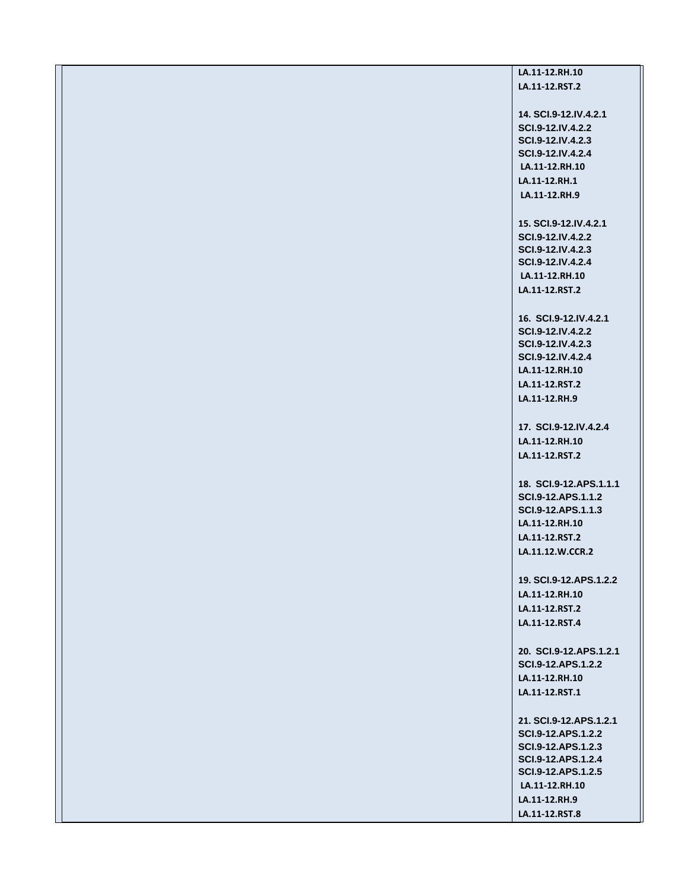### **LA.11‐12.RH.10 LA.11‐12.RST.2**

**14. SCI.9-12.IV.4.2.1 SCI.9-12.IV.4.2.2 SCI.9-12.IV.4.2.3 SCI.9-12.IV.4.2.4 LA.11‐12.RH.10 LA.11‐12.RH.1 LA.11‐12.RH.9 15. SCI.9-12.IV.4.2.1 SCI.9-12.IV.4.2.2 SCI.9-12.IV.4.2.3 SCI.9-12.IV.4.2.4 LA.11‐12.RH.10 LA.11‐12.RST.2 16. SCI.9-12.IV.4.2.1 SCI.9-12.IV.4.2.2 SCI.9-12.IV.4.2.3 SCI.9-12.IV.4.2.4 LA.11‐12.RH.10 LA.11‐12.RST.2 LA.11‐12.RH.9 17. SCI.9-12.IV.4.2.4 LA.11‐12.RH.10 LA.11‐12.RST.2 18. SCI.9-12.APS.1.1.1 SCI.9-12.APS.1.1.2 SCI.9-12.APS.1.1.3 LA.11‐12.RH.10 LA.11‐12.RST.2 LA.11.12.W.CCR.2 19. SCI.9-12.APS.1.2.2 LA.11‐12.RH.10 LA.11‐12.RST.2 LA.11‐12.RST.4 20. SCI.9-12.APS.1.2.1 SCI.9-12.APS.1.2.2 LA.11‐12.RH.10 LA.11‐12.RST.1 21. SCI.9-12.APS.1.2.1 SCI.9-12.APS.1.2.2 SCI.9-12.APS.1.2.3 SCI.9-12.APS.1.2.4 SCI.9-12.APS.1.2.5 LA.11‐12.RH.10 LA.11‐12.RH.9** 

**LA.11‐12.RST.8**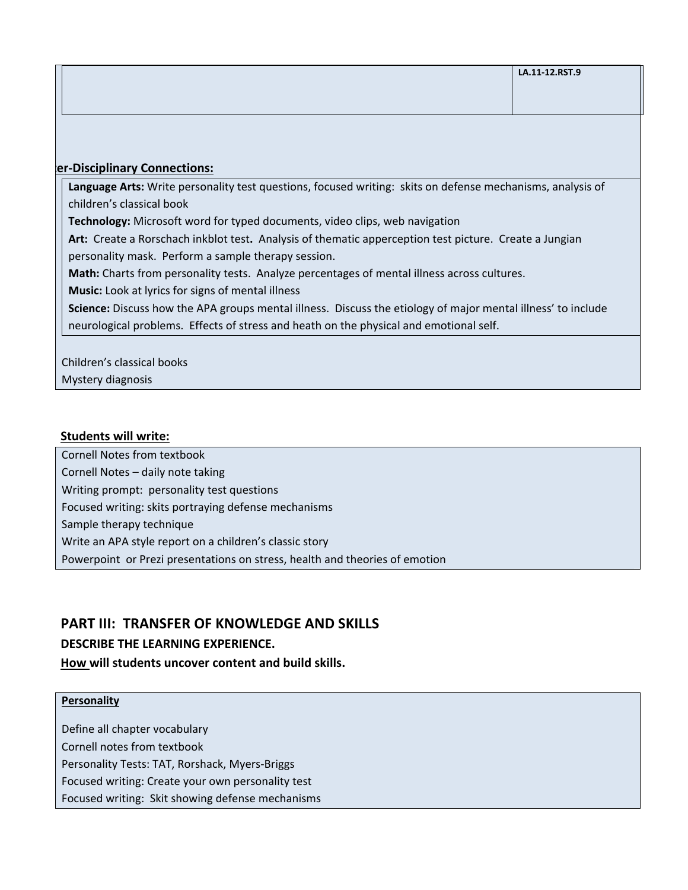#### **ter‐Disciplinary Connections:**

**Language Arts:** Write personality test questions, focused writing: skits on defense mechanisms, analysis of children's classical book

**Technology:** Microsoft word for typed documents, video clips, web navigation

Art: Create a Rorschach inkblot test. Analysis of thematic apperception test picture. Create a Jungian personality mask. Perform a sample therapy session.

**Math:** Charts from personality tests. Analyze percentages of mental illness across cultures.

**Music:** Look at lyrics for signs of mental illness

**Science:** Discuss how the APA groups mental illness.Discuss the etiology of major mental illness' to include neurological problems. Effects of stress and heath on the physical and emotional self.

Children's classical books

Mystery diagnosis

#### **Students will write:**

Cornell Notes from textbook Cornell Notes – daily note taking

Writing prompt: personality test questions

Focused writing: skits portraying defense mechanisms

Sample therapy technique

Write an APA style report on a children's classic story

Powerpoint or Prezi presentations on stress, health and theories of emotion

### **PART III: TRANSFER OF KNOWLEDGE AND SKILLS**

#### **DESCRIBE THE LEARNING EXPERIENCE.**

#### **How will students uncover content and build skills.**

#### **Personality**

Define all chapter vocabulary Cornell notes from textbook

Personality Tests: TAT, Rorshack, Myers‐Briggs

Focused writing: Create your own personality test

Focused writing: Skit showing defense mechanisms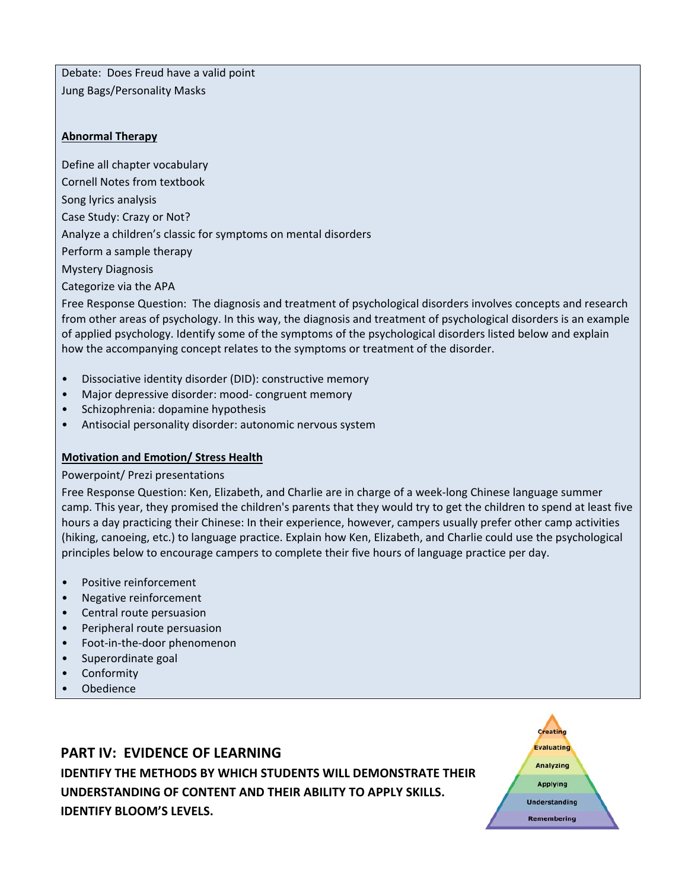Debate: Does Freud have a valid point Jung Bags/Personality Masks

#### **Abnormal Therapy**

Define all chapter vocabulary Cornell Notes from textbook Song lyrics analysis Case Study: Crazy or Not? Analyze a children's classic for symptoms on mental disorders Perform a sample therapy Mystery Diagnosis Categorize via the APA

Free Response Question: The diagnosis and treatment of psychological disorders involves concepts and research from other areas of psychology. In this way, the diagnosis and treatment of psychological disorders is an example of applied psychology. Identify some of the symptoms of the psychological disorders listed below and explain how the accompanying concept relates to the symptoms or treatment of the disorder.

- Dissociative identity disorder (DID): constructive memory
- Major depressive disorder: mood- congruent memory
- Schizophrenia: dopamine hypothesis
- Antisocial personality disorder: autonomic nervous system

#### **Motivation and Emotion/ Stress Health**

#### Powerpoint/ Prezi presentations

Free Response Question: Ken, Elizabeth, and Charlie are in charge of a week‐long Chinese language summer camp. This year, they promised the children's parents that they would try to get the children to spend at least five hours a day practicing their Chinese: In their experience, however, campers usually prefer other camp activities (hiking, canoeing, etc.) to language practice. Explain how Ken, Elizabeth, and Charlie could use the psychological principles below to encourage campers to complete their five hours of language practice per day.

- Positive reinforcement
- Negative reinforcement
- Central route persuasion
- Peripheral route persuasion
- Foot-in-the-door phenomenon
- Superordinate goal
- Conformity
- Obedience

# **PART IV: EVIDENCE OF LEARNING**

**IDENTIFY THE METHODS BY WHICH STUDENTS WILL DEMONSTRATE THEIR UNDERSTANDING OF CONTENT AND THEIR ABILITY TO APPLY SKILLS. IDENTIFY BLOOM'S LEVELS.** 

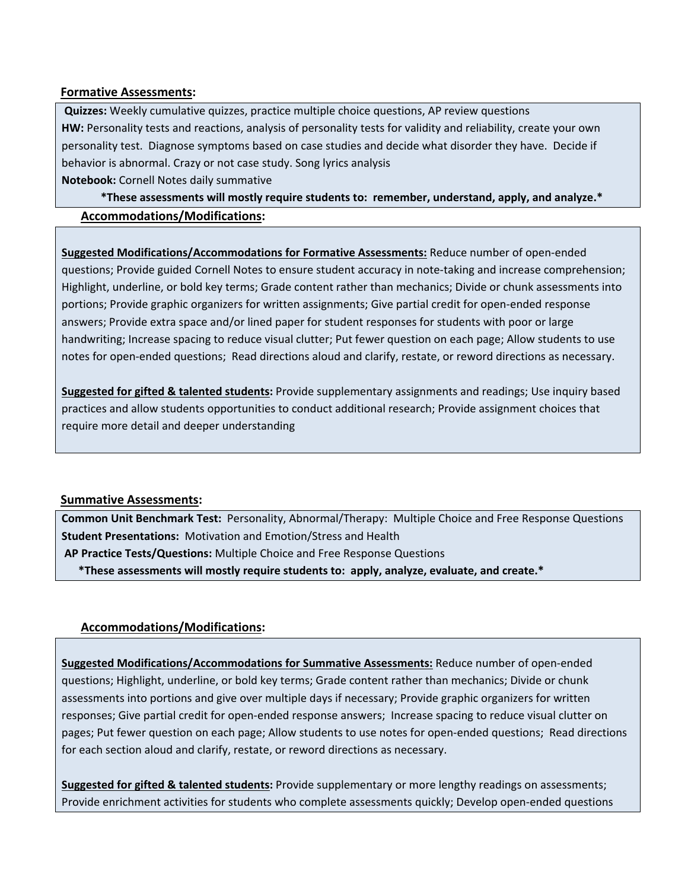#### **Formative Assessments:**

**Quizzes:** Weekly cumulative quizzes, practice multiple choice questions, AP review questions **HW:** Personality tests and reactions, analysis of personality tests for validity and reliability, create your own personality test. Diagnose symptoms based on case studies and decide what disorder they have. Decide if behavior is abnormal. Crazy or not case study. Song lyrics analysis **Notebook:** Cornell Notes daily summative

\*These assessments will mostly require students to: remember, understand, apply, and analyze.\* **Accommodations/Modifications:**

**Suggested Modifications/Accommodations for Formative Assessments:** Reduce number of open‐ended questions; Provide guided Cornell Notes to ensure student accuracy in note‐taking and increase comprehension; Highlight, underline, or bold key terms; Grade content rather than mechanics; Divide or chunk assessments into portions; Provide graphic organizers for written assignments; Give partial credit for open-ended response answers; Provide extra space and/or lined paper for student responses for students with poor or large handwriting; Increase spacing to reduce visual clutter; Put fewer question on each page; Allow students to use notes for open‐ended questions; Read directions aloud and clarify, restate, or reword directions as necessary.

**Suggested for gifted & talented students:** Provide supplementary assignments and readings; Use inquiry based practices and allow students opportunities to conduct additional research; Provide assignment choices that require more detail and deeper understanding

#### **Summative Assessments:**

**Common Unit Benchmark Test:** Personality, Abnormal/Therapy: Multiple Choice and Free Response Questions **Student Presentations:** Motivation and Emotion/Stress and Health

**AP Practice Tests/Questions:** Multiple Choice and Free Response Questions

\*These assessments will mostly require students to: apply, analyze, evaluate, and create.\*

#### **Accommodations/Modifications:**

**Suggested Modifications/Accommodations for Summative Assessments:** Reduce number of open‐ended questions; Highlight, underline, or bold key terms; Grade content rather than mechanics; Divide or chunk assessments into portions and give over multiple days if necessary; Provide graphic organizers for written responses; Give partial credit for open‐ended response answers; Increase spacing to reduce visual clutter on pages; Put fewer question on each page; Allow students to use notes for open‐ended questions; Read directions for each section aloud and clarify, restate, or reword directions as necessary.

**Suggested for gifted & talented students:** Provide supplementary or more lengthy readings on assessments; Provide enrichment activities for students who complete assessments quickly; Develop open‐ended questions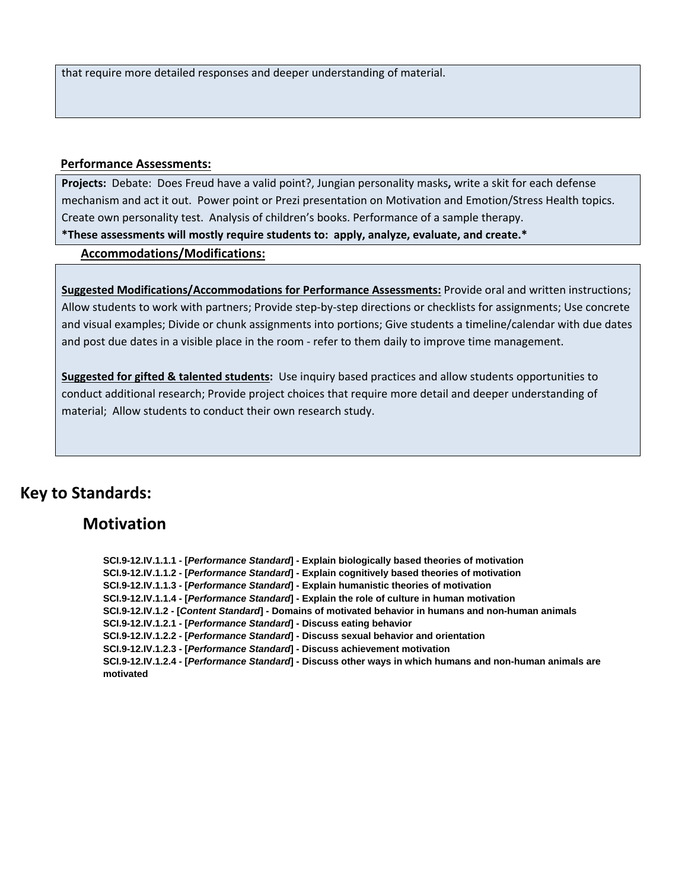that require more detailed responses and deeper understanding of material.

#### **Performance Assessments:**

**Projects:** Debate: Does Freud have a valid point?, Jungian personality masks**,** write a skit for each defense mechanism and act it out. Power point or Prezi presentation on Motivation and Emotion/Stress Health topics. Create own personality test. Analysis of children's books. Performance of a sample therapy.

\*These assessments will mostly require students to: apply, analyze, evaluate, and create.\*

#### **Accommodations/Modifications:**

**Suggested Modifications/Accommodations for Performance Assessments:** Provide oral and written instructions; Allow students to work with partners; Provide step-by-step directions or checklists for assignments; Use concrete and visual examples; Divide or chunk assignments into portions; Give students a timeline/calendar with due dates and post due dates in a visible place in the room - refer to them daily to improve time management.

**Suggested for gifted & talented students:** Use inquiry based practices and allow students opportunities to conduct additional research; Provide project choices that require more detail and deeper understanding of material; Allow students to conduct their own research study.

# **Key to Standards:**

# **Motivation**

**SCI.9-12.IV.1.1.1 - [***Performance Standard***] - Explain biologically based theories of motivation SCI.9-12.IV.1.1.2 - [***Performance Standard***] - Explain cognitively based theories of motivation SCI.9-12.IV.1.1.3 - [***Performance Standard***] - Explain humanistic theories of motivation SCI.9-12.IV.1.1.4 - [***Performance Standard***] - Explain the role of culture in human motivation SCI.9-12.IV.1.2 - [***Content Standard***] - Domains of motivated behavior in humans and non-human animals SCI.9-12.IV.1.2.1 - [***Performance Standard***] - Discuss eating behavior SCI.9-12.IV.1.2.2 - [***Performance Standard***] - Discuss sexual behavior and orientation SCI.9-12.IV.1.2.3 - [***Performance Standard***] - Discuss achievement motivation SCI.9-12.IV.1.2.4 - [***Performance Standard***] - Discuss other ways in which humans and non-human animals are motivated**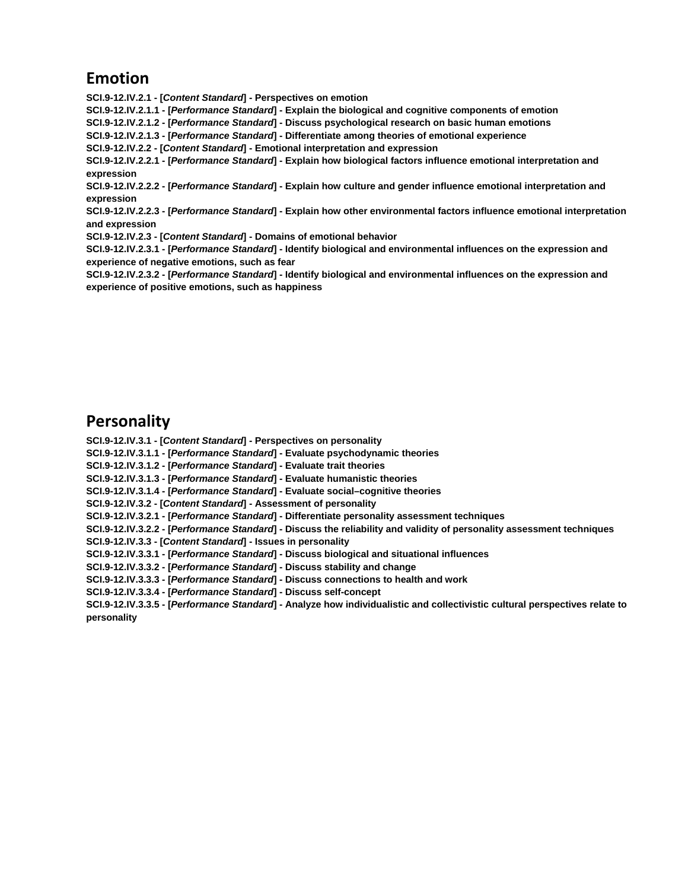# **Emotion**

**SCI.9-12.IV.2.1 - [***Content Standard***] - Perspectives on emotion SCI.9-12.IV.2.1.1 - [***Performance Standard***] - Explain the biological and cognitive components of emotion SCI.9-12.IV.2.1.2 - [***Performance Standard***] - Discuss psychological research on basic human emotions SCI.9-12.IV.2.1.3 - [***Performance Standard***] - Differentiate among theories of emotional experience SCI.9-12.IV.2.2 - [***Content Standard***] - Emotional interpretation and expression SCI.9-12.IV.2.2.1 - [***Performance Standard***] - Explain how biological factors influence emotional interpretation and expression SCI.9-12.IV.2.2.2 - [***Performance Standard***] - Explain how culture and gender influence emotional interpretation and expression SCI.9-12.IV.2.2.3 - [***Performance Standard***] - Explain how other environmental factors influence emotional interpretation and expression SCI.9-12.IV.2.3 - [***Content Standard***] - Domains of emotional behavior SCI.9-12.IV.2.3.1 - [***Performance Standard***] - Identify biological and environmental influences on the expression and experience of negative emotions, such as fear SCI.9-12.IV.2.3.2 - [***Performance Standard***] - Identify biological and environmental influences on the expression and** 

# **Personality**

**experience of positive emotions, such as happiness**

**SCI.9-12.IV.3.1 - [***Content Standard***] - Perspectives on personality SCI.9-12.IV.3.1.1 - [***Performance Standard***] - Evaluate psychodynamic theories SCI.9-12.IV.3.1.2 - [***Performance Standard***] - Evaluate trait theories SCI.9-12.IV.3.1.3 - [***Performance Standard***] - Evaluate humanistic theories SCI.9-12.IV.3.1.4 - [***Performance Standard***] - Evaluate social–cognitive theories SCI.9-12.IV.3.2 - [***Content Standard***] - Assessment of personality SCI.9-12.IV.3.2.1 - [***Performance Standard***] - Differentiate personality assessment techniques SCI.9-12.IV.3.2.2 - [***Performance Standard***] - Discuss the reliability and validity of personality assessment techniques SCI.9-12.IV.3.3 - [***Content Standard***] - Issues in personality SCI.9-12.IV.3.3.1 - [***Performance Standard***] - Discuss biological and situational influences SCI.9-12.IV.3.3.2 - [***Performance Standard***] - Discuss stability and change SCI.9-12.IV.3.3.3 - [***Performance Standard***] - Discuss connections to health and work SCI.9-12.IV.3.3.4 - [***Performance Standard***] - Discuss self-concept SCI.9-12.IV.3.3.5 - [***Performance Standard***] - Analyze how individualistic and collectivistic cultural perspectives relate to personality**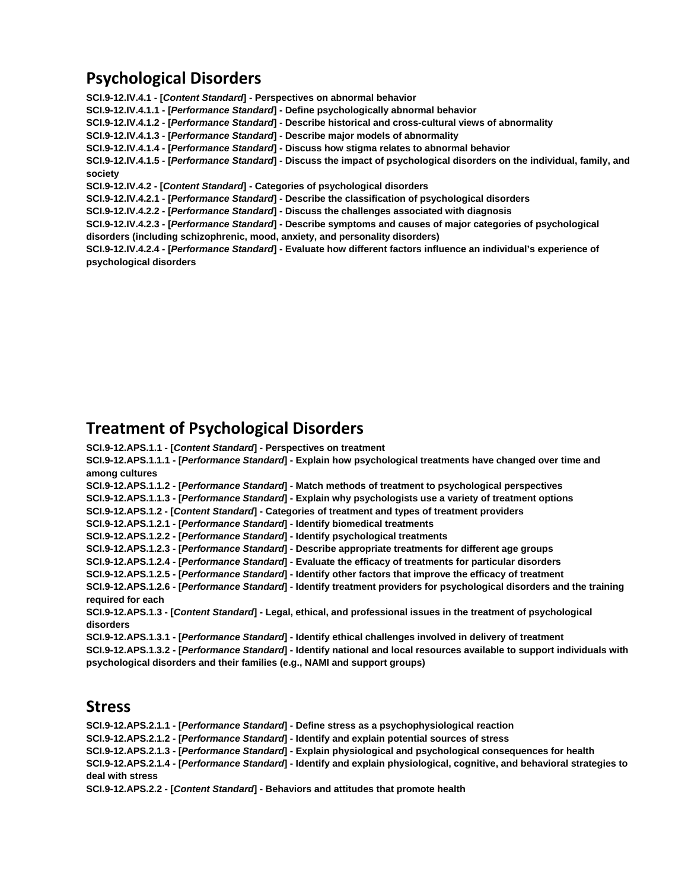# **Psychological Disorders**

**psychological disorders**

**SCI.9-12.IV.4.1 - [***Content Standard***] - Perspectives on abnormal behavior SCI.9-12.IV.4.1.1 - [***Performance Standard***] - Define psychologically abnormal behavior SCI.9-12.IV.4.1.2 - [***Performance Standard***] - Describe historical and cross-cultural views of abnormality SCI.9-12.IV.4.1.3 - [***Performance Standard***] - Describe major models of abnormality SCI.9-12.IV.4.1.4 - [***Performance Standard***] - Discuss how stigma relates to abnormal behavior SCI.9-12.IV.4.1.5 - [***Performance Standard***] - Discuss the impact of psychological disorders on the individual, family, and society SCI.9-12.IV.4.2 - [***Content Standard***] - Categories of psychological disorders SCI.9-12.IV.4.2.1 - [***Performance Standard***] - Describe the classification of psychological disorders SCI.9-12.IV.4.2.2 - [***Performance Standard***] - Discuss the challenges associated with diagnosis SCI.9-12.IV.4.2.3 - [***Performance Standard***] - Describe symptoms and causes of major categories of psychological disorders (including schizophrenic, mood, anxiety, and personality disorders) SCI.9-12.IV.4.2.4 - [***Performance Standard***] - Evaluate how different factors influence an individual's experience of** 

# **Treatment of Psychological Disorders**

**SCI.9-12.APS.1.1 - [***Content Standard***] - Perspectives on treatment**

**SCI.9-12.APS.1.1.1 - [***Performance Standard***] - Explain how psychological treatments have changed over time and among cultures**

**SCI.9-12.APS.1.1.2 - [***Performance Standard***] - Match methods of treatment to psychological perspectives**

**SCI.9-12.APS.1.1.3 - [***Performance Standard***] - Explain why psychologists use a variety of treatment options**

**SCI.9-12.APS.1.2 - [***Content Standard***] - Categories of treatment and types of treatment providers**

**SCI.9-12.APS.1.2.1 - [***Performance Standard***] - Identify biomedical treatments**

**SCI.9-12.APS.1.2.2 - [***Performance Standard***] - Identify psychological treatments**

**SCI.9-12.APS.1.2.3 - [***Performance Standard***] - Describe appropriate treatments for different age groups**

**SCI.9-12.APS.1.2.4 - [***Performance Standard***] - Evaluate the efficacy of treatments for particular disorders**

**SCI.9-12.APS.1.2.5 - [***Performance Standard***] - Identify other factors that improve the efficacy of treatment**

**SCI.9-12.APS.1.2.6 - [***Performance Standard***] - Identify treatment providers for psychological disorders and the training required for each**

**SCI.9-12.APS.1.3 - [***Content Standard***] - Legal, ethical, and professional issues in the treatment of psychological disorders**

**SCI.9-12.APS.1.3.1 - [***Performance Standard***] - Identify ethical challenges involved in delivery of treatment SCI.9-12.APS.1.3.2 - [***Performance Standard***] - Identify national and local resources available to support individuals with psychological disorders and their families (e.g., NAMI and support groups)**

# **Stress**

**SCI.9-12.APS.2.1.1 - [***Performance Standard***] - Define stress as a psychophysiological reaction SCI.9-12.APS.2.1.2 - [***Performance Standard***] - Identify and explain potential sources of stress SCI.9-12.APS.2.1.3 - [***Performance Standard***] - Explain physiological and psychological consequences for health SCI.9-12.APS.2.1.4 - [***Performance Standard***] - Identify and explain physiological, cognitive, and behavioral strategies to deal with stress**

**SCI.9-12.APS.2.2 - [***Content Standard***] - Behaviors and attitudes that promote health**